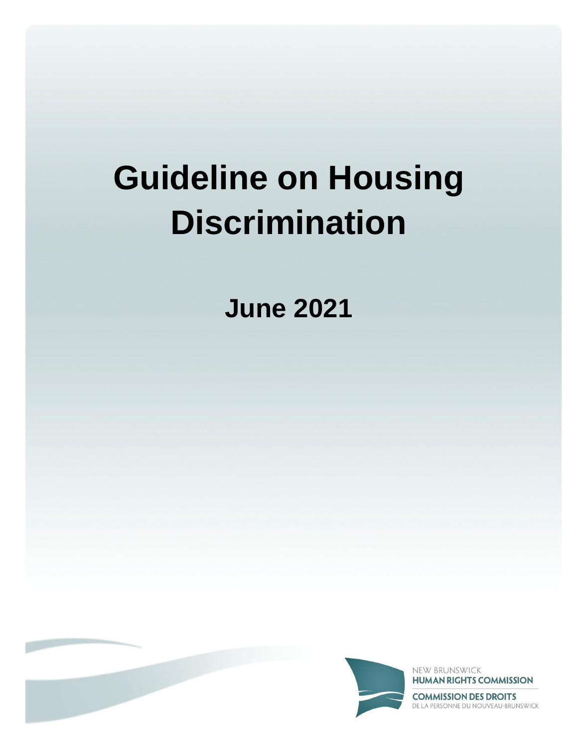**June 2021**



NEW BRUNSWICK **HUMAN RIGHTS COMMISSION** 

**COMMISSION DES DROITS** DE LA PERSONNE DU NOUVEAU-BRUNSWICK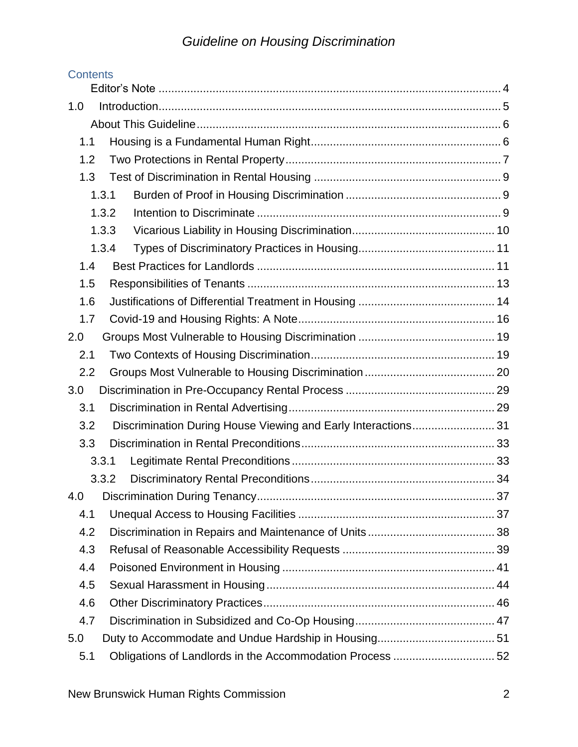| <b>Contents</b> |                                                               |  |  |  |  |  |
|-----------------|---------------------------------------------------------------|--|--|--|--|--|
|                 |                                                               |  |  |  |  |  |
| 1.0             |                                                               |  |  |  |  |  |
|                 |                                                               |  |  |  |  |  |
| 1.1             |                                                               |  |  |  |  |  |
| 1.2             |                                                               |  |  |  |  |  |
| 1.3             |                                                               |  |  |  |  |  |
| 1.3.1           |                                                               |  |  |  |  |  |
| 1.3.2           |                                                               |  |  |  |  |  |
|                 | 1.3.3                                                         |  |  |  |  |  |
|                 | 1.3.4                                                         |  |  |  |  |  |
| 1.4             |                                                               |  |  |  |  |  |
| 1.5             |                                                               |  |  |  |  |  |
| 1.6             |                                                               |  |  |  |  |  |
| 1.7             |                                                               |  |  |  |  |  |
| 2.0             |                                                               |  |  |  |  |  |
| 2.1             |                                                               |  |  |  |  |  |
| 2.2             |                                                               |  |  |  |  |  |
| 3.0             |                                                               |  |  |  |  |  |
| 3.1             |                                                               |  |  |  |  |  |
| 3.2             | Discrimination During House Viewing and Early Interactions 31 |  |  |  |  |  |
| 3.3             |                                                               |  |  |  |  |  |
|                 | 3.3.1                                                         |  |  |  |  |  |
|                 | 3.3.2                                                         |  |  |  |  |  |
| 4.0             |                                                               |  |  |  |  |  |
| 4.1             |                                                               |  |  |  |  |  |
| 4.2             |                                                               |  |  |  |  |  |
| 4.3             |                                                               |  |  |  |  |  |
| 4.4             |                                                               |  |  |  |  |  |
| 4.5             |                                                               |  |  |  |  |  |
| 4.6             |                                                               |  |  |  |  |  |
| 4.7             |                                                               |  |  |  |  |  |
| 5.0             |                                                               |  |  |  |  |  |
| 5.1             | Obligations of Landlords in the Accommodation Process  52     |  |  |  |  |  |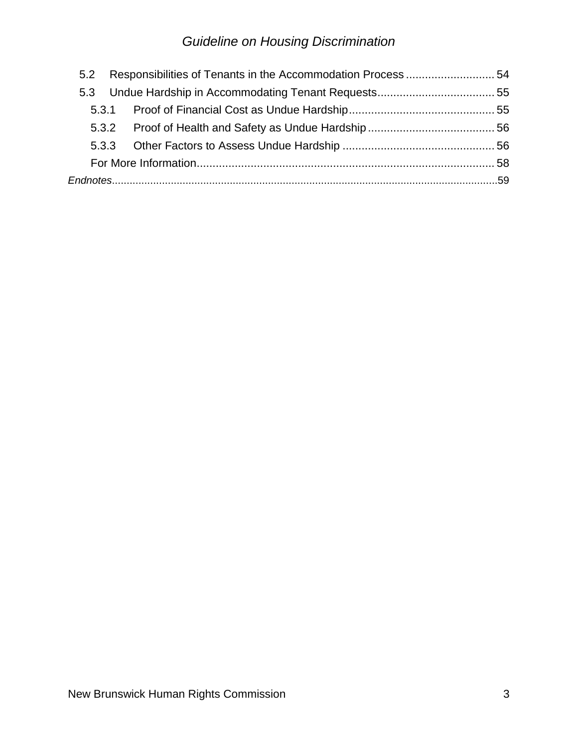| 5.2 |  |  |  |  |
|-----|--|--|--|--|
|     |  |  |  |  |
|     |  |  |  |  |
|     |  |  |  |  |
|     |  |  |  |  |
|     |  |  |  |  |
|     |  |  |  |  |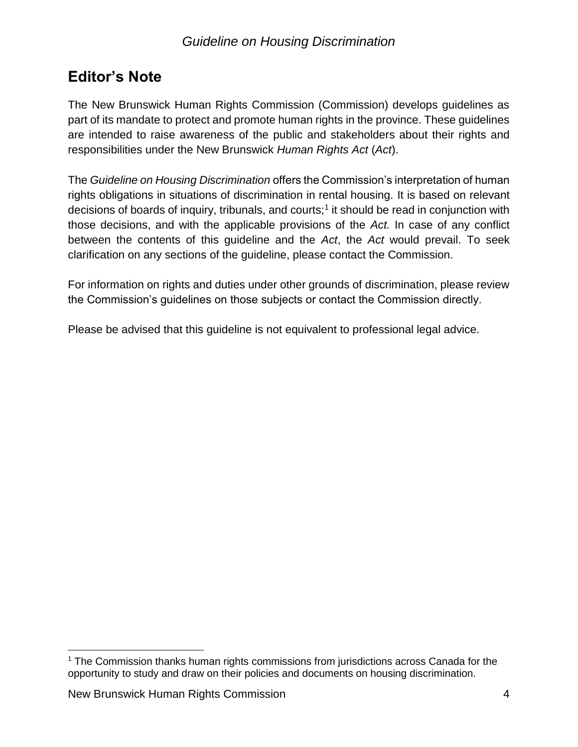## <span id="page-3-0"></span>**Editor's Note**

The New Brunswick Human Rights Commission (Commission) develops guidelines as part of its mandate to protect and promote human rights in the province. These guidelines are intended to raise awareness of the public and stakeholders about their rights and responsibilities under the New Brunswick *Human Rights Act* (*Act*).

The *Guideline on Housing Discrimination* offers the Commission's interpretation of human rights obligations in situations of discrimination in rental housing. It is based on relevant decisions of boards of inquiry, tribunals, and courts;<sup>1</sup> it should be read in conjunction with those decisions, and with the applicable provisions of the *Act.* In case of any conflict between the contents of this guideline and the *Act*, the *Act* would prevail. To seek clarification on any sections of the guideline, please contact the Commission.

For information on rights and duties under other grounds of discrimination, please review the Commission's guidelines on those subjects or contact the Commission directly.

Please be advised that this guideline is not equivalent to professional legal advice.

 $\overline{a}$ 

<sup>&</sup>lt;sup>1</sup> The Commission thanks human rights commissions from jurisdictions across Canada for the opportunity to study and draw on their policies and documents on housing discrimination.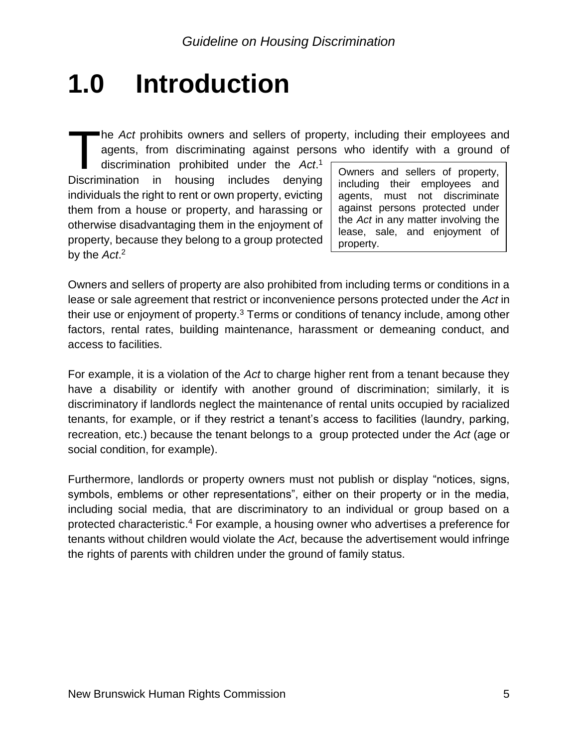## <span id="page-4-0"></span>**1.0 Introduction**

The *Act* prohibits owners and sellers of property, including their employees and agents, from discriminating against persons who identify with a ground of discrimination prohibited under the *Act*.<sup>1</sup> Owners and sellers o agents, from discriminating against persons who identify with a ground of

discrimination prohibited under the *Act*. 1 Discrimination in housing includes denying individuals the right to rent or own property, evicting them from a house or property, and harassing or otherwise disadvantaging them in the enjoyment of property, because they belong to a group protected by the *Act*. 2

including their employees and agents, must not discriminate against persons protected under the *Act* in any matter involving the lease, sale, and enjoyment of property.

Owners and sellers of property are also prohibited from including terms or conditions in a lease or sale agreement that restrict or inconvenience persons protected under the *Act* in their use or enjoyment of property. $3$  Terms or conditions of tenancy include, among other factors, rental rates, building maintenance, harassment or demeaning conduct, and access to facilities.

For example, it is a violation of the *Act* to charge higher rent from a tenant because they have a disability or identify with another ground of discrimination; similarly, it is discriminatory if landlords neglect the maintenance of rental units occupied by racialized tenants, for example, or if they restrict a tenant's access to facilities (laundry, parking, recreation, etc.) because the tenant belongs to a group protected under the *Act* (age or social condition, for example).

Furthermore, landlords or property owners must not publish or display "notices, signs, symbols, emblems or other representations", either on their property or in the media, including social media, that are discriminatory to an individual or group based on a protected characteristic.<sup>4</sup> For example, a housing owner who advertises a preference for tenants without children would violate the *Act*, because the advertisement would infringe the rights of parents with children under the ground of family status.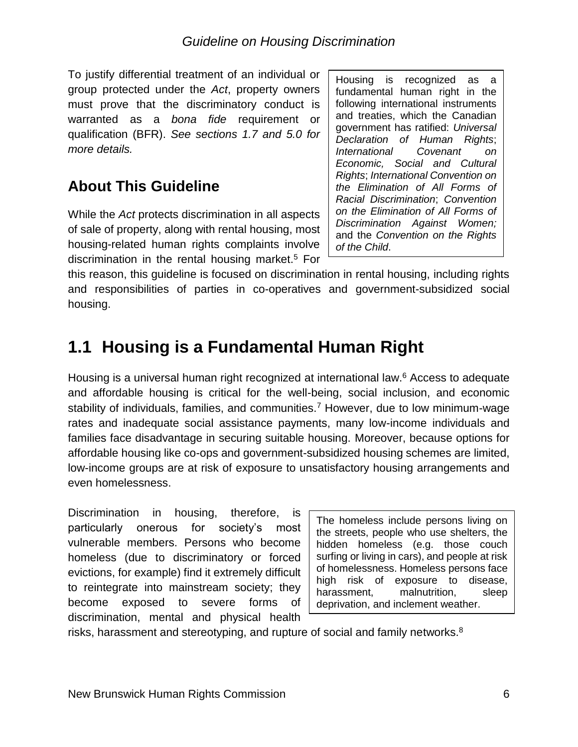To justify differential treatment of an individual or group protected under the *Act*, property owners must prove that the discriminatory conduct is warranted as a *bona fide* requirement or qualification (BFR). *See sections 1.7 and 5.0 for more details.*

## <span id="page-5-0"></span>**About This Guideline**

While the *Act* protects discrimination in all aspects of sale of property, along with rental housing, most housing-related human rights complaints involve discrimination in the rental housing market.<sup>5</sup> For

Housing is recognized as a fundamental human right in the following international instruments and treaties, which the Canadian government has ratified: *Universal Declaration of Human Rights*; *International Covenant on Economic, Social and Cultural Rights*; *International Convention on the Elimination of All Forms of Racial Discrimination*; *Convention on the Elimination of All Forms of Discrimination Against Women;* and the *Convention on the Rights of the Child*.

this reason, this guideline is focused on discrimination in rental housing, including rights and responsibilities of parties in co-operatives and government-subsidized social housing.

## <span id="page-5-1"></span>**1.1 Housing is a Fundamental Human Right**

Housing is a universal human right recognized at international law.<sup>6</sup> Access to adequate and affordable housing is critical for the well-being, social inclusion, and economic stability of individuals, families, and communities.<sup>7</sup> However, due to low minimum-wage rates and inadequate social assistance payments, many low-income individuals and families face disadvantage in securing suitable housing. Moreover, because options for affordable housing like co-ops and government-subsidized housing schemes are limited, low-income groups are at risk of exposure to unsatisfactory housing arrangements and even homelessness.

Discrimination in housing, therefore, is particularly onerous for society's most vulnerable members. Persons who become homeless (due to discriminatory or forced evictions, for example) find it extremely difficult to reintegrate into mainstream society; they become exposed to severe forms of discrimination, mental and physical health

The homeless include persons living on the streets, people who use shelters, the hidden homeless (e.g. those couch surfing or living in cars), and people at risk of homelessness. Homeless persons face high risk of exposure to disease, harassment, malnutrition, sleep deprivation, and inclement weather.

risks, harassment and stereotyping, and rupture of social and family networks.<sup>8</sup>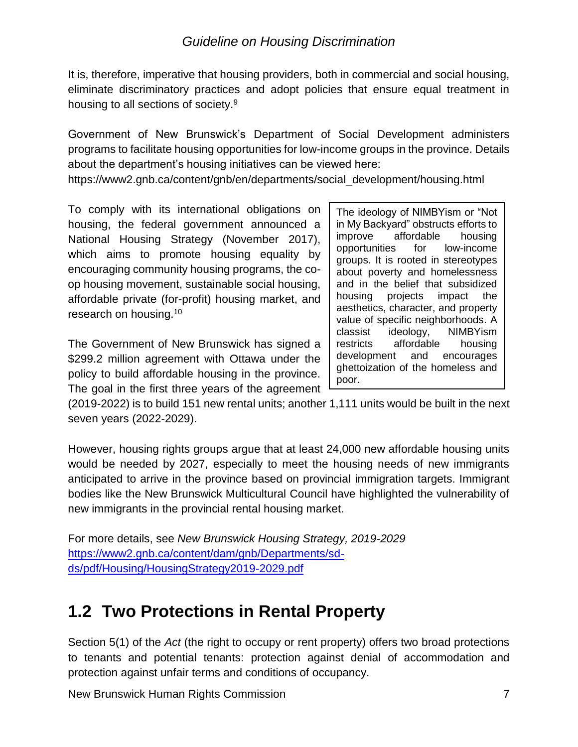It is, therefore, imperative that housing providers, both in commercial and social housing, eliminate discriminatory practices and adopt policies that ensure equal treatment in housing to all sections of society.<sup>9</sup>

Government of New Brunswick's Department of Social Development administers programs to facilitate housing opportunities for low-income groups in the province. Details about the department's housing initiatives can be viewed here:

[https://www2.gnb.ca/content/gnb/en/departments/social\\_development/housing.html](https://www2.gnb.ca/content/gnb/en/departments/social_development/housing.html)

To comply with its international obligations on housing, the federal government announced a National Housing Strategy (November 2017), which aims to promote housing equality by encouraging community housing programs, the coop housing movement, sustainable social housing, affordable private (for-profit) housing market, and research on housing.<sup>10</sup>

The Government of New Brunswick has signed a \$299.2 million agreement with Ottawa under the policy to build affordable housing in the province. The goal in the first three years of the agreement The ideology of NIMBYism or "Not in My Backyard" obstructs efforts to improve affordable housing opportunities for low-income groups. It is rooted in stereotypes about poverty and homelessness and in the belief that subsidized housing projects impact the aesthetics, character, and property value of specific neighborhoods. A classist ideology, NIMBYism restricts affordable housing development and encourages ghettoization of the homeless and poor.

(2019-2022) is to build 151 new rental units; another 1,111 units would be built in the next seven years (2022-2029).

However, housing rights groups argue that at least 24,000 new affordable housing units would be needed by 2027, especially to meet the housing needs of new immigrants anticipated to arrive in the province based on provincial immigration targets. Immigrant bodies like the New Brunswick Multicultural Council have highlighted the vulnerability of new immigrants in the provincial rental housing market.

For more details, see *New Brunswick Housing Strategy, 2019-2029* [https://www2.gnb.ca/content/dam/gnb/Departments/sd](https://www2.gnb.ca/content/dam/gnb/Departments/sd-ds/pdf/Housing/HousingStrategy2019-2029.pdf)[ds/pdf/Housing/HousingStrategy2019-2029.pdf](https://www2.gnb.ca/content/dam/gnb/Departments/sd-ds/pdf/Housing/HousingStrategy2019-2029.pdf)

## <span id="page-6-0"></span>**1.2 Two Protections in Rental Property**

Section 5(1) of the *Act* (the right to occupy or rent property) offers two broad protections to tenants and potential tenants: protection against denial of accommodation and protection against unfair terms and conditions of occupancy.

New Brunswick Human Rights Commission 7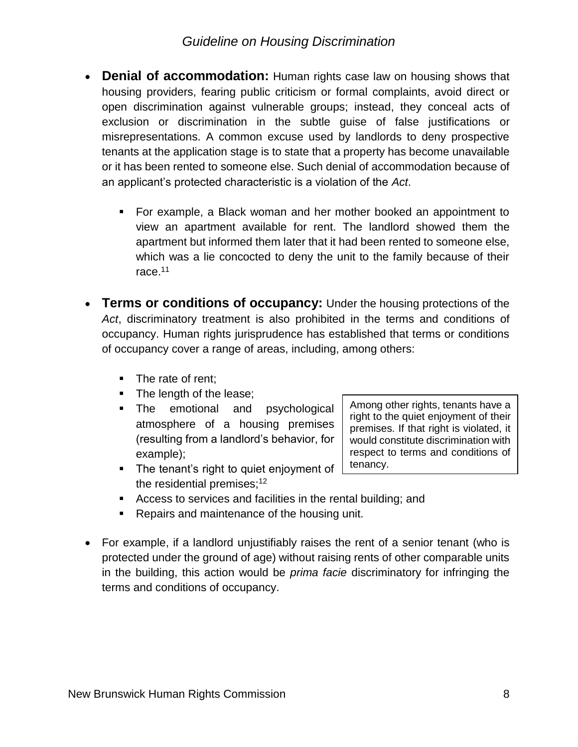- **Denial of accommodation:** Human rights case law on housing shows that housing providers, fearing public criticism or formal complaints, avoid direct or open discrimination against vulnerable groups; instead, they conceal acts of exclusion or discrimination in the subtle guise of false justifications or misrepresentations. A common excuse used by landlords to deny prospective tenants at the application stage is to state that a property has become unavailable or it has been rented to someone else. Such denial of accommodation because of an applicant's protected characteristic is a violation of the *Act*.
	- For example, a Black woman and her mother booked an appointment to view an apartment available for rent. The landlord showed them the apartment but informed them later that it had been rented to someone else, which was a lie concocted to deny the unit to the family because of their race.<sup>11</sup>
- **Terms or conditions of occupancy:** Under the housing protections of the *Act*, discriminatory treatment is also prohibited in the terms and conditions of occupancy. Human rights jurisprudence has established that terms or conditions of occupancy cover a range of areas, including, among others:
	- The rate of rent;
	- The length of the lease;
	- **•** The emotional and psychological atmosphere of a housing premises (resulting from a landlord's behavior, for example);

premises. If that right is violated, it would constitute discrimination with respect to terms and conditions of tenancy.

Among other rights, tenants have a right to the quiet enjoyment of their

- The tenant's right to quiet enjoyment of the residential premises:<sup>12</sup>
- Access to services and facilities in the rental building; and
- Repairs and maintenance of the housing unit.
- For example, if a landlord unjustifiably raises the rent of a senior tenant (who is protected under the ground of age) without raising rents of other comparable units in the building, this action would be *prima facie* discriminatory for infringing the terms and conditions of occupancy.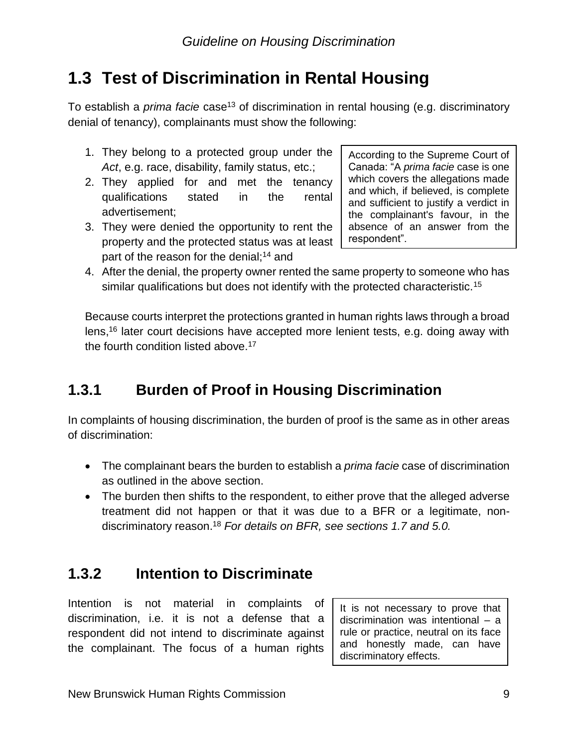## <span id="page-8-0"></span>**1.3 Test of Discrimination in Rental Housing**

To establish a *prima facie* case<sup>13</sup> of discrimination in rental housing (e.g. discriminatory denial of tenancy), complainants must show the following:

- 1. They belong to a protected group under the *Act*, e.g. race, disability, family status, etc.;
- 2. They applied for and met the tenancy qualifications stated in the rental advertisement;
- 3. They were denied the opportunity to rent the property and the protected status was at least part of the reason for the denial;<sup>14</sup> and

According to the Supreme Court of Canada: "A *prima facie* case is one which covers the allegations made and which, if believed, is complete and sufficient to justify a verdict in the complainant's favour, in the absence of an answer from the respondent".

4. After the denial, the property owner rented the same property to someone who has similar qualifications but does not identify with the protected characteristic.<sup>15</sup>

Because courts interpret the protections granted in human rights laws through a broad lens,<sup>16</sup> later court decisions have accepted more lenient tests, e.g. doing away with the fourth condition listed above.<sup>17</sup>

## <span id="page-8-1"></span>**1.3.1 Burden of Proof in Housing Discrimination**

In complaints of housing discrimination, the burden of proof is the same as in other areas of discrimination:

- The complainant bears the burden to establish a *prima facie* case of discrimination as outlined in the above section.
- The burden then shifts to the respondent, to either prove that the alleged adverse treatment did not happen or that it was due to a BFR or a legitimate, nondiscriminatory reason. <sup>18</sup> *For details on BFR, see sections 1.7 and 5.0.*

## <span id="page-8-2"></span>**1.3.2 Intention to Discriminate**

Intention is not material in complaints of discrimination, i.e. it is not a defense that a respondent did not intend to discriminate against the complainant. The focus of a human rights

It is not necessary to prove that discrimination was intentional – a rule or practice, neutral on its face and honestly made, can have discriminatory effects.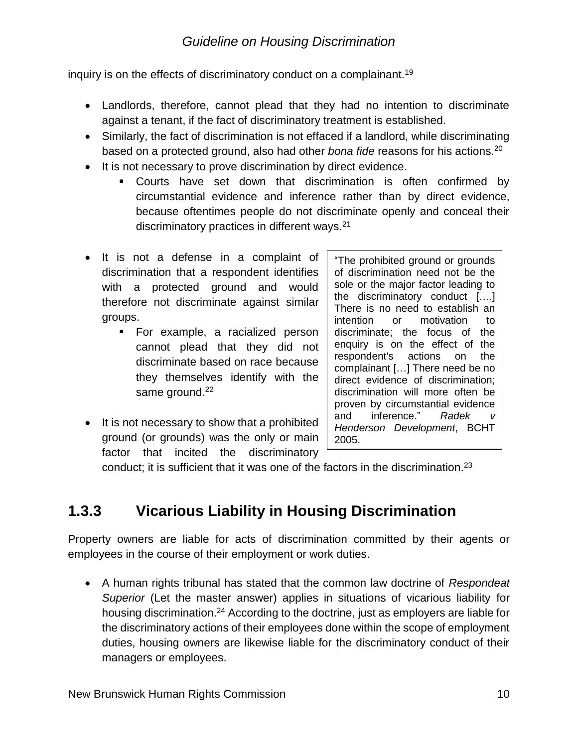inquiry is on the effects of discriminatory conduct on a complainant.<sup>19</sup>

- Landlords, therefore, cannot plead that they had no intention to discriminate against a tenant, if the fact of discriminatory treatment is established.
- Similarly, the fact of discrimination is not effaced if a landlord, while discriminating based on a protected ground, also had other *bona fide* reasons for his actions.<sup>20</sup>
- It is not necessary to prove discrimination by direct evidence.
	- Courts have set down that discrimination is often confirmed by circumstantial evidence and inference rather than by direct evidence, because oftentimes people do not discriminate openly and conceal their discriminatory practices in different ways.<sup>21</sup>
- It is not a defense in a complaint of discrimination that a respondent identifies with a protected ground and would therefore not discriminate against similar groups.
	- **EXAMPLE, a racialized person** cannot plead that they did not discriminate based on race because they themselves identify with the same ground.<sup>22</sup>
- It is not necessary to show that a prohibited ground (or grounds) was the only or main factor that incited the discriminatory

"The prohibited ground or grounds of discrimination need not be the sole or the major factor leading to the discriminatory conduct [….] There is no need to establish an intention or motivation to discriminate; the focus of the enquiry is on the effect of the respondent's actions on the complainant […] There need be no direct evidence of discrimination; discrimination will more often be proven by circumstantial evidence and inference." Radek *Henderson Development*, BCHT 2005.

conduct; it is sufficient that it was one of the factors in the discrimination.<sup>23</sup>

## <span id="page-9-0"></span>**1.3.3 Vicarious Liability in Housing Discrimination**

Property owners are liable for acts of discrimination committed by their agents or employees in the course of their employment or work duties.

• A human rights tribunal has stated that the common law doctrine of *Respondeat Superior* (Let the master answer) applies in situations of vicarious liability for housing discrimination.<sup>24</sup> According to the doctrine, just as employers are liable for the discriminatory actions of their employees done within the scope of employment duties, housing owners are likewise liable for the discriminatory conduct of their managers or employees.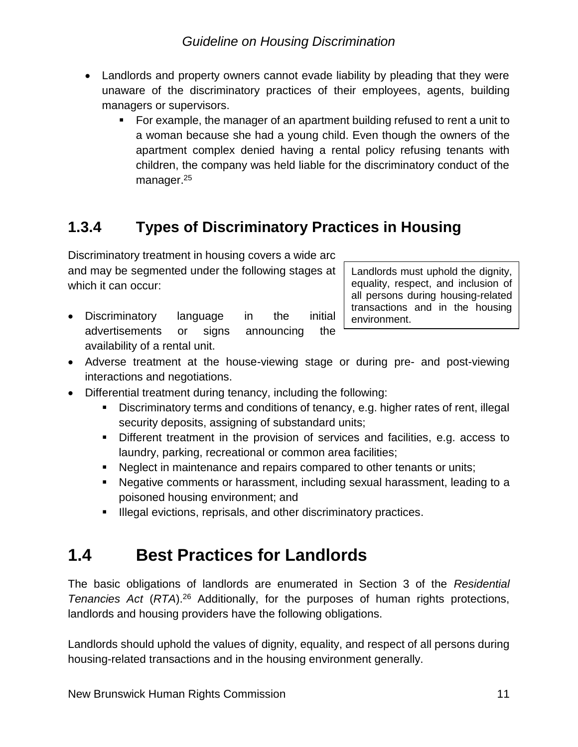- Landlords and property owners cannot evade liability by pleading that they were unaware of the discriminatory practices of their employees, agents, building managers or supervisors.
	- For example, the manager of an apartment building refused to rent a unit to a woman because she had a young child. Even though the owners of the apartment complex denied having a rental policy refusing tenants with children, the company was held liable for the discriminatory conduct of the manager.<sup>25</sup>

## <span id="page-10-0"></span>**1.3.4 Types of Discriminatory Practices in Housing**

Discriminatory treatment in housing covers a wide arc and may be segmented under the following stages at which it can occur:

• Discriminatory language in the initial advertisements or signs announcing the availability of a rental unit.

Landlords must uphold the dignity, equality, respect, and inclusion of all persons during housing-related transactions and in the housing environment.

- Adverse treatment at the house-viewing stage or during pre- and post-viewing interactions and negotiations.
- Differential treatment during tenancy, including the following:
	- Discriminatory terms and conditions of tenancy, e.g. higher rates of rent, illegal security deposits, assigning of substandard units;
	- Different treatment in the provision of services and facilities, e.g. access to laundry, parking, recreational or common area facilities;
	- Neglect in maintenance and repairs compared to other tenants or units;
	- Negative comments or harassment, including sexual harassment, leading to a poisoned housing environment; and
	- **E** Illegal evictions, reprisals, and other discriminatory practices.

## <span id="page-10-1"></span>**1.4 Best Practices for Landlords**

The basic obligations of landlords are enumerated in Section 3 of the *Residential Tenancies Act* (*RTA*).<sup>26</sup> Additionally, for the purposes of human rights protections, landlords and housing providers have the following obligations.

Landlords should uphold the values of dignity, equality, and respect of all persons during housing-related transactions and in the housing environment generally.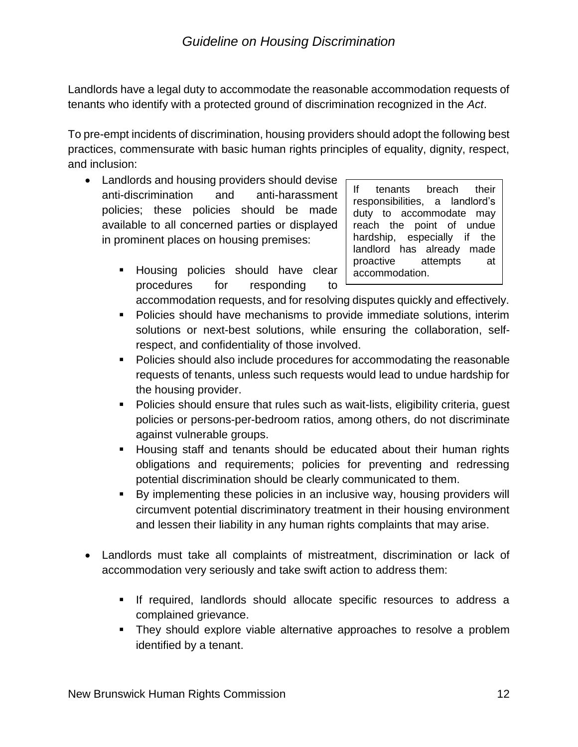Landlords have a legal duty to accommodate the reasonable accommodation requests of tenants who identify with a protected ground of discrimination recognized in the *Act*.

To pre-empt incidents of discrimination, housing providers should adopt the following best practices, commensurate with basic human rights principles of equality, dignity, respect, and inclusion:

- Landlords and housing providers should devise anti-discrimination and anti-harassment policies; these policies should be made available to all concerned parties or displayed in prominent places on housing premises:
	- **EXEDENT Housing policies should have clear** procedures for responding to

If tenants breach their responsibilities, a landlord's duty to accommodate may reach the point of undue hardship, especially if the landlord has already made proactive attempts at accommodation.

accommodation requests, and for resolving disputes quickly and effectively.

- Policies should have mechanisms to provide immediate solutions, interim solutions or next-best solutions, while ensuring the collaboration, selfrespect, and confidentiality of those involved.
- Policies should also include procedures for accommodating the reasonable requests of tenants, unless such requests would lead to undue hardship for the housing provider.
- Policies should ensure that rules such as wait-lists, eligibility criteria, guest policies or persons-per-bedroom ratios, among others, do not discriminate against vulnerable groups.
- Housing staff and tenants should be educated about their human rights obligations and requirements; policies for preventing and redressing potential discrimination should be clearly communicated to them.
- By implementing these policies in an inclusive way, housing providers will circumvent potential discriminatory treatment in their housing environment and lessen their liability in any human rights complaints that may arise.
- Landlords must take all complaints of mistreatment, discrimination or lack of accommodation very seriously and take swift action to address them:
	- If required, landlords should allocate specific resources to address a complained grievance.
	- They should explore viable alternative approaches to resolve a problem identified by a tenant.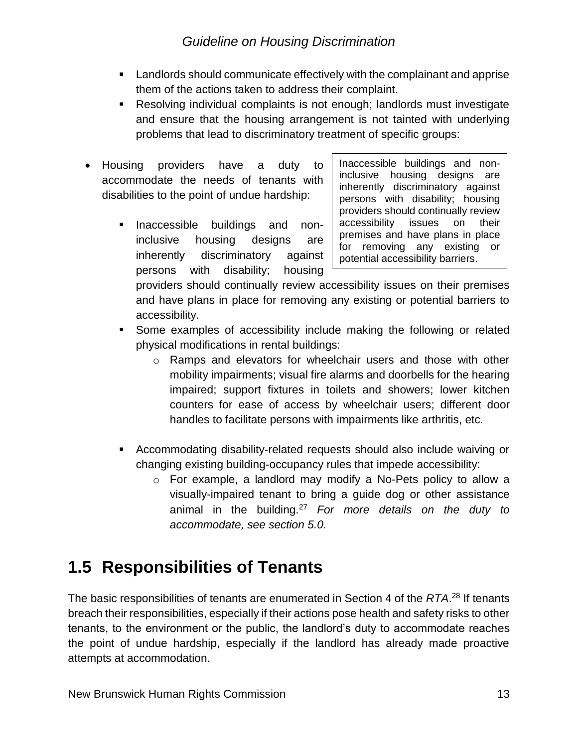- Landlords should communicate effectively with the complainant and apprise them of the actions taken to address their complaint.
- Resolving individual complaints is not enough; landlords must investigate and ensure that the housing arrangement is not tainted with underlying problems that lead to discriminatory treatment of specific groups:
- Housing providers have a duty to accommodate the needs of tenants with disabilities to the point of undue hardship:
	- **EXEC** inaccessible buildings and noninclusive housing designs are inherently discriminatory against persons with disability; housing

Inaccessible buildings and noninclusive housing designs are inherently discriminatory against persons with disability; housing providers should continually review accessibility issues on their premises and have plans in place for removing any existing or potential accessibility barriers.

providers should continually review accessibility issues on their premises and have plans in place for removing any existing or potential barriers to accessibility.

- Some examples of accessibility include making the following or related physical modifications in rental buildings:
	- $\circ$  Ramps and elevators for wheelchair users and those with other mobility impairments; visual fire alarms and doorbells for the hearing impaired; support fixtures in toilets and showers; lower kitchen counters for ease of access by wheelchair users; different door handles to facilitate persons with impairments like arthritis, etc*.*
- Accommodating disability-related requests should also include waiving or changing existing building-occupancy rules that impede accessibility:
	- $\circ$  For example, a landlord may modify a No-Pets policy to allow a visually-impaired tenant to bring a guide dog or other assistance animal in the building.<sup>27</sup> *For more details on the duty to accommodate, see section 5.0.*

## <span id="page-12-0"></span>**1.5 Responsibilities of Tenants**

The basic responsibilities of tenants are enumerated in Section 4 of the *RTA*. <sup>28</sup> If tenants breach their responsibilities, especially if their actions pose health and safety risks to other tenants, to the environment or the public, the landlord's duty to accommodate reaches the point of undue hardship, especially if the landlord has already made proactive attempts at accommodation.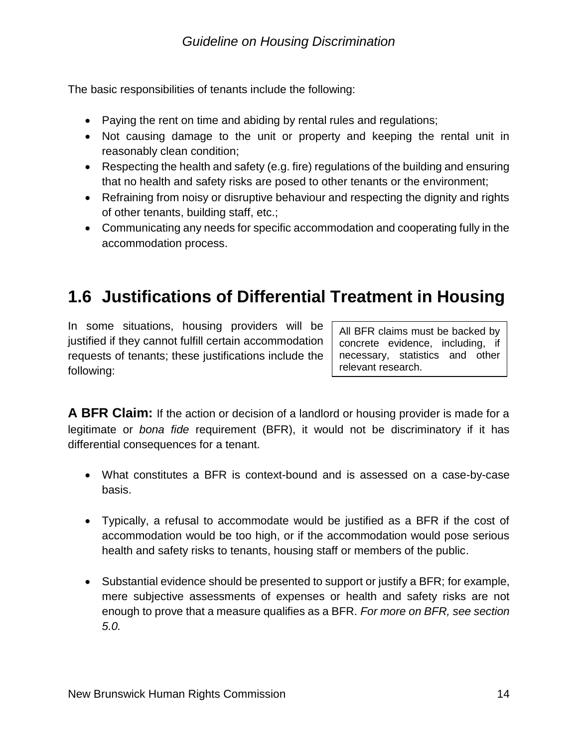The basic responsibilities of tenants include the following:

- Paying the rent on time and abiding by rental rules and regulations;
- Not causing damage to the unit or property and keeping the rental unit in reasonably clean condition;
- Respecting the health and safety (e.g. fire) regulations of the building and ensuring that no health and safety risks are posed to other tenants or the environment;
- Refraining from noisy or disruptive behaviour and respecting the dignity and rights of other tenants, building staff, etc.;
- Communicating any needs for specific accommodation and cooperating fully in the accommodation process.

## <span id="page-13-0"></span>**1.6 Justifications of Differential Treatment in Housing**

In some situations, housing providers will be justified if they cannot fulfill certain accommodation requests of tenants; these justifications include the following:

All BFR claims must be backed by concrete evidence, including, if necessary, statistics and other relevant research.

**A BFR Claim:** If the action or decision of a landlord or housing provider is made for a legitimate or *bona fide* requirement (BFR), it would not be discriminatory if it has differential consequences for a tenant.

- What constitutes a BFR is context-bound and is assessed on a case-by-case basis.
- Typically, a refusal to accommodate would be justified as a BFR if the cost of accommodation would be too high, or if the accommodation would pose serious health and safety risks to tenants, housing staff or members of the public.
- Substantial evidence should be presented to support or justify a BFR; for example, mere subjective assessments of expenses or health and safety risks are not enough to prove that a measure qualifies as a BFR. *For more on BFR, see section 5.0.*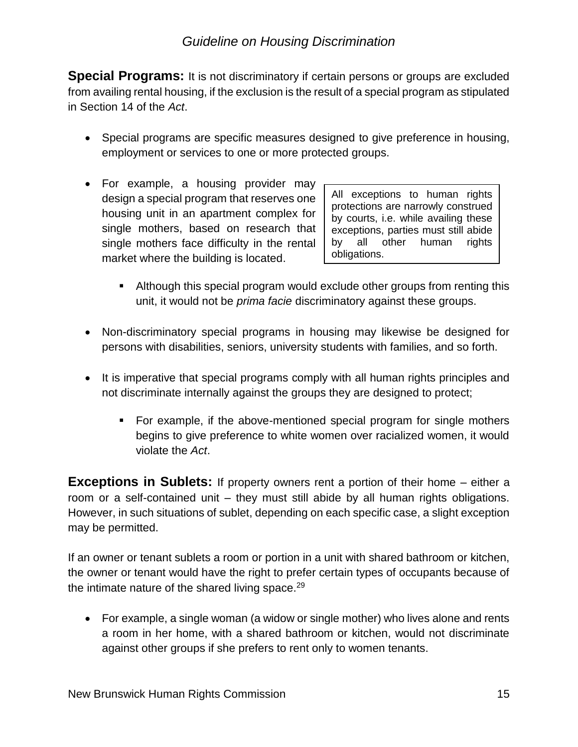**Special Programs:** It is not discriminatory if certain persons or groups are excluded from availing rental housing, if the exclusion is the result of a special program as stipulated in Section 14 of the *Act*.

- Special programs are specific measures designed to give preference in housing, employment or services to one or more protected groups.
- For example, a housing provider may design a special program that reserves one housing unit in an apartment complex for single mothers, based on research that single mothers face difficulty in the rental market where the building is located.

All exceptions to human rights protections are narrowly construed by courts, i.e. while availing these exceptions, parties must still abide by all other human rights obligations.

- **E** Although this special program would exclude other groups from renting this unit, it would not be *prima facie* discriminatory against these groups.
- Non-discriminatory special programs in housing may likewise be designed for persons with disabilities, seniors, university students with families, and so forth.
- It is imperative that special programs comply with all human rights principles and not discriminate internally against the groups they are designed to protect;
	- For example, if the above-mentioned special program for single mothers begins to give preference to white women over racialized women, it would violate the *Act*.

**Exceptions in Sublets:** If property owners rent a portion of their home – either a room or a self-contained unit – they must still abide by all human rights obligations. However, in such situations of sublet, depending on each specific case, a slight exception may be permitted.

If an owner or tenant sublets a room or portion in a unit with shared bathroom or kitchen, the owner or tenant would have the right to prefer certain types of occupants because of the intimate nature of the shared living space. $29$ 

• For example, a single woman (a widow or single mother) who lives alone and rents a room in her home, with a shared bathroom or kitchen, would not discriminate against other groups if she prefers to rent only to women tenants.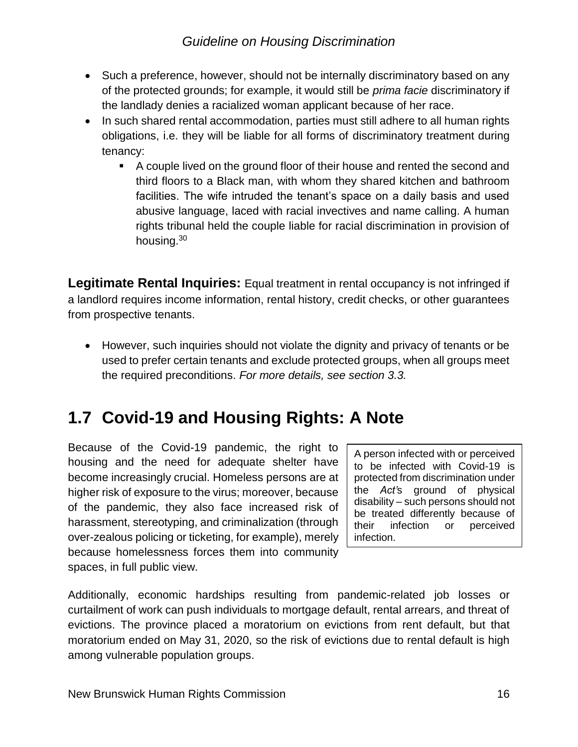- Such a preference, however, should not be internally discriminatory based on any of the protected grounds; for example, it would still be *prima facie* discriminatory if the landlady denies a racialized woman applicant because of her race.
- In such shared rental accommodation, parties must still adhere to all human rights obligations, i.e. they will be liable for all forms of discriminatory treatment during tenancy:
	- A couple lived on the ground floor of their house and rented the second and third floors to a Black man, with whom they shared kitchen and bathroom facilities. The wife intruded the tenant's space on a daily basis and used abusive language, laced with racial invectives and name calling. A human rights tribunal held the couple liable for racial discrimination in provision of housing.<sup>30</sup>

**Legitimate Rental Inquiries:** Equal treatment in rental occupancy is not infringed if a landlord requires income information, rental history, credit checks, or other guarantees from prospective tenants.

• However, such inquiries should not violate the dignity and privacy of tenants or be used to prefer certain tenants and exclude protected groups, when all groups meet the required preconditions. *For more details, see section 3.3.*

## <span id="page-15-0"></span>**1.7 Covid-19 and Housing Rights: A Note**

Because of the Covid-19 pandemic, the right to housing and the need for adequate shelter have become increasingly crucial. Homeless persons are at higher risk of exposure to the virus; moreover, because of the pandemic, they also face increased risk of harassment, stereotyping, and criminalization (through over-zealous policing or ticketing, for example), merely because homelessness forces them into community spaces, in full public view.

A person infected with or perceived to be infected with Covid-19 is protected from discrimination under the *Act'*s ground of physical disability – such persons should not be treated differently because of<br>their infection or perceived their infection or infection.

Additionally, economic hardships resulting from pandemic-related job losses or curtailment of work can push individuals to mortgage default, rental arrears, and threat of evictions. The province placed a moratorium on evictions from rent default, but that moratorium ended on May 31, 2020, so the risk of evictions due to rental default is high among vulnerable population groups.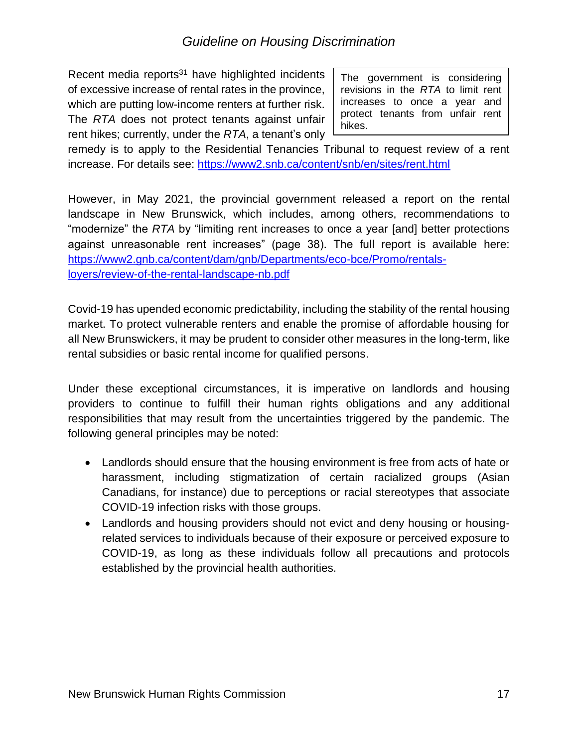Recent media reports $31$  have highlighted incidents of excessive increase of rental rates in the province, which are putting low-income renters at further risk. The *RTA* does not protect tenants against unfair rent hikes; currently, under the *RTA*, a tenant's only

The government is considering revisions in the *RTA* to limit rent increases to once a year and protect tenants from unfair rent hikes.

remedy is to apply to the Residential Tenancies Tribunal to request review of a rent increase. For details see:<https://www2.snb.ca/content/snb/en/sites/rent.html>

However, in May 2021, the provincial government released a report on the rental landscape in New Brunswick, which includes, among others, recommendations to "modernize" the *RTA* by "limiting rent increases to once a year [and] better protections against unreasonable rent increases" (page 38). The full report is available here: [https://www2.gnb.ca/content/dam/gnb/Departments/eco-bce/Promo/rentals](https://www2.gnb.ca/content/dam/gnb/Departments/eco-bce/Promo/rentals-loyers/review-of-the-rental-landscape-nb.pdf)[loyers/review-of-the-rental-landscape-nb.pdf](https://www2.gnb.ca/content/dam/gnb/Departments/eco-bce/Promo/rentals-loyers/review-of-the-rental-landscape-nb.pdf)

Covid-19 has upended economic predictability, including the stability of the rental housing market. To protect vulnerable renters and enable the promise of affordable housing for all New Brunswickers, it may be prudent to consider other measures in the long-term, like rental subsidies or basic rental income for qualified persons.

Under these exceptional circumstances, it is imperative on landlords and housing providers to continue to fulfill their human rights obligations and any additional responsibilities that may result from the uncertainties triggered by the pandemic. The following general principles may be noted:

- Landlords should ensure that the housing environment is free from acts of hate or harassment, including stigmatization of certain racialized groups (Asian Canadians, for instance) due to perceptions or racial stereotypes that associate COVID-19 infection risks with those groups.
- Landlords and housing providers should not evict and deny housing or housingrelated services to individuals because of their exposure or perceived exposure to COVID-19, as long as these individuals follow all precautions and protocols established by the provincial health authorities.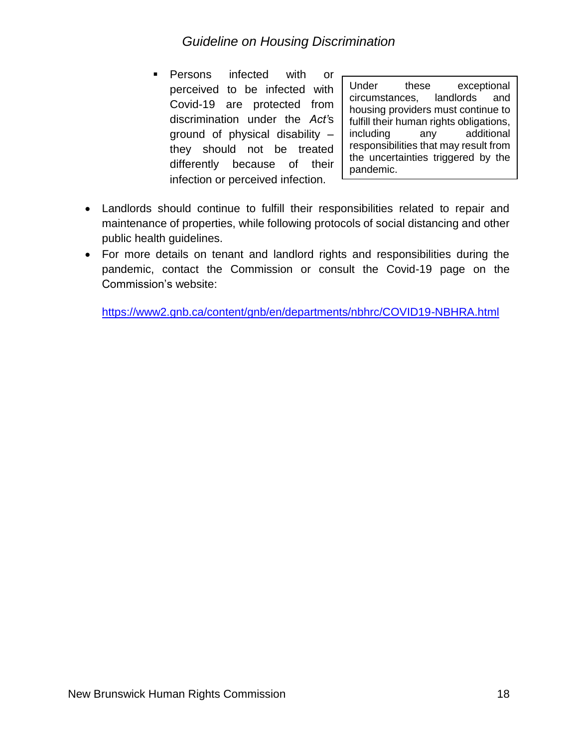▪ Persons infected with or perceived to be infected with Covid-19 are protected from discrimination under the *Act'*s ground of physical disability – they should not be treated differently because of their infection or perceived infection.

Under these exceptional circumstances, landlords and housing providers must continue to fulfill their human rights obligations, including any additional responsibilities that may result from the uncertainties triggered by the pandemic.

- Landlords should continue to fulfill their responsibilities related to repair and maintenance of properties, while following protocols of social distancing and other public health guidelines.
- For more details on tenant and landlord rights and responsibilities during the pandemic, contact the Commission or consult the Covid-19 page on the Commission's website:

<https://www2.gnb.ca/content/gnb/en/departments/nbhrc/COVID19-NBHRA.html>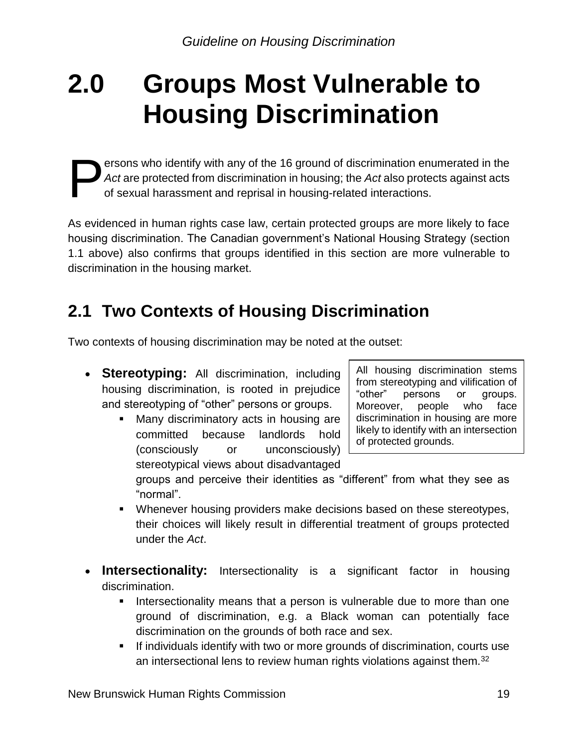## <span id="page-18-0"></span>**2.0 Groups Most Vulnerable to Housing Discrimination**

ersons who identify with any of the 16 ground of discrimination enumerated in the *Act* are protected from discrimination in housing; the *Act* also protects against acts of sexual harassment and reprisal in housing-related interactions. P

As evidenced in human rights case law, certain protected groups are more likely to face housing discrimination. The Canadian government's National Housing Strategy (section 1.1 above) also confirms that groups identified in this section are more vulnerable to discrimination in the housing market.

## <span id="page-18-1"></span>**2.1 Two Contexts of Housing Discrimination**

Two contexts of housing discrimination may be noted at the outset:

- **Stereotyping:** All discrimination, including housing discrimination, is rooted in prejudice and stereotyping of "other" persons or groups.
	- Many discriminatory acts in housing are committed because landlords hold (consciously or unconsciously) stereotypical views about disadvantaged

All housing discrimination stems from stereotyping and vilification of "other" persons or groups. Moreover, people who face discrimination in housing are more likely to identify with an intersection of protected grounds.

groups and perceive their identities as "different" from what they see as "normal".

- Whenever housing providers make decisions based on these stereotypes, their choices will likely result in differential treatment of groups protected under the *Act*.
- **Intersectionality:** Intersectionality is a significant factor in housing discrimination.
	- **.** Intersectionality means that a person is vulnerable due to more than one ground of discrimination, e.g. a Black woman can potentially face discrimination on the grounds of both race and sex.
	- If individuals identify with two or more grounds of discrimination, courts use an intersectional lens to review human rights violations against them.<sup>32</sup>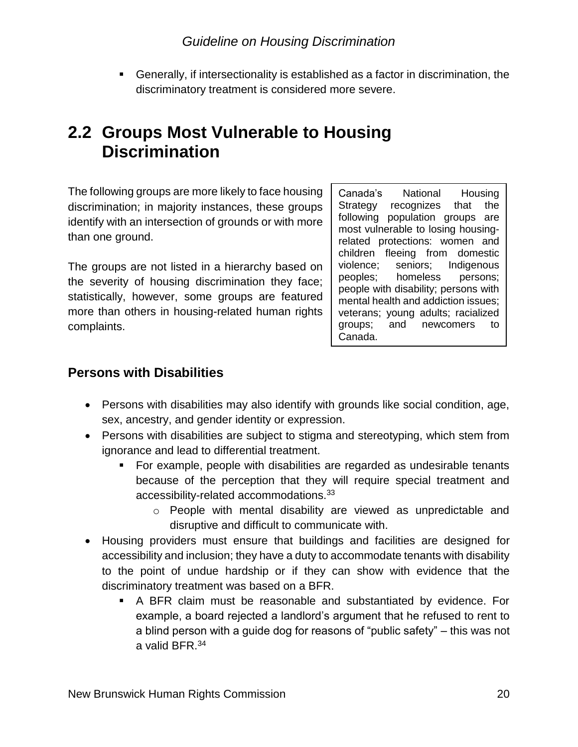▪ Generally, if intersectionality is established as a factor in discrimination, the discriminatory treatment is considered more severe.

## <span id="page-19-0"></span>**2.2 Groups Most Vulnerable to Housing Discrimination**

The following groups are more likely to face housing discrimination; in majority instances, these groups identify with an intersection of grounds or with more than one ground.

The groups are not listed in a hierarchy based on the severity of housing discrimination they face; statistically, however, some groups are featured more than others in housing-related human rights complaints.

Canada's National Housing Strategy recognizes that the following population groups are most vulnerable to losing housingrelated protections: women and children fleeing from domestic violence; seniors; Indigenous peoples; homeless persons; people with disability; persons with mental health and addiction issues; veterans; young adults; racialized groups; and newcomers to Canada.

#### **Persons with Disabilities**

- Persons with disabilities may also identify with grounds like social condition, age, sex, ancestry, and gender identity or expression.
- Persons with disabilities are subject to stigma and stereotyping, which stem from ignorance and lead to differential treatment.
	- For example, people with disabilities are regarded as undesirable tenants because of the perception that they will require special treatment and accessibility-related accommodations.<sup>33</sup>
		- o People with mental disability are viewed as unpredictable and disruptive and difficult to communicate with.
- Housing providers must ensure that buildings and facilities are designed for accessibility and inclusion; they have a duty to accommodate tenants with disability to the point of undue hardship or if they can show with evidence that the discriminatory treatment was based on a BFR.
	- A BFR claim must be reasonable and substantiated by evidence. For example, a board rejected a landlord's argument that he refused to rent to a blind person with a guide dog for reasons of "public safety" – this was not a valid BFR  $34$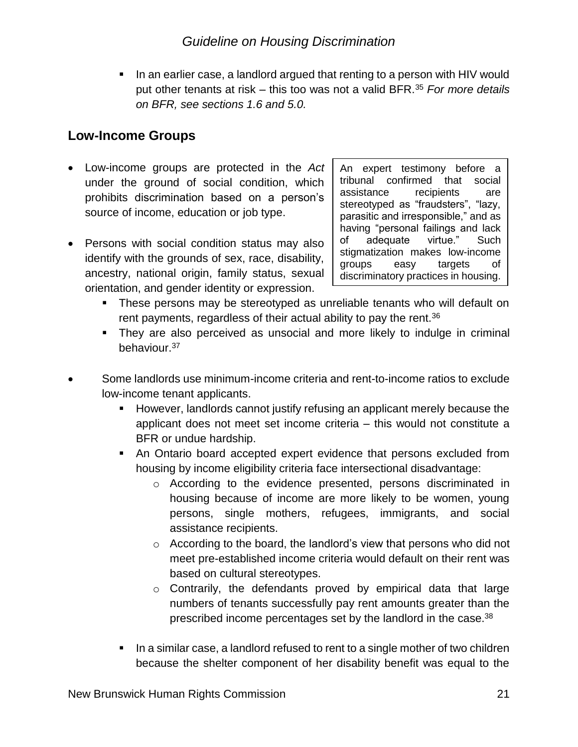▪ In an earlier case, a landlord argued that renting to a person with HIV would put other tenants at risk – this too was not a valid BFR.<sup>35</sup> *For more details on BFR, see sections 1.6 and 5.0.*

#### **Low-Income Groups**

- Low-income groups are protected in the *Act* under the ground of social condition, which prohibits discrimination based on a person's source of income, education or job type.
- Persons with social condition status may also identify with the grounds of sex, race, disability, ancestry, national origin, family status, sexual orientation, and gender identity or expression.

An expert testimony before a tribunal confirmed that social assistance recipients are stereotyped as "fraudsters", "lazy, parasitic and irresponsible," and as having "personal failings and lack of adequate virtue." Such stigmatization makes low-income groups easy targets of discriminatory practices in housing.

- **•** These persons may be stereotyped as unreliable tenants who will default on rent payments, regardless of their actual ability to pay the rent.  $36$
- They are also perceived as unsocial and more likely to indulge in criminal behaviour.<sup>37</sup>
- Some landlords use minimum-income criteria and rent-to-income ratios to exclude low-income tenant applicants.
	- However, landlords cannot justify refusing an applicant merely because the applicant does not meet set income criteria – this would not constitute a BFR or undue hardship.
	- An Ontario board accepted expert evidence that persons excluded from housing by income eligibility criteria face intersectional disadvantage:
		- o According to the evidence presented, persons discriminated in housing because of income are more likely to be women, young persons, single mothers, refugees, immigrants, and social assistance recipients.
		- o According to the board, the landlord's view that persons who did not meet pre-established income criteria would default on their rent was based on cultural stereotypes.
		- o Contrarily, the defendants proved by empirical data that large numbers of tenants successfully pay rent amounts greater than the prescribed income percentages set by the landlord in the case.<sup>38</sup>
	- In a similar case, a landlord refused to rent to a single mother of two children because the shelter component of her disability benefit was equal to the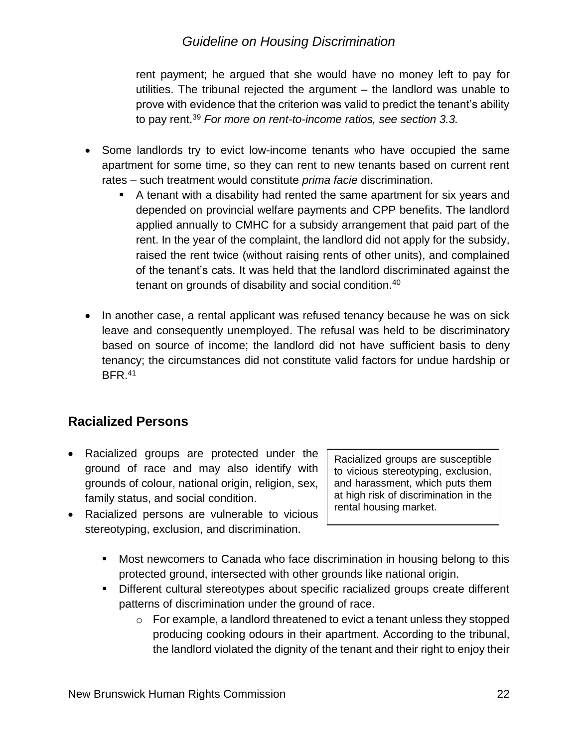rent payment; he argued that she would have no money left to pay for utilities. The tribunal rejected the argument – the landlord was unable to prove with evidence that the criterion was valid to predict the tenant's ability to pay rent.<sup>39</sup> *For more on rent-to-income ratios, see section 3.3.*

- Some landlords try to evict low-income tenants who have occupied the same apartment for some time, so they can rent to new tenants based on current rent rates – such treatment would constitute *prima facie* discrimination.
	- A tenant with a disability had rented the same apartment for six years and depended on provincial welfare payments and CPP benefits. The landlord applied annually to CMHC for a subsidy arrangement that paid part of the rent. In the year of the complaint, the landlord did not apply for the subsidy, raised the rent twice (without raising rents of other units), and complained of the tenant's cats. It was held that the landlord discriminated against the tenant on grounds of disability and social condition.<sup>40</sup>
- In another case, a rental applicant was refused tenancy because he was on sick leave and consequently unemployed. The refusal was held to be discriminatory based on source of income; the landlord did not have sufficient basis to deny tenancy; the circumstances did not constitute valid factors for undue hardship or  $BFR.^{41}$

#### **Racialized Persons**

- Racialized groups are protected under the ground of race and may also identify with grounds of colour, national origin, religion, sex, family status, and social condition.
- Racialized persons are vulnerable to vicious stereotyping, exclusion, and discrimination.

Racialized groups are susceptible to vicious stereotyping, exclusion, and harassment, which puts them at high risk of discrimination in the rental housing market.

- Most newcomers to Canada who face discrimination in housing belong to this protected ground, intersected with other grounds like national origin.
- Different cultural stereotypes about specific racialized groups create different patterns of discrimination under the ground of race.
	- o For example, a landlord threatened to evict a tenant unless they stopped producing cooking odours in their apartment. According to the tribunal, the landlord violated the dignity of the tenant and their right to enjoy their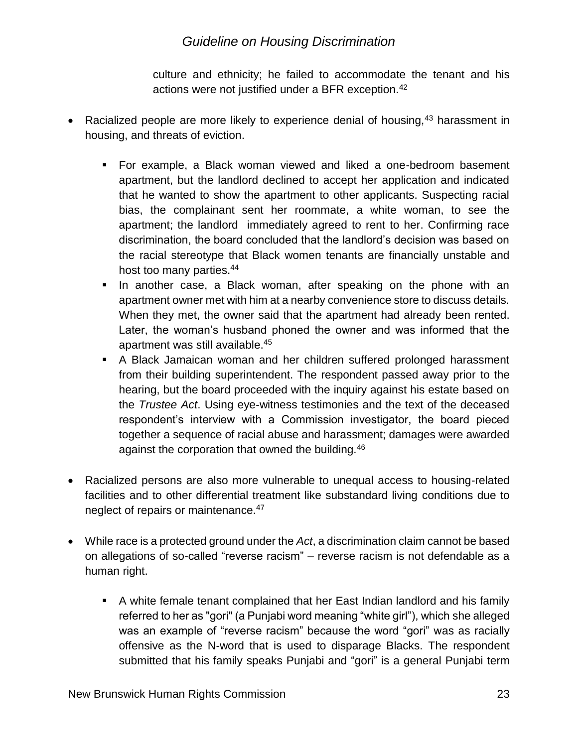culture and ethnicity; he failed to accommodate the tenant and his actions were not justified under a BFR exception.<sup>42</sup>

- Racialized people are more likely to experience denial of housing,  $43$  harassment in housing, and threats of eviction.
	- For example, a Black woman viewed and liked a one-bedroom basement apartment, but the landlord declined to accept her application and indicated that he wanted to show the apartment to other applicants. Suspecting racial bias, the complainant sent her roommate, a white woman, to see the apartment; the landlord immediately agreed to rent to her. Confirming race discrimination, the board concluded that the landlord's decision was based on the racial stereotype that Black women tenants are financially unstable and host too many parties.<sup>44</sup>
	- **.** In another case, a Black woman, after speaking on the phone with an apartment owner met with him at a nearby convenience store to discuss details. When they met, the owner said that the apartment had already been rented. Later, the woman's husband phoned the owner and was informed that the apartment was still available.<sup>45</sup>
	- A Black Jamaican woman and her children suffered prolonged harassment from their building superintendent. The respondent passed away prior to the hearing, but the board proceeded with the inquiry against his estate based on the *Trustee Act*. Using eye-witness testimonies and the text of the deceased respondent's interview with a Commission investigator, the board pieced together a sequence of racial abuse and harassment; damages were awarded against the corporation that owned the building.<sup>46</sup>
- Racialized persons are also more vulnerable to unequal access to housing-related facilities and to other differential treatment like substandard living conditions due to neglect of repairs or maintenance.<sup>47</sup>
- While race is a protected ground under the *Act*, a discrimination claim cannot be based on allegations of so-called "reverse racism" – reverse racism is not defendable as a human right.
	- A white female tenant complained that her East Indian landlord and his family referred to her as "gori" (a Punjabi word meaning "white girl"), which she alleged was an example of "reverse racism" because the word "gori" was as racially offensive as the N-word that is used to disparage Blacks. The respondent submitted that his family speaks Punjabi and "gori" is a general Punjabi term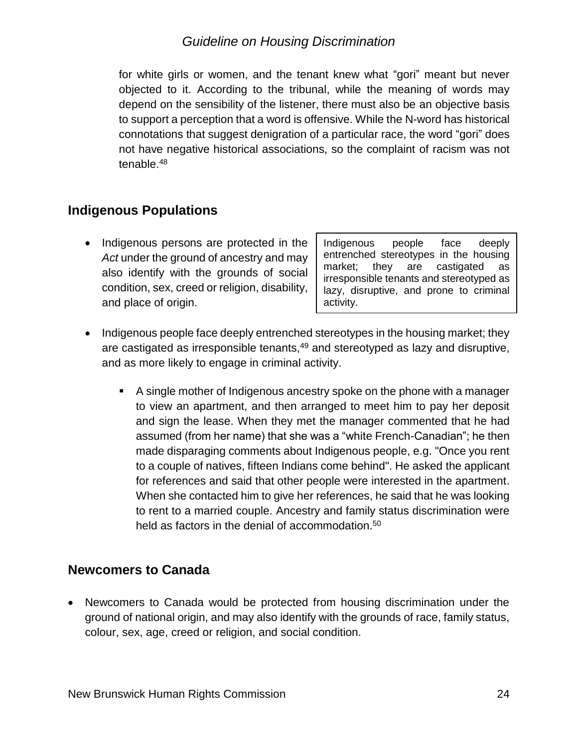for white girls or women, and the tenant knew what "gori" meant but never objected to it. According to the tribunal, while the meaning of words may depend on the sensibility of the listener, there must also be an objective basis to support a perception that a word is offensive. While the N-word has historical connotations that suggest denigration of a particular race, the word "gori" does not have negative historical associations, so the complaint of racism was not tenable.<sup>48</sup>

#### **Indigenous Populations**

• Indigenous persons are protected in the *Act* under the ground of ancestry and may also identify with the grounds of social condition, sex, creed or religion, disability, and place of origin.

Indigenous people face deeply entrenched stereotypes in the housing market; they are castigated as irresponsible tenants and stereotyped as lazy, disruptive, and prone to criminal activity.

- Indigenous people face deeply entrenched stereotypes in the housing market; they are castigated as irresponsible tenants,<sup>49</sup> and stereotyped as lazy and disruptive, and as more likely to engage in criminal activity.
	- A single mother of Indigenous ancestry spoke on the phone with a manager to view an apartment, and then arranged to meet him to pay her deposit and sign the lease. When they met the manager commented that he had assumed (from her name) that she was a "white French-Canadian"; he then made disparaging comments about Indigenous people, e.g. "Once you rent to a couple of natives, fifteen Indians come behind". He asked the applicant for references and said that other people were interested in the apartment. When she contacted him to give her references, he said that he was looking to rent to a married couple. Ancestry and family status discrimination were held as factors in the denial of accommodation.<sup>50</sup>

#### **Newcomers to Canada**

• Newcomers to Canada would be protected from housing discrimination under the ground of national origin, and may also identify with the grounds of race, family status, colour, sex, age, creed or religion, and social condition.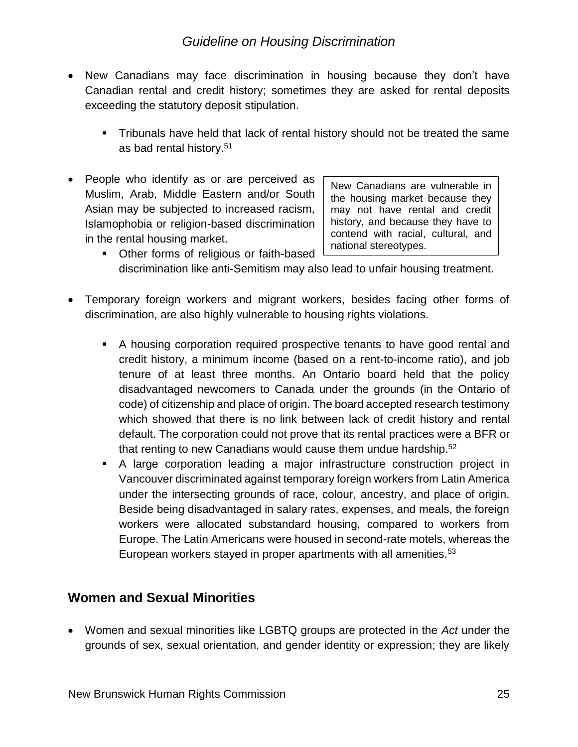- New Canadians may face discrimination in housing because they don't have Canadian rental and credit history; sometimes they are asked for rental deposits exceeding the statutory deposit stipulation.
	- Tribunals have held that lack of rental history should not be treated the same as bad rental history.<sup>51</sup>
- People who identify as or are perceived as Muslim, Arab, Middle Eastern and/or South Asian may be subjected to increased racism, Islamophobia or religion-based discrimination in the rental housing market.

New Canadians are vulnerable in the housing market because they may not have rental and credit history, and because they have to contend with racial, cultural, and national stereotypes.

- Other forms of religious or faith-based discrimination like anti-Semitism may also lead to unfair housing treatment.
- Temporary foreign workers and migrant workers, besides facing other forms of discrimination, are also highly vulnerable to housing rights violations.
	- A housing corporation required prospective tenants to have good rental and credit history, a minimum income (based on a rent-to-income ratio), and job tenure of at least three months. An Ontario board held that the policy disadvantaged newcomers to Canada under the grounds (in the Ontario of code) of citizenship and place of origin. The board accepted research testimony which showed that there is no link between lack of credit history and rental default. The corporation could not prove that its rental practices were a BFR or that renting to new Canadians would cause them undue hardship.<sup>52</sup>
	- A large corporation leading a major infrastructure construction project in Vancouver discriminated against temporary foreign workers from Latin America under the intersecting grounds of race, colour, ancestry, and place of origin. Beside being disadvantaged in salary rates, expenses, and meals, the foreign workers were allocated substandard housing, compared to workers from Europe. The Latin Americans were housed in second-rate motels, whereas the European workers stayed in proper apartments with all amenities.<sup>53</sup>

#### **Women and Sexual Minorities**

• Women and sexual minorities like LGBTQ groups are protected in the *Act* under the grounds of sex, sexual orientation, and gender identity or expression; they are likely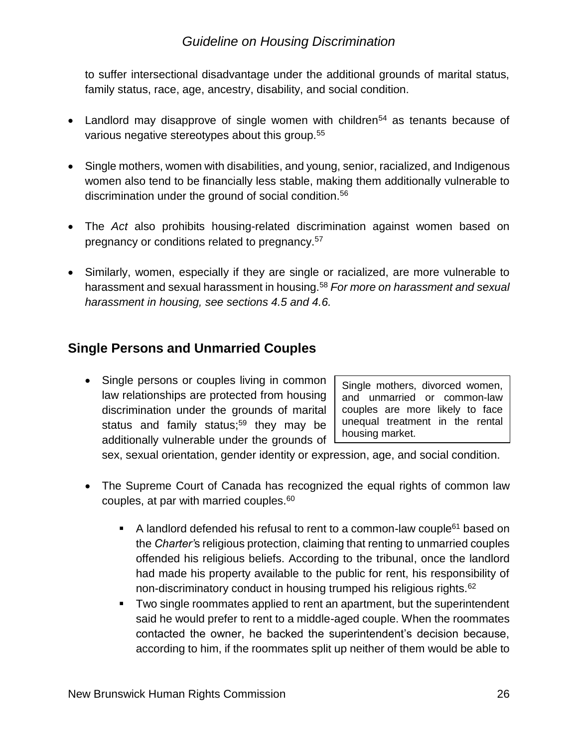to suffer intersectional disadvantage under the additional grounds of marital status, family status, race, age, ancestry, disability, and social condition.

- Landlord may disapprove of single women with children<sup>54</sup> as tenants because of various negative stereotypes about this group.<sup>55</sup>
- Single mothers, women with disabilities, and young, senior, racialized, and Indigenous women also tend to be financially less stable, making them additionally vulnerable to discrimination under the ground of social condition.<sup>56</sup>
- The *Act* also prohibits housing-related discrimination against women based on pregnancy or conditions related to pregnancy.<sup>57</sup>
- Similarly, women, especially if they are single or racialized, are more vulnerable to harassment and sexual harassment in housing.<sup>58</sup> *For more on harassment and sexual harassment in housing, see sections 4.5 and 4.6.*

#### **Single Persons and Unmarried Couples**

• Single persons or couples living in common law relationships are protected from housing discrimination under the grounds of marital status and family status;<sup>59</sup> they may be additionally vulnerable under the grounds of

Single mothers, divorced women, and unmarried or common-law couples are more likely to face unequal treatment in the rental housing market.

sex, sexual orientation, gender identity or expression, age, and social condition.

- The Supreme Court of Canada has recognized the equal rights of common law couples, at par with married couples.<sup>60</sup>
	- A landlord defended his refusal to rent to a common-law couple<sup>61</sup> based on the *Charter'*s religious protection, claiming that renting to unmarried couples offended his religious beliefs. According to the tribunal, once the landlord had made his property available to the public for rent, his responsibility of non-discriminatory conduct in housing trumped his religious rights.<sup>62</sup>
	- Two single roommates applied to rent an apartment, but the superintendent said he would prefer to rent to a middle-aged couple. When the roommates contacted the owner, he backed the superintendent's decision because, according to him, if the roommates split up neither of them would be able to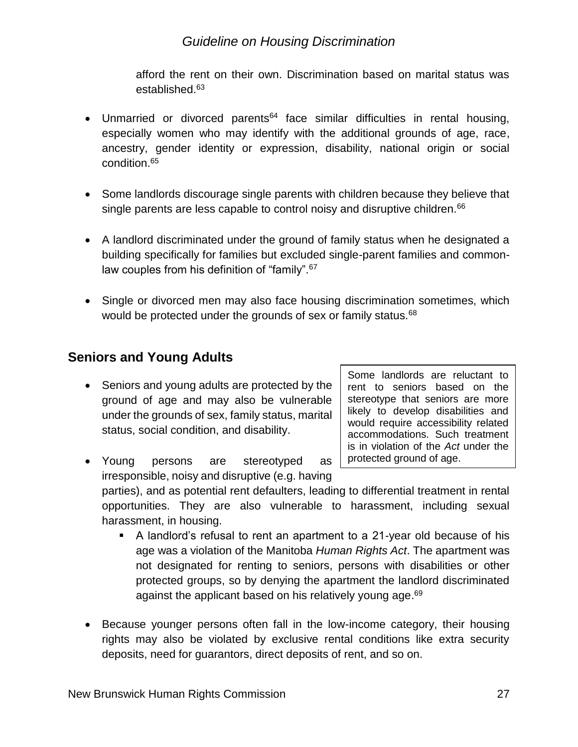afford the rent on their own. Discrimination based on marital status was established.<sup>63</sup>

- Unmarried or divorced parents<sup>64</sup> face similar difficulties in rental housing, especially women who may identify with the additional grounds of age, race, ancestry, gender identity or expression, disability, national origin or social condition.<sup>65</sup>
- Some landlords discourage single parents with children because they believe that single parents are less capable to control noisy and disruptive children.<sup>66</sup>
- A landlord discriminated under the ground of family status when he designated a building specifically for families but excluded single-parent families and commonlaw couples from his definition of "family".<sup>67</sup>
- Single or divorced men may also face housing discrimination sometimes, which would be protected under the grounds of sex or family status.<sup>68</sup>

#### **Seniors and Young Adults**

• Seniors and young adults are protected by the ground of age and may also be vulnerable under the grounds of sex, family status, marital status, social condition, and disability.

Some landlords are reluctant to rent to seniors based on the stereotype that seniors are more likely to develop disabilities and would require accessibility related accommodations. Such treatment is in violation of the *Act* under the protected ground of age.

• Young persons are stereotyped as irresponsible, noisy and disruptive (e.g. having

parties), and as potential rent defaulters, leading to differential treatment in rental opportunities. They are also vulnerable to harassment, including sexual harassment, in housing.

- A landlord's refusal to rent an apartment to a 21-year old because of his age was a violation of the Manitoba *Human Rights Act*. The apartment was not designated for renting to seniors, persons with disabilities or other protected groups, so by denying the apartment the landlord discriminated against the applicant based on his relatively young age.<sup>69</sup>
- Because younger persons often fall in the low-income category, their housing rights may also be violated by exclusive rental conditions like extra security deposits, need for guarantors, direct deposits of rent, and so on.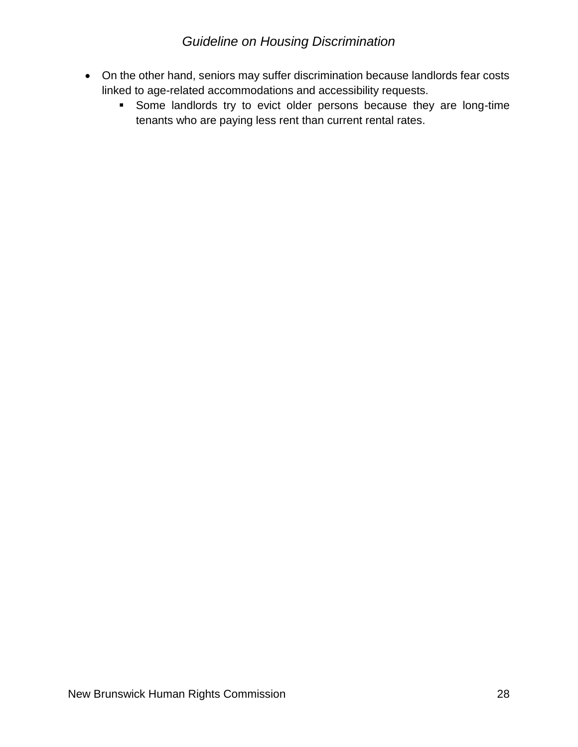- On the other hand, seniors may suffer discrimination because landlords fear costs linked to age-related accommodations and accessibility requests.
	- Some landlords try to evict older persons because they are long-time tenants who are paying less rent than current rental rates.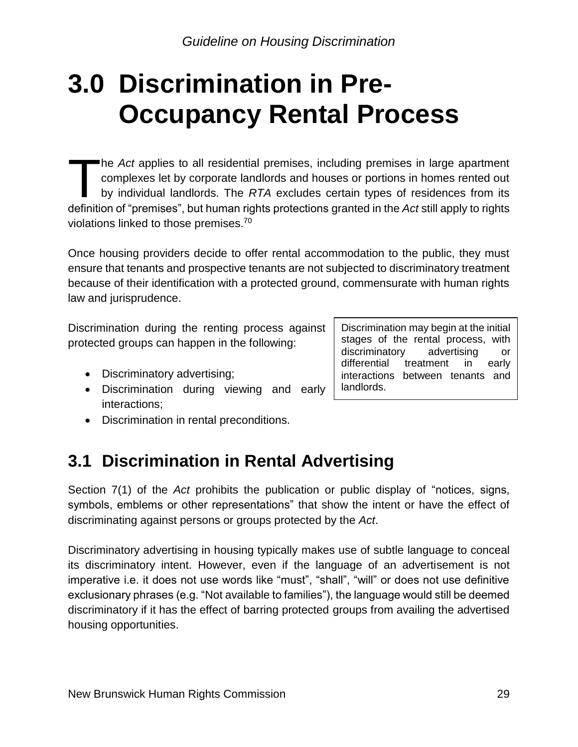## <span id="page-28-0"></span>**3.0 Discrimination in Pre-Occupancy Rental Process**

he *Act* applies to all residential premises, including premises in large apartment complexes let by corporate landlords and houses or portions in homes rented out by individual landlords. The *RTA* excludes certain types of residences from its definition of "premises", but human rights protections granted in the *Act* still apply to rights violations linked to those premises.<sup>70</sup>  $\begin{array}{c} \hline \ \hline \ \hline \end{array}$ 

Once housing providers decide to offer rental accommodation to the public, they must ensure that tenants and prospective tenants are not subjected to discriminatory treatment because of their identification with a protected ground, commensurate with human rights law and jurisprudence.

Discrimination during the renting process against protected groups can happen in the following:

- Discriminatory advertising;
- Discrimination during viewing and early interactions;
- Discrimination in rental preconditions.

## <span id="page-28-1"></span>**3.1 Discrimination in Rental Advertising**

Section 7(1) of the *Act* prohibits the publication or public display of "notices, signs, symbols, emblems or other representations" that show the intent or have the effect of discriminating against persons or groups protected by the *Act*.

Discriminatory advertising in housing typically makes use of subtle language to conceal its discriminatory intent. However, even if the language of an advertisement is not imperative i.e. it does not use words like "must", "shall", "will" or does not use definitive exclusionary phrases (e.g. "Not available to families"), the language would still be deemed discriminatory if it has the effect of barring protected groups from availing the advertised housing opportunities.

Discrimination may begin at the initial stages of the rental process, with discriminatory advertising or differential treatment in early interactions between tenants and landlords.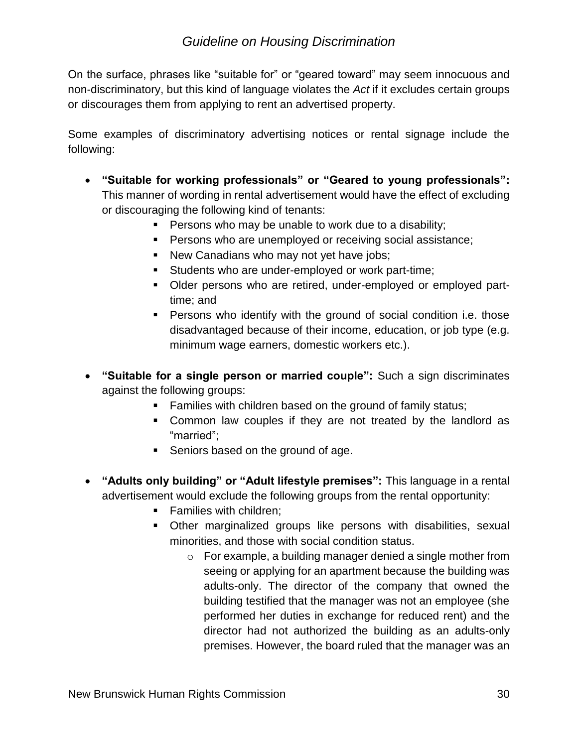On the surface, phrases like "suitable for" or "geared toward" may seem innocuous and non-discriminatory, but this kind of language violates the *Act* if it excludes certain groups or discourages them from applying to rent an advertised property.

Some examples of discriminatory advertising notices or rental signage include the following:

- **"Suitable for working professionals" or "Geared to young professionals":** This manner of wording in rental advertisement would have the effect of excluding or discouraging the following kind of tenants:
	- Persons who may be unable to work due to a disability;
	- Persons who are unemployed or receiving social assistance;
	- New Canadians who may not yet have jobs;
	- **EXECT** Students who are under-employed or work part-time;
	- Older persons who are retired, under-employed or employed parttime; and
	- Persons who identify with the ground of social condition i.e. those disadvantaged because of their income, education, or job type (e.g. minimum wage earners, domestic workers etc.).
- **"Suitable for a single person or married couple":** Such a sign discriminates against the following groups:
	- Families with children based on the ground of family status;
	- Common law couples if they are not treated by the landlord as "married";
	- Seniors based on the ground of age.
- **"Adults only building" or "Adult lifestyle premises":** This language in a rental advertisement would exclude the following groups from the rental opportunity:
	- Families with children;
	- Other marginalized groups like persons with disabilities, sexual minorities, and those with social condition status.
		- o For example, a building manager denied a single mother from seeing or applying for an apartment because the building was adults-only. The director of the company that owned the building testified that the manager was not an employee (she performed her duties in exchange for reduced rent) and the director had not authorized the building as an adults-only premises. However, the board ruled that the manager was an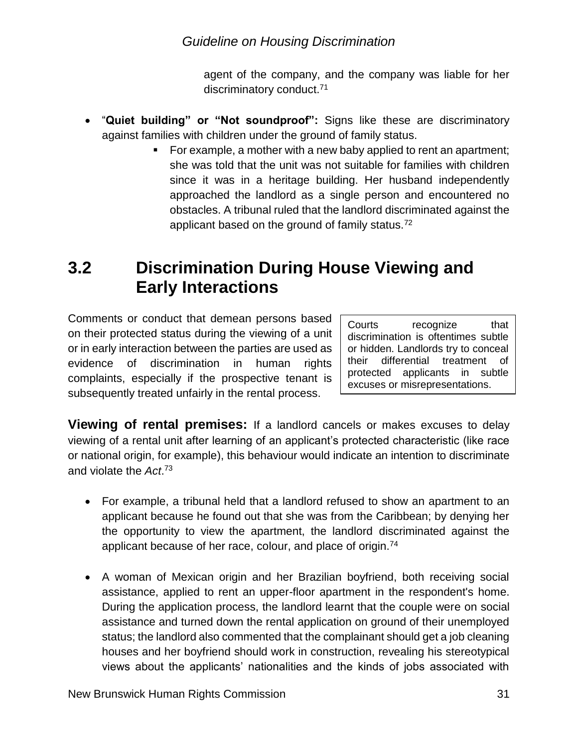agent of the company, and the company was liable for her discriminatory conduct.<sup>71</sup>

- "**Quiet building" or "Not soundproof":** Signs like these are discriminatory against families with children under the ground of family status.
	- For example, a mother with a new baby applied to rent an apartment; she was told that the unit was not suitable for families with children since it was in a heritage building. Her husband independently approached the landlord as a single person and encountered no obstacles. A tribunal ruled that the landlord discriminated against the applicant based on the ground of family status.<sup>72</sup>

## <span id="page-30-0"></span>**3.2 Discrimination During House Viewing and Early Interactions**

Comments or conduct that demean persons based on their protected status during the viewing of a unit or in early interaction between the parties are used as evidence of discrimination in human rights complaints, especially if the prospective tenant is subsequently treated unfairly in the rental process.

Courts recognize that discrimination is oftentimes subtle or hidden. Landlords try to conceal their differential treatment of protected applicants in subtle excuses or misrepresentations.

**Viewing of rental premises:** If a landlord cancels or makes excuses to delay viewing of a rental unit after learning of an applicant's protected characteristic (like race or national origin, for example), this behaviour would indicate an intention to discriminate and violate the *Act*. 73

- For example, a tribunal held that a landlord refused to show an apartment to an applicant because he found out that she was from the Caribbean; by denying her the opportunity to view the apartment, the landlord discriminated against the applicant because of her race, colour, and place of origin.<sup>74</sup>
- A woman of Mexican origin and her Brazilian boyfriend, both receiving social assistance, applied to rent an upper-floor apartment in the respondent's home. During the application process, the landlord learnt that the couple were on social assistance and turned down the rental application on ground of their unemployed status; the landlord also commented that the complainant should get a job cleaning houses and her boyfriend should work in construction, revealing his stereotypical views about the applicants' nationalities and the kinds of jobs associated with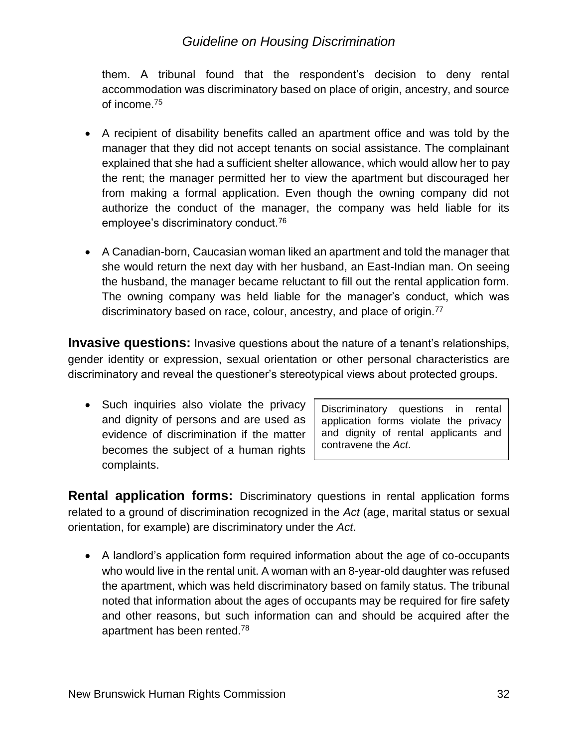them. A tribunal found that the respondent's decision to deny rental accommodation was discriminatory based on place of origin, ancestry, and source of income.<sup>75</sup>

- A recipient of disability benefits called an apartment office and was told by the manager that they did not accept tenants on social assistance. The complainant explained that she had a sufficient shelter allowance, which would allow her to pay the rent; the manager permitted her to view the apartment but discouraged her from making a formal application. Even though the owning company did not authorize the conduct of the manager, the company was held liable for its employee's discriminatory conduct.<sup>76</sup>
- A Canadian-born, Caucasian woman liked an apartment and told the manager that she would return the next day with her husband, an East-Indian man. On seeing the husband, the manager became reluctant to fill out the rental application form. The owning company was held liable for the manager's conduct, which was discriminatory based on race, colour, ancestry, and place of origin.<sup>77</sup>

**Invasive questions:** Invasive questions about the nature of a tenant's relationships, gender identity or expression, sexual orientation or other personal characteristics are discriminatory and reveal the questioner's stereotypical views about protected groups.

• Such inquiries also violate the privacy and dignity of persons and are used as evidence of discrimination if the matter becomes the subject of a human rights complaints.

Discriminatory questions in rental application forms violate the privacy and dignity of rental applicants and contravene the *Act*.

**Rental application forms:** Discriminatory questions in rental application forms related to a ground of discrimination recognized in the *Act* (age, marital status or sexual orientation, for example) are discriminatory under the *Act*.

• A landlord's application form required information about the age of co-occupants who would live in the rental unit. A woman with an 8-year-old daughter was refused the apartment, which was held discriminatory based on family status. The tribunal noted that information about the ages of occupants may be required for fire safety and other reasons, but such information can and should be acquired after the apartment has been rented.<sup>78</sup>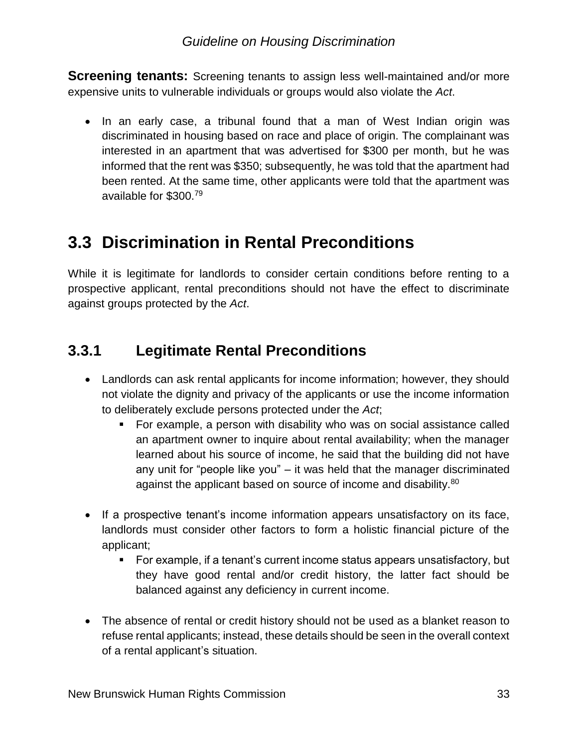**Screening tenants:** Screening tenants to assign less well-maintained and/or more expensive units to vulnerable individuals or groups would also violate the *Act*.

• In an early case, a tribunal found that a man of West Indian origin was discriminated in housing based on race and place of origin. The complainant was interested in an apartment that was advertised for \$300 per month, but he was informed that the rent was \$350; subsequently, he was told that the apartment had been rented. At the same time, other applicants were told that the apartment was available for \$300.<sup>79</sup>

## <span id="page-32-0"></span>**3.3 Discrimination in Rental Preconditions**

While it is legitimate for landlords to consider certain conditions before renting to a prospective applicant, rental preconditions should not have the effect to discriminate against groups protected by the *Act*.

## <span id="page-32-1"></span>**3.3.1 Legitimate Rental Preconditions**

- Landlords can ask rental applicants for income information; however, they should not violate the dignity and privacy of the applicants or use the income information to deliberately exclude persons protected under the *Act*;
	- For example, a person with disability who was on social assistance called an apartment owner to inquire about rental availability; when the manager learned about his source of income, he said that the building did not have any unit for "people like you" – it was held that the manager discriminated against the applicant based on source of income and disability.<sup>80</sup>
- If a prospective tenant's income information appears unsatisfactory on its face, landlords must consider other factors to form a holistic financial picture of the applicant;
	- For example, if a tenant's current income status appears unsatisfactory, but they have good rental and/or credit history, the latter fact should be balanced against any deficiency in current income.
- The absence of rental or credit history should not be used as a blanket reason to refuse rental applicants; instead, these details should be seen in the overall context of a rental applicant's situation.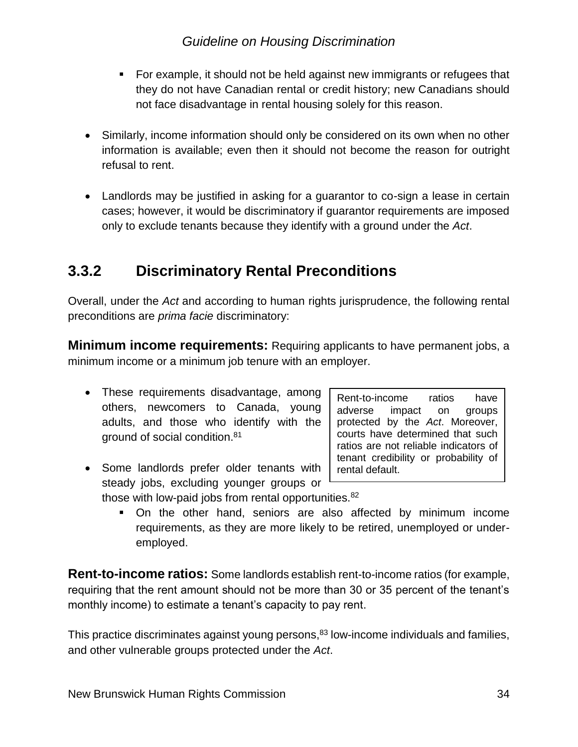- For example, it should not be held against new immigrants or refugees that they do not have Canadian rental or credit history; new Canadians should not face disadvantage in rental housing solely for this reason.
- Similarly, income information should only be considered on its own when no other information is available; even then it should not become the reason for outright refusal to rent.
- Landlords may be justified in asking for a guarantor to co-sign a lease in certain cases; however, it would be discriminatory if guarantor requirements are imposed only to exclude tenants because they identify with a ground under the *Act*.

### <span id="page-33-0"></span>**3.3.2 Discriminatory Rental Preconditions**

Overall, under the *Act* and according to human rights jurisprudence, the following rental preconditions are *prima facie* discriminatory:

**Minimum income requirements:** Requiring applicants to have permanent jobs, a minimum income or a minimum job tenure with an employer.

- These requirements disadvantage, among others, newcomers to Canada, young adults, and those who identify with the ground of social condition.<sup>81</sup>
- Some landlords prefer older tenants with steady jobs, excluding younger groups or those with low-paid jobs from rental opportunities.<sup>82</sup>

Rent-to-income ratios have adverse impact on groups protected by the *Act*. Moreover, courts have determined that such ratios are not reliable indicators of tenant credibility or probability of rental default.

▪ On the other hand, seniors are also affected by minimum income requirements, as they are more likely to be retired, unemployed or underemployed.

**Rent-to-income ratios:** Some landlords establish rent-to-income ratios (for example, requiring that the rent amount should not be more than 30 or 35 percent of the tenant's monthly income) to estimate a tenant's capacity to pay rent.

This practice discriminates against young persons,<sup>83</sup> low-income individuals and families, and other vulnerable groups protected under the *Act*.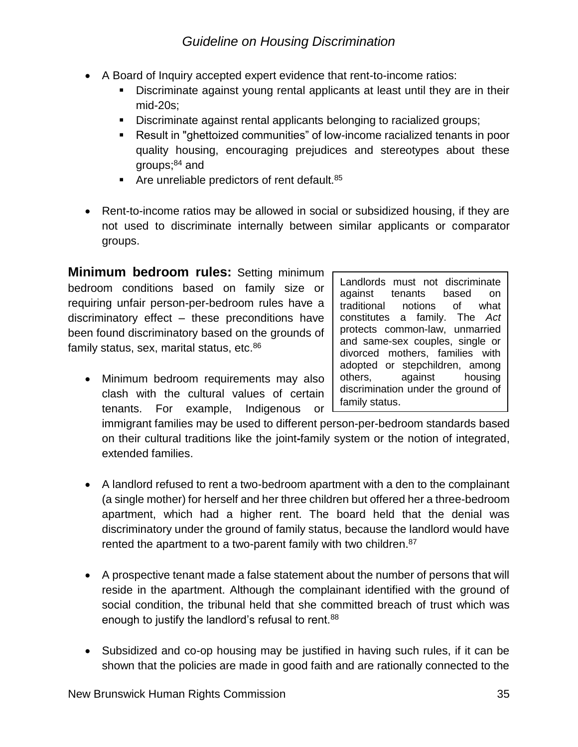- A Board of Inquiry accepted expert evidence that rent-to-income ratios:
	- Discriminate against young rental applicants at least until they are in their mid-20s;
	- Discriminate against rental applicants belonging to racialized groups;
	- Result in "ghettoized communities" of low-income racialized tenants in poor quality housing, encouraging prejudices and stereotypes about these groups; $84$  and
	- $\blacksquare$  Are unreliable predictors of rent default. 85
- Rent-to-income ratios may be allowed in social or subsidized housing, if they are not used to discriminate internally between similar applicants or comparator groups.

**Minimum bedroom rules:** Setting minimum bedroom conditions based on family size or requiring unfair person-per-bedroom rules have a discriminatory effect – these preconditions have been found discriminatory based on the grounds of family status, sex, marital status, etc.<sup>86</sup>

• Minimum bedroom requirements may also clash with the cultural values of certain tenants. For example, Indigenous or Landlords must not discriminate against tenants based on traditional notions of what constitutes a family. The *Act* protects common-law, unmarried and same-sex couples, single or divorced mothers, families with adopted or stepchildren, among others, against housing discrimination under the ground of family status.

immigrant families may be used to different person-per-bedroom standards based on their cultural traditions like the joint**-**family system or the notion of integrated, extended families.

- A landlord refused to rent a two-bedroom apartment with a den to the complainant (a single mother) for herself and her three children but offered her a three-bedroom apartment, which had a higher rent. The board held that the denial was discriminatory under the ground of family status, because the landlord would have rented the apartment to a two-parent family with two children.<sup>87</sup>
- A prospective tenant made a false statement about the number of persons that will reside in the apartment. Although the complainant identified with the ground of social condition, the tribunal held that she committed breach of trust which was enough to justify the landlord's refusal to rent.<sup>88</sup>
- Subsidized and co-op housing may be justified in having such rules, if it can be shown that the policies are made in good faith and are rationally connected to the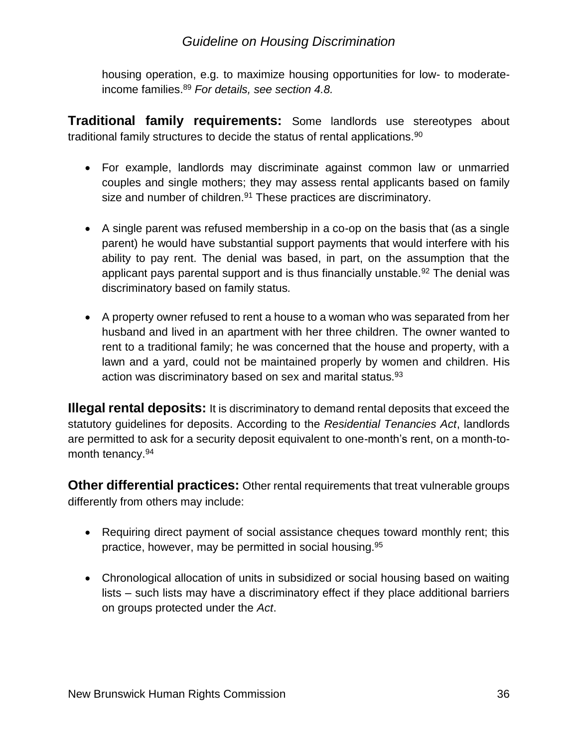housing operation, e.g. to maximize housing opportunities for low- to moderateincome families. <sup>89</sup> *For details, see section 4.8.*

**Traditional family requirements:** Some landlords use stereotypes about traditional family structures to decide the status of rental applications.<sup>90</sup>

- For example, landlords may discriminate against common law or unmarried couples and single mothers; they may assess rental applicants based on family size and number of children.<sup>91</sup> These practices are discriminatory.
- A single parent was refused membership in a co-op on the basis that (as a single parent) he would have substantial support payments that would interfere with his ability to pay rent. The denial was based, in part, on the assumption that the applicant pays parental support and is thus financially unstable.<sup>92</sup> The denial was discriminatory based on family status*.*
- A property owner refused to rent a house to a woman who was separated from her husband and lived in an apartment with her three children. The owner wanted to rent to a traditional family; he was concerned that the house and property, with a lawn and a yard, could not be maintained properly by women and children. His action was discriminatory based on sex and marital status.<sup>93</sup>

**Illegal rental deposits:** It is discriminatory to demand rental deposits that exceed the statutory guidelines for deposits. According to the *Residential Tenancies Act*, landlords are permitted to ask for a security deposit equivalent to one-month's rent, on a month-tomonth tenancy.<sup>94</sup>

**Other differential practices:** Other rental requirements that treat vulnerable groups differently from others may include:

- Requiring direct payment of social assistance cheques toward monthly rent; this practice, however, may be permitted in social housing.<sup>95</sup>
- Chronological allocation of units in subsidized or social housing based on waiting lists – such lists may have a discriminatory effect if they place additional barriers on groups protected under the *Act*.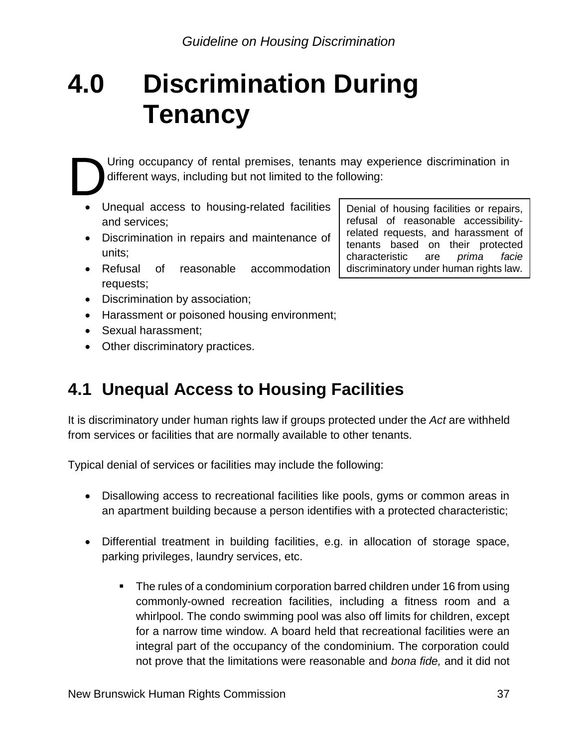## <span id="page-36-0"></span>**4.0 Discrimination During Tenancy**

Uring occupancy of rental premises, tenants may experience discrimination in different ways, including but not limited to the following: D

- Unequal access to housing-related facilities and services;
- Discrimination in repairs and maintenance of units;
- Refusal of reasonable accommodation requests;
- Discrimination by association;
- Harassment or poisoned housing environment;
- Sexual harassment;
- Other discriminatory practices.

## <span id="page-36-1"></span>**4.1 Unequal Access to Housing Facilities**

It is discriminatory under human rights law if groups protected under the *Act* are withheld from services or facilities that are normally available to other tenants.

Typical denial of services or facilities may include the following:

- Disallowing access to recreational facilities like pools, gyms or common areas in an apartment building because a person identifies with a protected characteristic;
- Differential treatment in building facilities, e.g. in allocation of storage space, parking privileges, laundry services, etc.
	- The rules of a condominium corporation barred children under 16 from using commonly-owned recreation facilities, including a fitness room and a whirlpool. The condo swimming pool was also off limits for children, except for a narrow time window. A board held that recreational facilities were an integral part of the occupancy of the condominium. The corporation could not prove that the limitations were reasonable and *bona fide,* and it did not

Denial of housing facilities or repairs, refusal of reasonable accessibilityrelated requests, and harassment of tenants based on their protected characteristic are *prima facie* discriminatory under human rights law.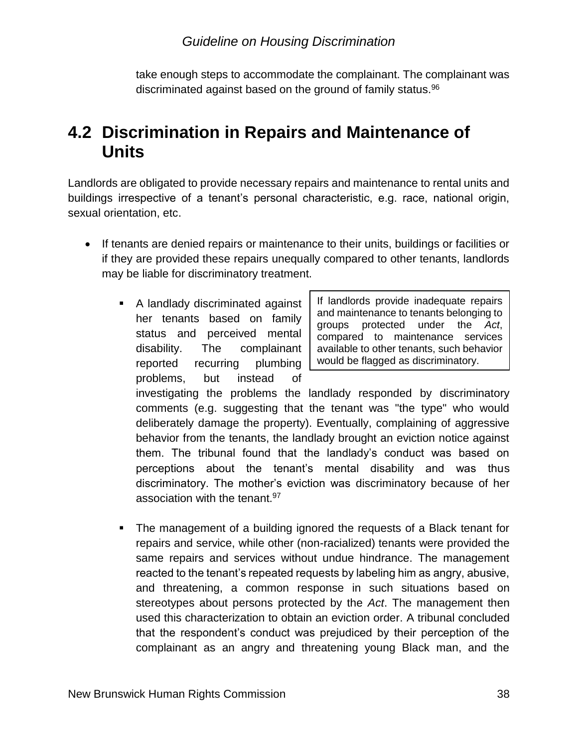take enough steps to accommodate the complainant. The complainant was discriminated against based on the ground of family status.<sup>96</sup>

## <span id="page-37-0"></span>**4.2 Discrimination in Repairs and Maintenance of Units**

Landlords are obligated to provide necessary repairs and maintenance to rental units and buildings irrespective of a tenant's personal characteristic, e.g. race, national origin, sexual orientation, etc.

- If tenants are denied repairs or maintenance to their units, buildings or facilities or if they are provided these repairs unequally compared to other tenants, landlords may be liable for discriminatory treatment.
	- A landlady discriminated against her tenants based on family status and perceived mental disability. The complainant reported recurring plumbing problems, but instead of

If landlords provide inadequate repairs and maintenance to tenants belonging to groups protected under the *Act*, compared to maintenance services available to other tenants, such behavior would be flagged as discriminatory.

investigating the problems the landlady responded by discriminatory comments (e.g. suggesting that the tenant was "the type" who would deliberately damage the property). Eventually, complaining of aggressive behavior from the tenants, the landlady brought an eviction notice against them. The tribunal found that the landlady's conduct was based on perceptions about the tenant's mental disability and was thus discriminatory. The mother's eviction was discriminatory because of her association with the tenant.<sup>97</sup>

■ The management of a building ignored the requests of a Black tenant for repairs and service, while other (non-racialized) tenants were provided the same repairs and services without undue hindrance. The management reacted to the tenant's repeated requests by labeling him as angry, abusive, and threatening, a common response in such situations based on stereotypes about persons protected by the *Act*. The management then used this characterization to obtain an eviction order. A tribunal concluded that the respondent's conduct was prejudiced by their perception of the complainant as an angry and threatening young Black man, and the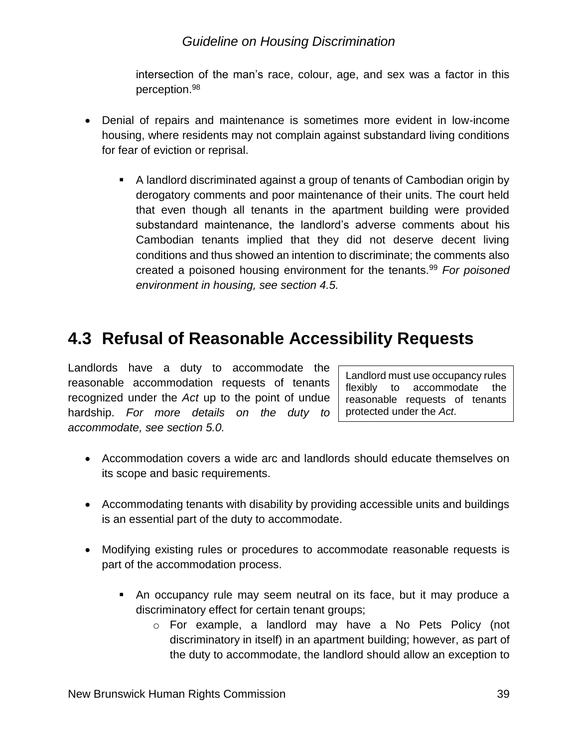intersection of the man's race, colour, age, and sex was a factor in this perception.<sup>98</sup>

- Denial of repairs and maintenance is sometimes more evident in low-income housing, where residents may not complain against substandard living conditions for fear of eviction or reprisal.
	- A landlord discriminated against a group of tenants of Cambodian origin by derogatory comments and poor maintenance of their units. The court held that even though all tenants in the apartment building were provided substandard maintenance, the landlord's adverse comments about his Cambodian tenants implied that they did not deserve decent living conditions and thus showed an intention to discriminate; the comments also created a poisoned housing environment for the tenants.<sup>99</sup> *For poisoned environment in housing, see section 4.5.*

## <span id="page-38-0"></span>**4.3 Refusal of Reasonable Accessibility Requests**

Landlords have a duty to accommodate the reasonable accommodation requests of tenants recognized under the *Act* up to the point of undue hardship. *For more details on the duty to accommodate, see section 5.0.* 

Landlord must use occupancy rules flexibly to accommodate the reasonable requests of tenants protected under the *Act*.

- Accommodation covers a wide arc and landlords should educate themselves on its scope and basic requirements.
- Accommodating tenants with disability by providing accessible units and buildings is an essential part of the duty to accommodate.
- Modifying existing rules or procedures to accommodate reasonable requests is part of the accommodation process.
	- An occupancy rule may seem neutral on its face, but it may produce a discriminatory effect for certain tenant groups;
		- o For example, a landlord may have a No Pets Policy (not discriminatory in itself) in an apartment building; however, as part of the duty to accommodate, the landlord should allow an exception to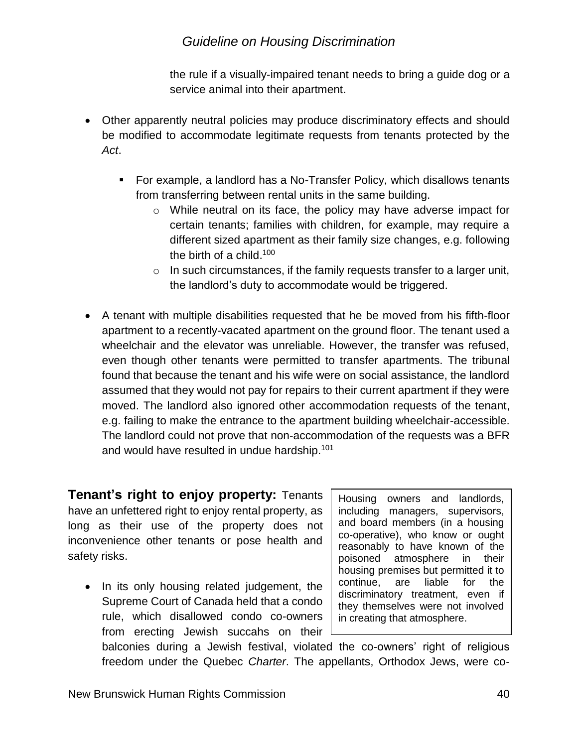the rule if a visually-impaired tenant needs to bring a guide dog or a service animal into their apartment.

- Other apparently neutral policies may produce discriminatory effects and should be modified to accommodate legitimate requests from tenants protected by the *Act*.
	- For example, a landlord has a No-Transfer Policy, which disallows tenants from transferring between rental units in the same building.
		- $\circ$  While neutral on its face, the policy may have adverse impact for certain tenants; families with children, for example, may require a different sized apartment as their family size changes, e.g. following the birth of a child.<sup>100</sup>
		- $\circ$  In such circumstances, if the family requests transfer to a larger unit, the landlord's duty to accommodate would be triggered.
- A tenant with multiple disabilities requested that he be moved from his fifth-floor apartment to a recently-vacated apartment on the ground floor. The tenant used a wheelchair and the elevator was unreliable. However, the transfer was refused, even though other tenants were permitted to transfer apartments. The tribunal found that because the tenant and his wife were on social assistance, the landlord assumed that they would not pay for repairs to their current apartment if they were moved. The landlord also ignored other accommodation requests of the tenant, e.g. failing to make the entrance to the apartment building wheelchair-accessible. The landlord could not prove that non-accommodation of the requests was a BFR and would have resulted in undue hardship.<sup>101</sup>

**Tenant's right to enjoy property:** Tenants have an unfettered right to enjoy rental property, as long as their use of the property does not inconvenience other tenants or pose health and safety risks.

• In its only housing related judgement, the Supreme Court of Canada held that a condo rule, which disallowed condo co-owners from erecting Jewish succahs on their

Housing owners and landlords, including managers, supervisors, and board members (in a housing co-operative), who know or ought reasonably to have known of the poisoned atmosphere in their housing premises but permitted it to continue, are liable for the discriminatory treatment, even if they themselves were not involved in creating that atmosphere.

balconies during a Jewish festival, violated the co-owners' right of religious freedom under the Quebec *Charter*. The appellants, Orthodox Jews, were co-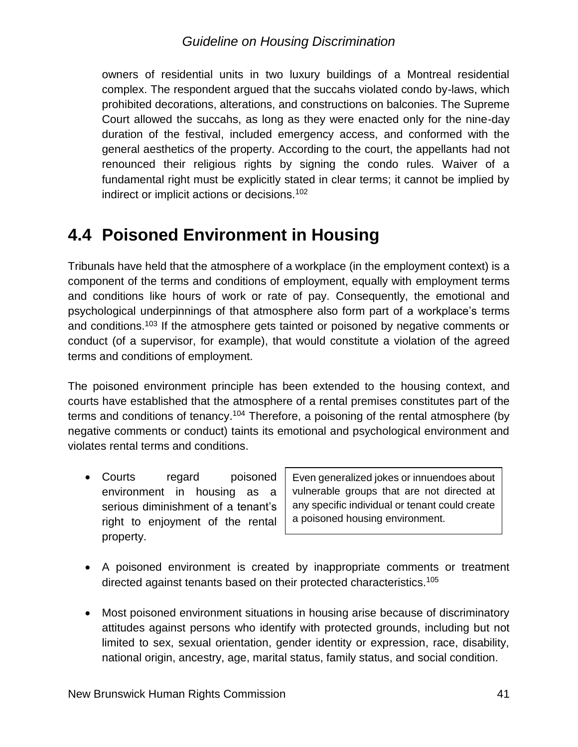owners of residential units in two luxury buildings of a Montreal residential complex. The respondent argued that the succahs violated condo by-laws, which prohibited decorations, alterations, and constructions on balconies. The Supreme Court allowed the succahs, as long as they were enacted only for the nine-day duration of the festival, included emergency access, and conformed with the general aesthetics of the property. According to the court, the appellants had not renounced their religious rights by signing the condo rules. Waiver of a fundamental right must be explicitly stated in clear terms; it cannot be implied by indirect or implicit actions or decisions.<sup>102</sup>

## <span id="page-40-0"></span>**4.4 Poisoned Environment in Housing**

Tribunals have held that the atmosphere of a workplace (in the employment context) is a component of the terms and conditions of employment, equally with employment terms and conditions like hours of work or rate of pay. Consequently, the emotional and psychological underpinnings of that atmosphere also form part of a workplace's terms and conditions.<sup>103</sup> If the atmosphere gets tainted or poisoned by negative comments or conduct (of a supervisor, for example), that would constitute a violation of the agreed terms and conditions of employment.

The poisoned environment principle has been extended to the housing context, and courts have established that the atmosphere of a rental premises constitutes part of the terms and conditions of tenancy.<sup>104</sup> Therefore, a poisoning of the rental atmosphere (by negative comments or conduct) taints its emotional and psychological environment and violates rental terms and conditions.

• Courts regard poisoned environment in housing as a serious diminishment of a tenant's right to enjoyment of the rental property.

Even generalized jokes or innuendoes about vulnerable groups that are not directed at any specific individual or tenant could create a poisoned housing environment.

- A poisoned environment is created by inappropriate comments or treatment directed against tenants based on their protected characteristics.<sup>105</sup>
- Most poisoned environment situations in housing arise because of discriminatory attitudes against persons who identify with protected grounds, including but not limited to sex, sexual orientation, gender identity or expression, race, disability, national origin, ancestry, age, marital status, family status, and social condition.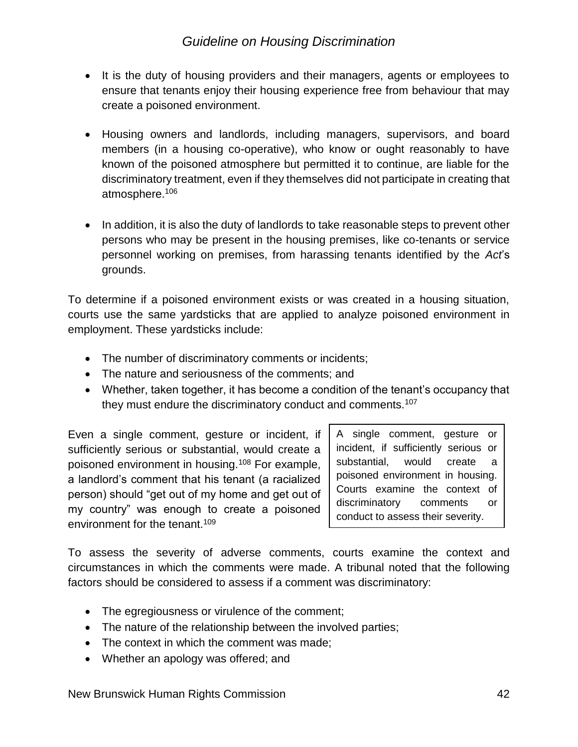- It is the duty of housing providers and their managers, agents or employees to ensure that tenants enjoy their housing experience free from behaviour that may create a poisoned environment.
- Housing owners and landlords, including managers, supervisors, and board members (in a housing co-operative), who know or ought reasonably to have known of the poisoned atmosphere but permitted it to continue, are liable for the discriminatory treatment, even if they themselves did not participate in creating that atmosphere.<sup>106</sup>
- In addition, it is also the duty of landlords to take reasonable steps to prevent other persons who may be present in the housing premises, like co-tenants or service personnel working on premises, from harassing tenants identified by the *Act*'s grounds.

To determine if a poisoned environment exists or was created in a housing situation, courts use the same yardsticks that are applied to analyze poisoned environment in employment. These yardsticks include:

- The number of discriminatory comments or incidents;
- The nature and seriousness of the comments; and
- Whether, taken together, it has become a condition of the tenant's occupancy that they must endure the discriminatory conduct and comments.<sup>107</sup>

Even a single comment, gesture or incident, if sufficiently serious or substantial, would create a poisoned environment in housing.<sup>108</sup> For example, a landlord's comment that his tenant (a racialized person) should "get out of my home and get out of my country" was enough to create a poisoned environment for the tenant.<sup>109</sup>

A single comment, gesture or incident, if sufficiently serious or substantial, would create a poisoned environment in housing. Courts examine the context of discriminatory comments or conduct to assess their severity.

To assess the severity of adverse comments, courts examine the context and circumstances in which the comments were made. A tribunal noted that the following factors should be considered to assess if a comment was discriminatory:

- The egregiousness or virulence of the comment;
- The nature of the relationship between the involved parties;
- The context in which the comment was made;
- Whether an apology was offered; and

New Brunswick Human Rights Commission 42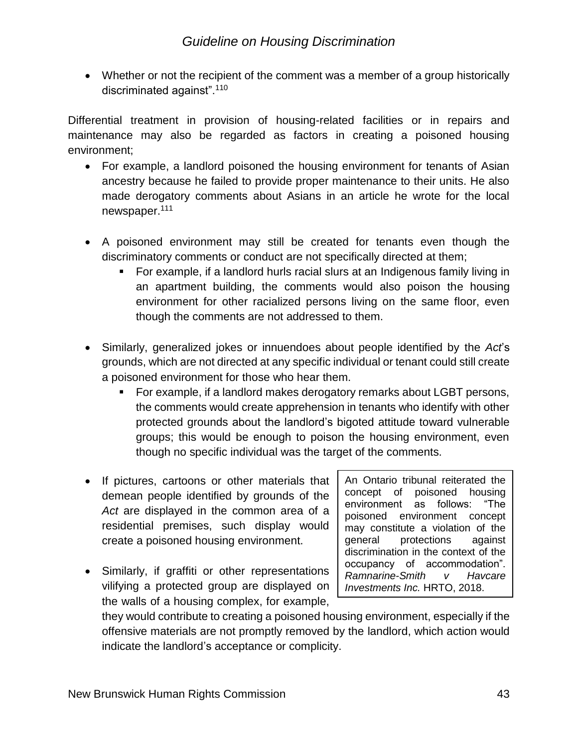• Whether or not the recipient of the comment was a member of a group historically discriminated against".<sup>110</sup>

Differential treatment in provision of housing-related facilities or in repairs and maintenance may also be regarded as factors in creating a poisoned housing environment;

- For example, a landlord poisoned the housing environment for tenants of Asian ancestry because he failed to provide proper maintenance to their units. He also made derogatory comments about Asians in an article he wrote for the local newspaper.<sup>111</sup>
- A poisoned environment may still be created for tenants even though the discriminatory comments or conduct are not specifically directed at them;
	- For example, if a landlord hurls racial slurs at an Indigenous family living in an apartment building, the comments would also poison the housing environment for other racialized persons living on the same floor, even though the comments are not addressed to them.
- Similarly, generalized jokes or innuendoes about people identified by the *Act*'s grounds, which are not directed at any specific individual or tenant could still create a poisoned environment for those who hear them.
	- For example, if a landlord makes derogatory remarks about LGBT persons, the comments would create apprehension in tenants who identify with other protected grounds about the landlord's bigoted attitude toward vulnerable groups; this would be enough to poison the housing environment, even though no specific individual was the target of the comments.
- If pictures, cartoons or other materials that demean people identified by grounds of the *Act* are displayed in the common area of a residential premises, such display would create a poisoned housing environment.
- Similarly, if graffiti or other representations vilifying a protected group are displayed on the walls of a housing complex, for example,

An Ontario tribunal reiterated the concept of poisoned housing environment as follows: "The poisoned environment concept may constitute a violation of the general protections against discrimination in the context of the occupancy of accommodation". *Ramnarine-Smith v Havcare Investments Inc.* HRTO, 2018.

they would contribute to creating a poisoned housing environment, especially if the offensive materials are not promptly removed by the landlord, which action would indicate the landlord's acceptance or complicity.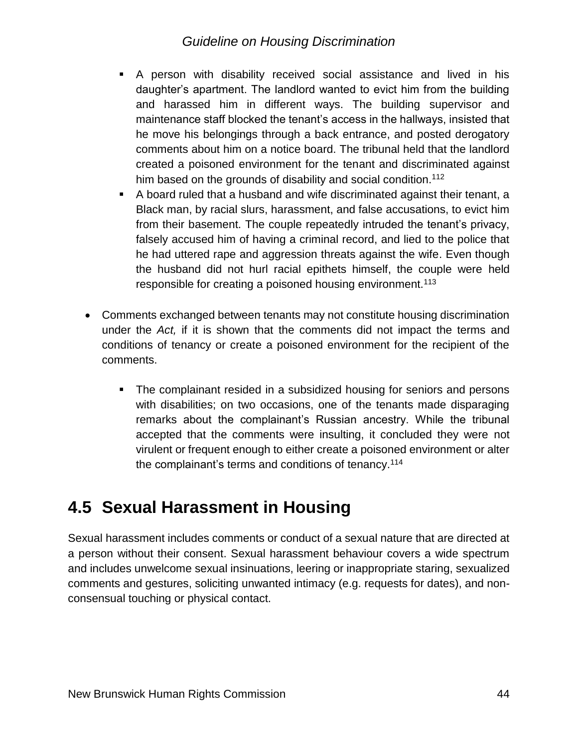- A person with disability received social assistance and lived in his daughter's apartment. The landlord wanted to evict him from the building and harassed him in different ways. The building supervisor and maintenance staff blocked the tenant's access in the hallways, insisted that he move his belongings through a back entrance, and posted derogatory comments about him on a notice board. The tribunal held that the landlord created a poisoned environment for the tenant and discriminated against him based on the grounds of disability and social condition.<sup>112</sup>
- A board ruled that a husband and wife discriminated against their tenant, a Black man, by racial slurs, harassment, and false accusations, to evict him from their basement. The couple repeatedly intruded the tenant's privacy, falsely accused him of having a criminal record, and lied to the police that he had uttered rape and aggression threats against the wife. Even though the husband did not hurl racial epithets himself, the couple were held responsible for creating a poisoned housing environment.<sup>113</sup>
- Comments exchanged between tenants may not constitute housing discrimination under the *Act,* if it is shown that the comments did not impact the terms and conditions of tenancy or create a poisoned environment for the recipient of the comments.
	- The complainant resided in a subsidized housing for seniors and persons with disabilities; on two occasions, one of the tenants made disparaging remarks about the complainant's Russian ancestry. While the tribunal accepted that the comments were insulting, it concluded they were not virulent or frequent enough to either create a poisoned environment or alter the complainant's terms and conditions of tenancy.<sup>114</sup>

## <span id="page-43-0"></span>**4.5 Sexual Harassment in Housing**

Sexual harassment includes comments or conduct of a sexual nature that are directed at a person without their consent. Sexual harassment behaviour covers a wide spectrum and includes unwelcome sexual insinuations, leering or inappropriate staring, sexualized comments and gestures, soliciting unwanted intimacy (e.g. requests for dates), and nonconsensual touching or physical contact.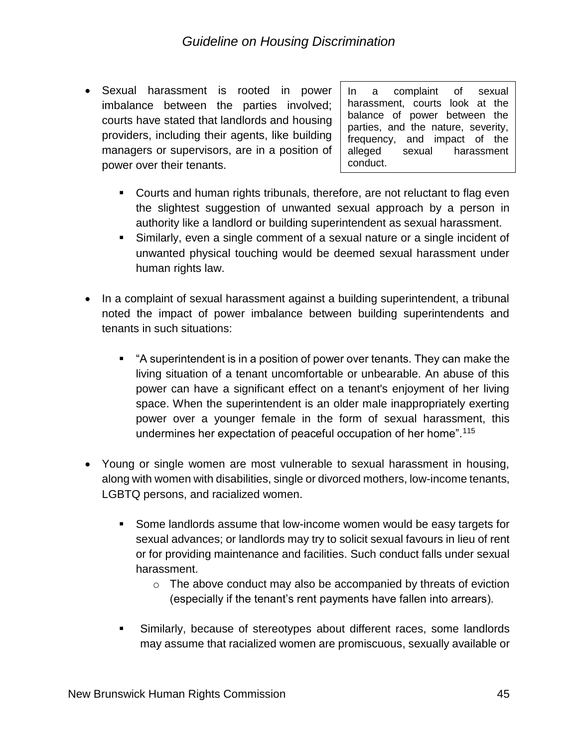• Sexual harassment is rooted in power imbalance between the parties involved; courts have stated that landlords and housing providers, including their agents, like building managers or supervisors, are in a position of power over their tenants.

In a complaint of sexual harassment, courts look at the balance of power between the parties, and the nature, severity, frequency, and impact of the alleged sexual harassment conduct.

- Courts and human rights tribunals, therefore, are not reluctant to flag even the slightest suggestion of unwanted sexual approach by a person in authority like a landlord or building superintendent as sexual harassment.
- Similarly, even a single comment of a sexual nature or a single incident of unwanted physical touching would be deemed sexual harassment under human rights law.
- In a complaint of sexual harassment against a building superintendent, a tribunal noted the impact of power imbalance between building superintendents and tenants in such situations:
	- "A superintendent is in a position of power over tenants. They can make the living situation of a tenant uncomfortable or unbearable. An abuse of this power can have a significant effect on a tenant's enjoyment of her living space. When the superintendent is an older male inappropriately exerting power over a younger female in the form of sexual harassment, this undermines her expectation of peaceful occupation of her home".<sup>115</sup>
- Young or single women are most vulnerable to sexual harassment in housing, along with women with disabilities, single or divorced mothers, low-income tenants, LGBTQ persons, and racialized women.
	- Some landlords assume that low-income women would be easy targets for sexual advances; or landlords may try to solicit sexual favours in lieu of rent or for providing maintenance and facilities. Such conduct falls under sexual harassment.
		- $\circ$  The above conduct may also be accompanied by threats of eviction (especially if the tenant's rent payments have fallen into arrears).
	- Similarly, because of stereotypes about different races, some landlords may assume that racialized women are promiscuous, sexually available or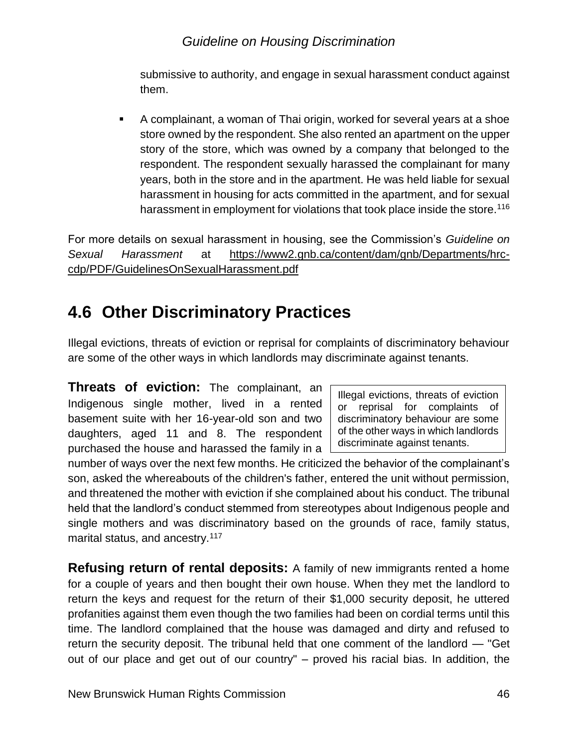submissive to authority, and engage in sexual harassment conduct against them.

A complainant, a woman of Thai origin, worked for several years at a shoe store owned by the respondent. She also rented an apartment on the upper story of the store, which was owned by a company that belonged to the respondent. The respondent sexually harassed the complainant for many years, both in the store and in the apartment. He was held liable for sexual harassment in housing for acts committed in the apartment, and for sexual harassment in employment for violations that took place inside the store.<sup>116</sup>

For more details on sexual harassment in housing, see the Commission's *Guideline on Sexual Harassment* at [https://www2.gnb.ca/content/dam/gnb/Departments/hrc](https://www2.gnb.ca/content/dam/gnb/Departments/hrc-cdp/PDF/GuidelinesOnSexualHarassment.pdf)[cdp/PDF/GuidelinesOnSexualHarassment.pdf](https://www2.gnb.ca/content/dam/gnb/Departments/hrc-cdp/PDF/GuidelinesOnSexualHarassment.pdf)

## <span id="page-45-0"></span>**4.6 Other Discriminatory Practices**

Illegal evictions, threats of eviction or reprisal for complaints of discriminatory behaviour are some of the other ways in which landlords may discriminate against tenants.

**Threats of eviction:** The complainant, an Indigenous single mother, lived in a rented basement suite with her 16-year-old son and two daughters, aged 11 and 8. The respondent purchased the house and harassed the family in a

Illegal evictions, threats of eviction or reprisal for complaints of discriminatory behaviour are some of the other ways in which landlords discriminate against tenants.

number of ways over the next few months. He criticized the behavior of the complainant's son, asked the whereabouts of the children's father, entered the unit without permission, and threatened the mother with eviction if she complained about his conduct. The tribunal held that the landlord's conduct stemmed from stereotypes about Indigenous people and single mothers and was discriminatory based on the grounds of race, family status, marital status, and ancestry.<sup>117</sup>

**Refusing return of rental deposits:** A family of new immigrants rented a home for a couple of years and then bought their own house. When they met the landlord to return the keys and request for the return of their \$1,000 security deposit, he uttered profanities against them even though the two families had been on cordial terms until this time. The landlord complained that the house was damaged and dirty and refused to return the security deposit. The tribunal held that one comment of the landlord — "Get out of our place and get out of our country" – proved his racial bias. In addition, the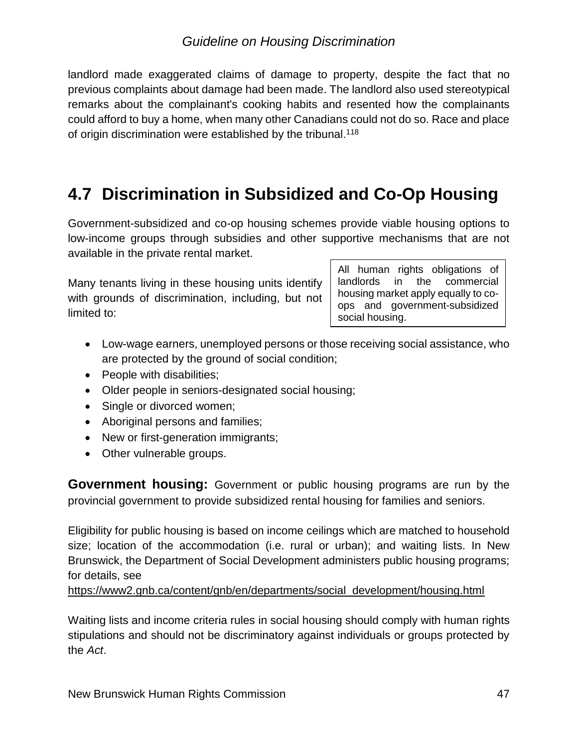landlord made exaggerated claims of damage to property, despite the fact that no previous complaints about damage had been made. The landlord also used stereotypical remarks about the complainant's cooking habits and resented how the complainants could afford to buy a home, when many other Canadians could not do so. Race and place of origin discrimination were established by the tribunal.<sup>118</sup>

## <span id="page-46-0"></span>**4.7 Discrimination in Subsidized and Co-Op Housing**

Government-subsidized and co-op housing schemes provide viable housing options to low-income groups through subsidies and other supportive mechanisms that are not available in the private rental market.

Many tenants living in these housing units identify with grounds of discrimination, including, but not limited to:

All human rights obligations of landlords in the commercial housing market apply equally to coops and government-subsidized social housing.

- Low-wage earners, unemployed persons or those receiving social assistance, who are protected by the ground of social condition;
- People with disabilities;
- Older people in seniors-designated social housing;
- Single or divorced women;
- Aboriginal persons and families;
- New or first-generation immigrants;
- Other vulnerable groups.

**Government housing:** Government or public housing programs are run by the provincial government to provide subsidized rental housing for families and seniors.

Eligibility for public housing is based on income ceilings which are matched to household size; location of the accommodation (i.e. rural or urban); and waiting lists. In New Brunswick, the Department of Social Development administers public housing programs; for details, see

[https://www2.gnb.ca/content/gnb/en/departments/social\\_development/housing.html](https://www2.gnb.ca/content/gnb/en/departments/social_development/housing.html)

Waiting lists and income criteria rules in social housing should comply with human rights stipulations and should not be discriminatory against individuals or groups protected by the *Act*.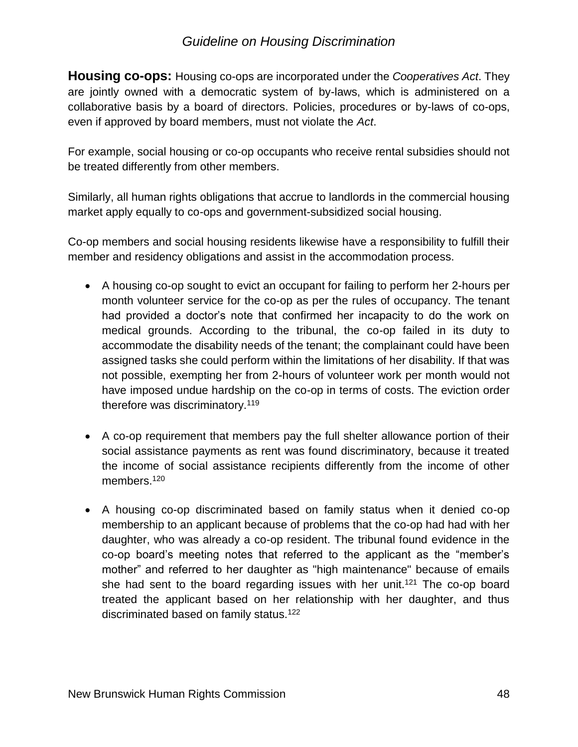**Housing co-ops:** Housing co-ops are incorporated under the *Cooperatives Act*. They are jointly owned with a democratic system of by-laws, which is administered on a collaborative basis by a board of directors. Policies, procedures or by-laws of co-ops, even if approved by board members, must not violate the *Act*.

For example, social housing or co-op occupants who receive rental subsidies should not be treated differently from other members.

Similarly, all human rights obligations that accrue to landlords in the commercial housing market apply equally to co-ops and government-subsidized social housing.

Co-op members and social housing residents likewise have a responsibility to fulfill their member and residency obligations and assist in the accommodation process.

- A housing co-op sought to evict an occupant for failing to perform her 2-hours per month volunteer service for the co-op as per the rules of occupancy. The tenant had provided a doctor's note that confirmed her incapacity to do the work on medical grounds. According to the tribunal, the co-op failed in its duty to accommodate the disability needs of the tenant; the complainant could have been assigned tasks she could perform within the limitations of her disability. If that was not possible, exempting her from 2-hours of volunteer work per month would not have imposed undue hardship on the co-op in terms of costs. The eviction order therefore was discriminatory.<sup>119</sup>
- A co-op requirement that members pay the full shelter allowance portion of their social assistance payments as rent was found discriminatory, because it treated the income of social assistance recipients differently from the income of other members.<sup>120</sup>
- A housing co-op discriminated based on family status when it denied co-op membership to an applicant because of problems that the co-op had had with her daughter, who was already a co-op resident. The tribunal found evidence in the co-op board's meeting notes that referred to the applicant as the "member's mother" and referred to her daughter as "high maintenance" because of emails she had sent to the board regarding issues with her unit.<sup>121</sup> The co-op board treated the applicant based on her relationship with her daughter, and thus discriminated based on family status.<sup>122</sup>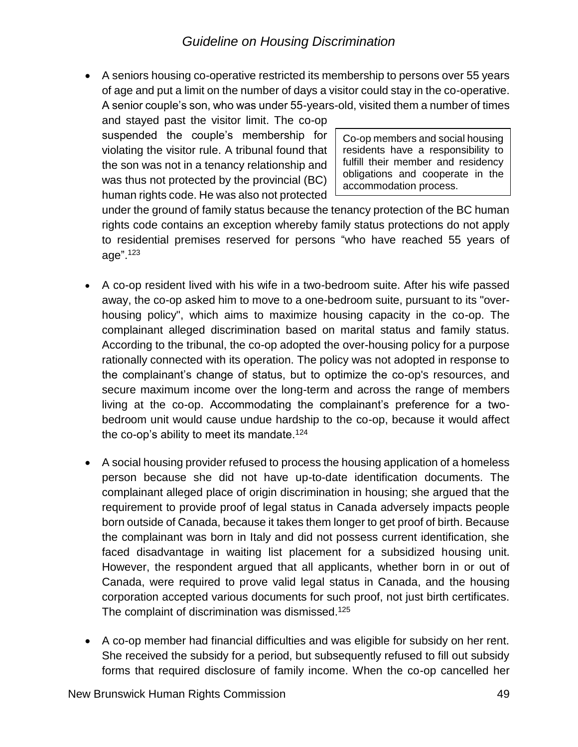• A seniors housing co-operative restricted its membership to persons over 55 years of age and put a limit on the number of days a visitor could stay in the co-operative. A senior couple's son, who was under 55-years-old, visited them a number of times

and stayed past the visitor limit. The co-op suspended the couple's membership for violating the visitor rule. A tribunal found that the son was not in a tenancy relationship and was thus not protected by the provincial (BC) human rights code. He was also not protected

Co-op members and social housing residents have a responsibility to fulfill their member and residency obligations and cooperate in the accommodation process.

under the ground of family status because the tenancy protection of the BC human rights code contains an exception whereby family status protections do not apply to residential premises reserved for persons "who have reached 55 years of age". 123

- A co-op resident lived with his wife in a two-bedroom suite. After his wife passed away, the co-op asked him to move to a one-bedroom suite, pursuant to its "overhousing policy", which aims to maximize housing capacity in the co-op. The complainant alleged discrimination based on marital status and family status. According to the tribunal, the co-op adopted the over-housing policy for a purpose rationally connected with its operation. The policy was not adopted in response to the complainant's change of status, but to optimize the co-op's resources, and secure maximum income over the long-term and across the range of members living at the co-op. Accommodating the complainant's preference for a twobedroom unit would cause undue hardship to the co-op, because it would affect the co-op's ability to meet its mandate.<sup>124</sup>
- A social housing provider refused to process the housing application of a homeless person because she did not have up-to-date identification documents. The complainant alleged place of origin discrimination in housing; she argued that the requirement to provide proof of legal status in Canada adversely impacts people born outside of Canada, because it takes them longer to get proof of birth. Because the complainant was born in Italy and did not possess current identification, she faced disadvantage in waiting list placement for a subsidized housing unit. However, the respondent argued that all applicants, whether born in or out of Canada, were required to prove valid legal status in Canada, and the housing corporation accepted various documents for such proof, not just birth certificates. The complaint of discrimination was dismissed.<sup>125</sup>
- A co-op member had financial difficulties and was eligible for subsidy on her rent. She received the subsidy for a period, but subsequently refused to fill out subsidy forms that required disclosure of family income. When the co-op cancelled her

New Brunswick Human Rights Commission 49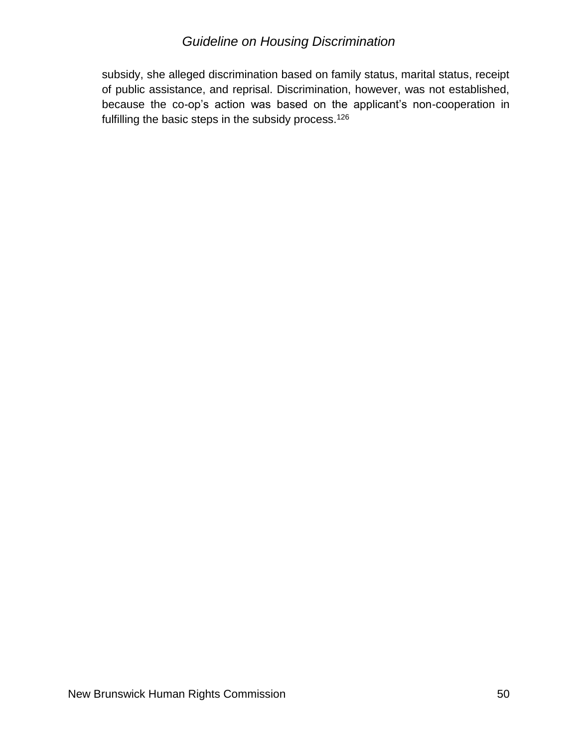subsidy, she alleged discrimination based on family status, marital status, receipt of public assistance, and reprisal. Discrimination, however, was not established, because the co-op's action was based on the applicant's non-cooperation in fulfilling the basic steps in the subsidy process.<sup>126</sup>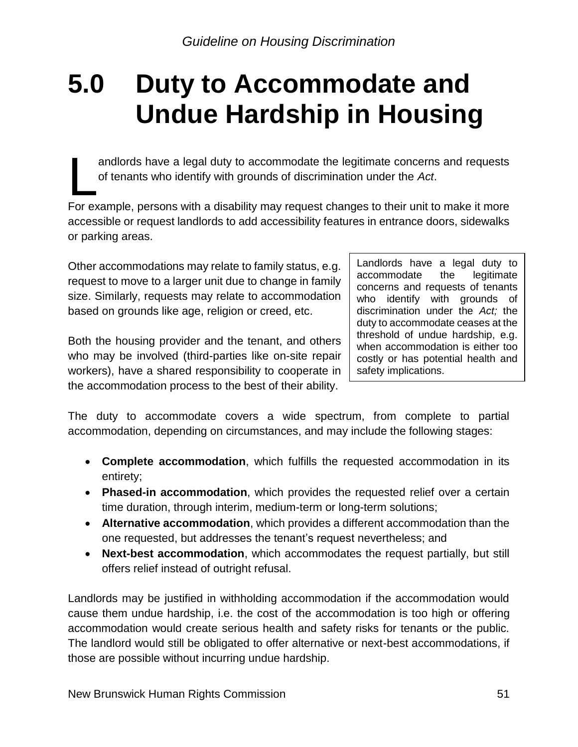## <span id="page-50-0"></span>**5.0 Duty to Accommodate and Undue Hardship in Housing**

andlords have a legal duty to accommodate the legitimate concerns and requests of tenants who identify with grounds of discrimination under the *Act*.

For example, persons with a disability may request changes to their unit to make it more accessible or request landlords to add accessibility features in entrance doors, sidewalks or parking areas.  $\overline{\mathbf{L}}$ 

Other accommodations may relate to family status, e.g. request to move to a larger unit due to change in family size. Similarly, requests may relate to accommodation based on grounds like age, religion or creed, etc.

Both the housing provider and the tenant, and others who may be involved (third-parties like on-site repair workers), have a shared responsibility to cooperate in the accommodation process to the best of their ability.

Landlords have a legal duty to accommodate the legitimate concerns and requests of tenants who identify with grounds of discrimination under the *Act;* the duty to accommodate ceases at the threshold of undue hardship, e.g. when accommodation is either too costly or has potential health and safety implications.

The duty to accommodate covers a wide spectrum, from complete to partial accommodation, depending on circumstances, and may include the following stages:

- **Complete accommodation**, which fulfills the requested accommodation in its entirety;
- **Phased-in accommodation**, which provides the requested relief over a certain time duration, through interim, medium-term or long-term solutions;
- **Alternative accommodation**, which provides a different accommodation than the one requested, but addresses the tenant's request nevertheless; and
- **Next-best accommodation**, which accommodates the request partially, but still offers relief instead of outright refusal.

Landlords may be justified in withholding accommodation if the accommodation would cause them undue hardship, i.e. the cost of the accommodation is too high or offering accommodation would create serious health and safety risks for tenants or the public. The landlord would still be obligated to offer alternative or next-best accommodations, if those are possible without incurring undue hardship.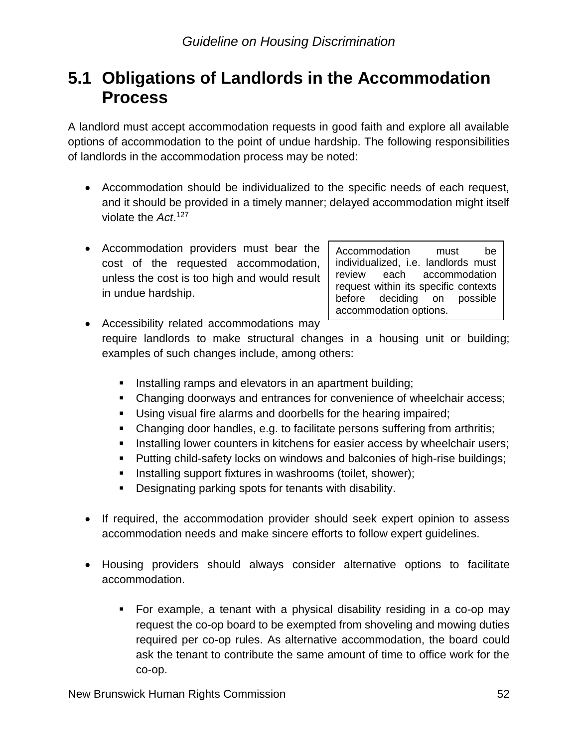## <span id="page-51-0"></span>**5.1 Obligations of Landlords in the Accommodation Process**

A landlord must accept accommodation requests in good faith and explore all available options of accommodation to the point of undue hardship. The following responsibilities of landlords in the accommodation process may be noted:

- Accommodation should be individualized to the specific needs of each request, and it should be provided in a timely manner; delayed accommodation might itself violate the *Act*. 127
- Accommodation providers must bear the cost of the requested accommodation, unless the cost is too high and would result in undue hardship.

Accommodation must be individualized, i.e. landlords must review each accommodation request within its specific contexts before deciding on possible accommodation options.

• Accessibility related accommodations may require landlords to make structural changes in a housing unit or building; examples of such changes include, among others:

- **E** Installing ramps and elevators in an apartment building;
- **Changing doorways and entrances for convenience of wheelchair access;**
- **E** Using visual fire alarms and doorbells for the hearing impaired;
- Changing door handles, e.g. to facilitate persons suffering from arthritis;
- **EXEDENT INSTERN** Installing lower counters in kitchens for easier access by wheelchair users;
- Putting child-safety locks on windows and balconies of high-rise buildings;
- **E** Installing support fixtures in washrooms (toilet, shower);
- Designating parking spots for tenants with disability.
- If required, the accommodation provider should seek expert opinion to assess accommodation needs and make sincere efforts to follow expert guidelines.
- Housing providers should always consider alternative options to facilitate accommodation.
	- For example, a tenant with a physical disability residing in a co-op may request the co-op board to be exempted from shoveling and mowing duties required per co-op rules. As alternative accommodation, the board could ask the tenant to contribute the same amount of time to office work for the co-op.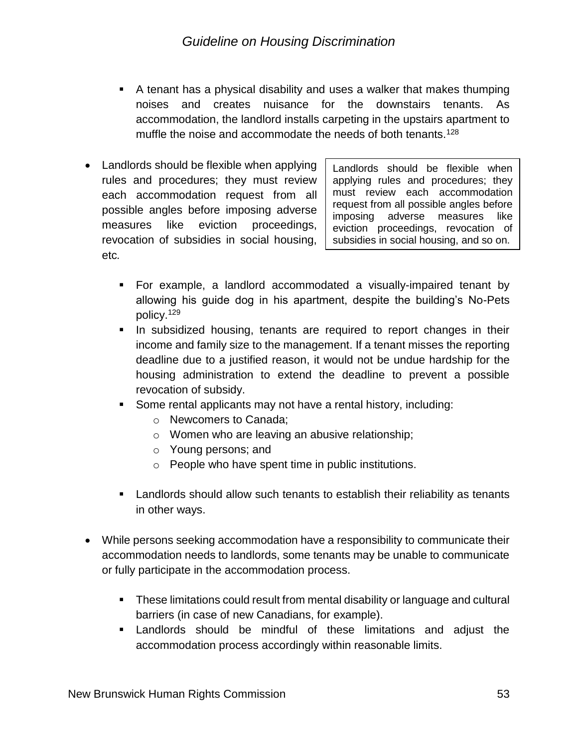- A tenant has a physical disability and uses a walker that makes thumping noises and creates nuisance for the downstairs tenants. As accommodation, the landlord installs carpeting in the upstairs apartment to muffle the noise and accommodate the needs of both tenants.<sup>128</sup>
- Landlords should be flexible when applying rules and procedures; they must review each accommodation request from all possible angles before imposing adverse measures like eviction proceedings, revocation of subsidies in social housing, etc*.*

Landlords should be flexible when applying rules and procedures; they must review each accommodation request from all possible angles before imposing adverse measures like eviction proceedings, revocation of subsidies in social housing, and so on.

- For example, a landlord accommodated a visually-impaired tenant by allowing his guide dog in his apartment, despite the building's No-Pets policy.<sup>129</sup>
- In subsidized housing, tenants are required to report changes in their income and family size to the management. If a tenant misses the reporting deadline due to a justified reason, it would not be undue hardship for the housing administration to extend the deadline to prevent a possible revocation of subsidy.
- Some rental applicants may not have a rental history, including:
	- o Newcomers to Canada;
	- o Women who are leaving an abusive relationship;
	- o Young persons; and
	- o People who have spent time in public institutions.
- Landlords should allow such tenants to establish their reliability as tenants in other ways.
- While persons seeking accommodation have a responsibility to communicate their accommodation needs to landlords, some tenants may be unable to communicate or fully participate in the accommodation process.
	- **E** These limitations could result from mental disability or language and cultural barriers (in case of new Canadians, for example).
	- Landlords should be mindful of these limitations and adjust the accommodation process accordingly within reasonable limits.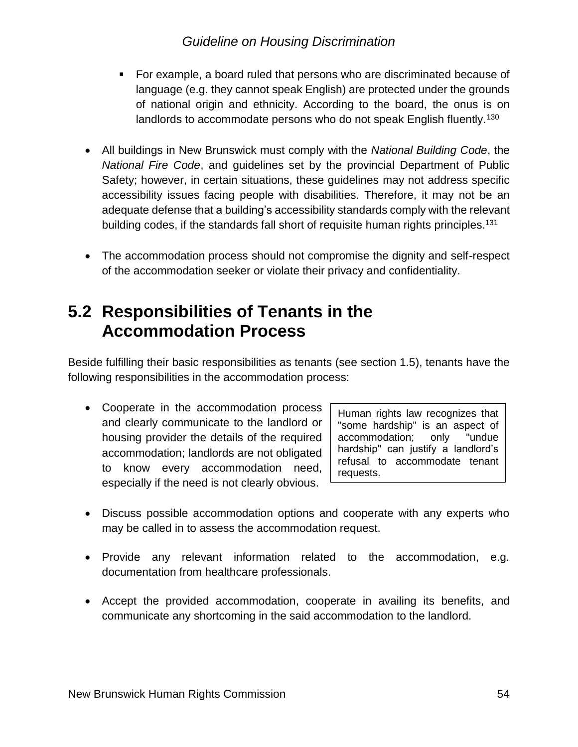- For example, a board ruled that persons who are discriminated because of language (e.g. they cannot speak English) are protected under the grounds of national origin and ethnicity. According to the board, the onus is on landlords to accommodate persons who do not speak English fluently.<sup>130</sup>
- All buildings in New Brunswick must comply with the *National Building Code*, the *National Fire Code*, and guidelines set by the provincial Department of Public Safety; however, in certain situations, these guidelines may not address specific accessibility issues facing people with disabilities. Therefore, it may not be an adequate defense that a building's accessibility standards comply with the relevant building codes, if the standards fall short of requisite human rights principles.<sup>131</sup>
- The accommodation process should not compromise the dignity and self-respect of the accommodation seeker or violate their privacy and confidentiality.

## <span id="page-53-0"></span>**5.2 Responsibilities of Tenants in the Accommodation Process**

Beside fulfilling their basic responsibilities as tenants (see section 1.5), tenants have the following responsibilities in the accommodation process:

• Cooperate in the accommodation process and clearly communicate to the landlord or housing provider the details of the required accommodation; landlords are not obligated to know every accommodation need, especially if the need is not clearly obvious.

Human rights law recognizes that "some hardship" is an aspect of accommodation; only "undue hardship" can justify a landlord's refusal to accommodate tenant requests.

- Discuss possible accommodation options and cooperate with any experts who may be called in to assess the accommodation request.
- Provide any relevant information related to the accommodation, e.g. documentation from healthcare professionals.
- Accept the provided accommodation, cooperate in availing its benefits, and communicate any shortcoming in the said accommodation to the landlord.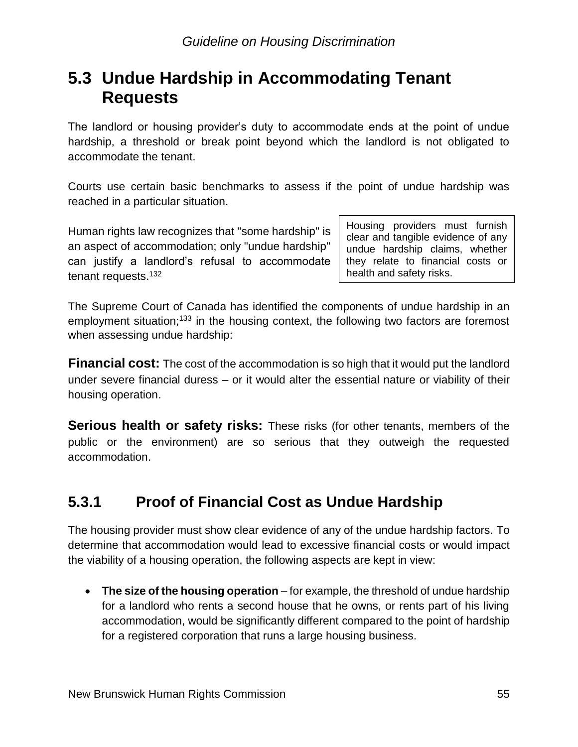## <span id="page-54-0"></span>**5.3 Undue Hardship in Accommodating Tenant Requests**

The landlord or housing provider's duty to accommodate ends at the point of undue hardship, a threshold or break point beyond which the landlord is not obligated to accommodate the tenant.

Courts use certain basic benchmarks to assess if the point of undue hardship was reached in a particular situation.

Human rights law recognizes that "some hardship" is an aspect of accommodation; only "undue hardship" can justify a landlord's refusal to accommodate tenant requests.<sup>132</sup>

Housing providers must furnish clear and tangible evidence of any undue hardship claims, whether they relate to financial costs or health and safety risks.

The Supreme Court of Canada has identified the components of undue hardship in an employment situation;<sup>133</sup> in the housing context, the following two factors are foremost when assessing undue hardship:

**Financial cost:** The cost of the accommodation is so high that it would put the landlord under severe financial duress – or it would alter the essential nature or viability of their housing operation.

**Serious health or safety risks:** These risks (for other tenants, members of the public or the environment) are so serious that they outweigh the requested accommodation.

## <span id="page-54-1"></span>**5.3.1 Proof of Financial Cost as Undue Hardship**

The housing provider must show clear evidence of any of the undue hardship factors. To determine that accommodation would lead to excessive financial costs or would impact the viability of a housing operation, the following aspects are kept in view:

• **The size of the housing operation** – for example, the threshold of undue hardship for a landlord who rents a second house that he owns, or rents part of his living accommodation, would be significantly different compared to the point of hardship for a registered corporation that runs a large housing business.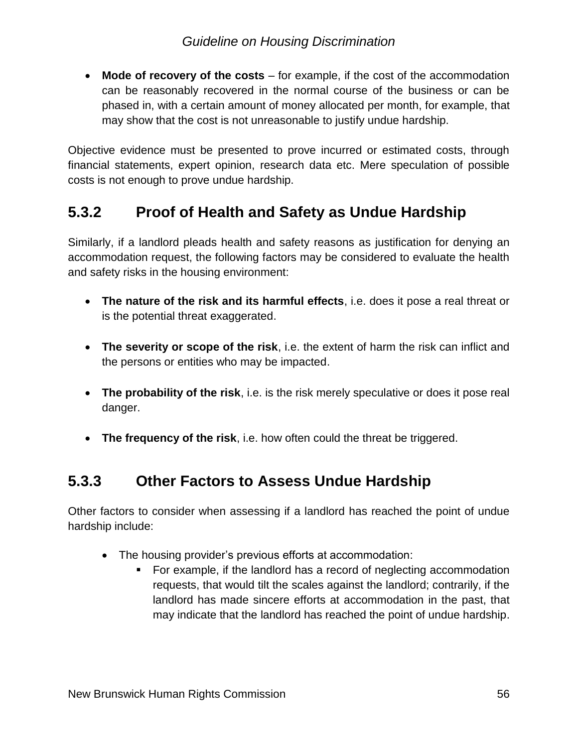• **Mode of recovery of the costs** – for example, if the cost of the accommodation can be reasonably recovered in the normal course of the business or can be phased in, with a certain amount of money allocated per month, for example, that may show that the cost is not unreasonable to justify undue hardship.

Objective evidence must be presented to prove incurred or estimated costs, through financial statements, expert opinion, research data etc. Mere speculation of possible costs is not enough to prove undue hardship.

## <span id="page-55-0"></span>**5.3.2 Proof of Health and Safety as Undue Hardship**

Similarly, if a landlord pleads health and safety reasons as justification for denying an accommodation request, the following factors may be considered to evaluate the health and safety risks in the housing environment:

- **The nature of the risk and its harmful effects**, i.e. does it pose a real threat or is the potential threat exaggerated.
- **The severity or scope of the risk**, i.e. the extent of harm the risk can inflict and the persons or entities who may be impacted.
- **The probability of the risk**, i.e. is the risk merely speculative or does it pose real danger.
- **The frequency of the risk**, i.e. how often could the threat be triggered.

## <span id="page-55-1"></span>**5.3.3 Other Factors to Assess Undue Hardship**

Other factors to consider when assessing if a landlord has reached the point of undue hardship include:

- The housing provider's previous efforts at accommodation:
	- For example, if the landlord has a record of neglecting accommodation requests, that would tilt the scales against the landlord; contrarily, if the landlord has made sincere efforts at accommodation in the past, that may indicate that the landlord has reached the point of undue hardship.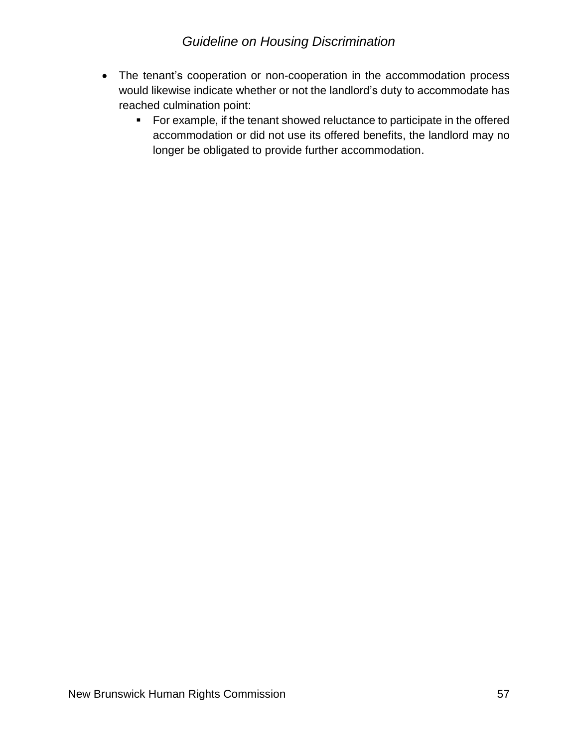- The tenant's cooperation or non-cooperation in the accommodation process would likewise indicate whether or not the landlord's duty to accommodate has reached culmination point:
	- For example, if the tenant showed reluctance to participate in the offered accommodation or did not use its offered benefits, the landlord may no longer be obligated to provide further accommodation.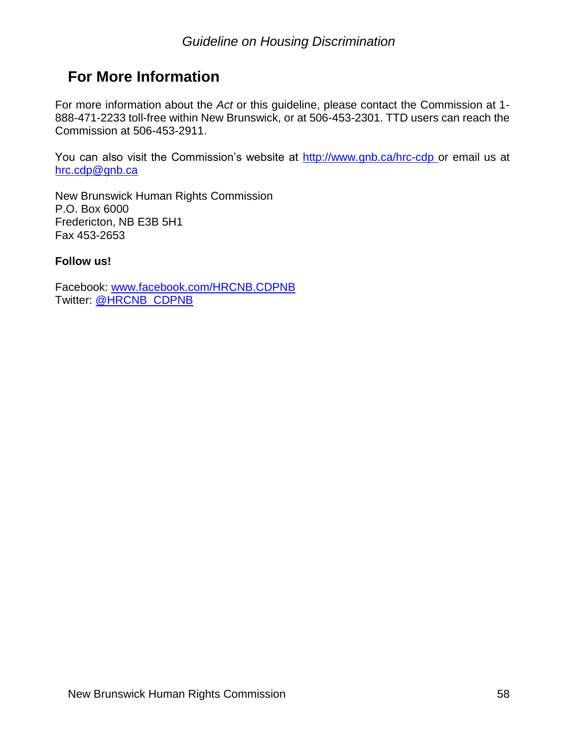## <span id="page-57-0"></span>**For More Information**

For more information about the *Act* or this guideline, please contact the Commission at 1- 888-471-2233 toll-free within New Brunswick, or at 506-453-2301. TTD users can reach the Commission at 506-453-2911.

You can also visit the Commission's website at<http://www.gnb.ca/hrc-cdp> or email us at [hrc.cdp@gnb.ca](file://///d62prod3/branches$/HRC/F.%20LEGISLATION,%20GUIDELINES%20and%20RESEARCH/F200%20Guidelines/Service%20Animals/hrc.cdp@gnb.ca)

New Brunswick Human Rights Commission P.O. Box 6000 Fredericton, NB E3B 5H1 Fax 453-2653

#### **Follow us!**

Facebook: [www.facebook.com/HRCNB.CDPNB](http://www.facebook.com/HRCNB.CDPNB) Twitter: [@HRCNB\\_CDPNB](https://twitter.com/HRCNB_CDPNB)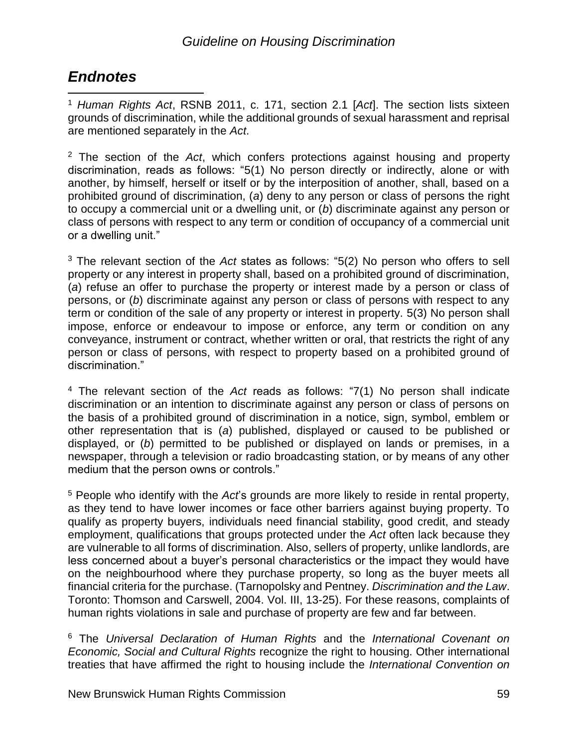## <span id="page-58-0"></span>*Endnotes*

<sup>1</sup> *Human Rights Act*, RSNB 2011, c. 171, section 2.1 [*Act*]. The section lists sixteen grounds of discrimination, while the additional grounds of sexual harassment and reprisal are mentioned separately in the *Act*.  $\overline{a}$ 

<sup>2</sup> The section of the *Act*, which confers protections against housing and property discrimination, reads as follows: "5(1) No person directly or indirectly, alone or with another, by himself, herself or itself or by the interposition of another, shall, based on a prohibited ground of discrimination, (*a*) deny to any person or class of persons the right to occupy a commercial unit or a dwelling unit, or (*b*) discriminate against any person or class of persons with respect to any term or condition of occupancy of a commercial unit or a dwelling unit."

<sup>3</sup> The relevant section of the *Act* states as follows: "5(2) No person who offers to sell property or any interest in property shall, based on a prohibited ground of discrimination, (*a*) refuse an offer to purchase the property or interest made by a person or class of persons, or (*b*) discriminate against any person or class of persons with respect to any term or condition of the sale of any property or interest in property. 5(3) No person shall impose, enforce or endeavour to impose or enforce, any term or condition on any conveyance, instrument or contract, whether written or oral, that restricts the right of any person or class of persons, with respect to property based on a prohibited ground of discrimination."

<sup>4</sup> The relevant section of the *Act* reads as follows: "7(1) No person shall indicate discrimination or an intention to discriminate against any person or class of persons on the basis of a prohibited ground of discrimination in a notice, sign, symbol, emblem or other representation that is (*a*) published, displayed or caused to be published or displayed, or (*b*) permitted to be published or displayed on lands or premises, in a newspaper, through a television or radio broadcasting station, or by means of any other medium that the person owns or controls."

<sup>5</sup> People who identify with the *Act*'s grounds are more likely to reside in rental property, as they tend to have lower incomes or face other barriers against buying property. To qualify as property buyers, individuals need financial stability, good credit, and steady employment, qualifications that groups protected under the *Act* often lack because they are vulnerable to all forms of discrimination. Also, sellers of property, unlike landlords, are less concerned about a buyer's personal characteristics or the impact they would have on the neighbourhood where they purchase property, so long as the buyer meets all financial criteria for the purchase. (Tarnopolsky and Pentney. *Discrimination and the Law*. Toronto: Thomson and Carswell, 2004. Vol. III, 13-25). For these reasons, complaints of human rights violations in sale and purchase of property are few and far between.

<sup>6</sup> The *Universal Declaration of Human Rights* and the *International Covenant on Economic, Social and Cultural Rights* recognize the right to housing. Other international treaties that have affirmed the right to housing include the *International Convention on*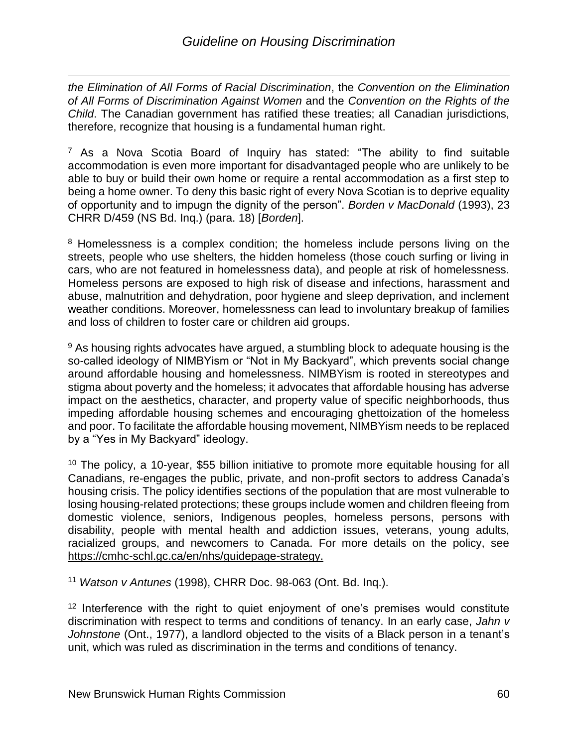$\overline{a}$ *the Elimination of All Forms of Racial Discrimination*, the *Convention on the Elimination of All Forms of Discrimination Against Women* and the *Convention on the Rights of the Child*. The Canadian government has ratified these treaties; all Canadian jurisdictions, therefore, recognize that housing is a fundamental human right.

<sup>7</sup> As a Nova Scotia Board of Inquiry has stated: "The ability to find suitable accommodation is even more important for disadvantaged people who are unlikely to be able to buy or build their own home or require a rental accommodation as a first step to being a home owner. To deny this basic right of every Nova Scotian is to deprive equality of opportunity and to impugn the dignity of the person". *Borden v MacDonald* (1993), 23 CHRR D/459 (NS Bd. Inq.) (para. 18) [*Borden*].

<sup>8</sup> Homelessness is a complex condition; the homeless include persons living on the streets, people who use shelters, the hidden homeless (those couch surfing or living in cars, who are not featured in homelessness data), and people at risk of homelessness. Homeless persons are exposed to high risk of disease and infections, harassment and abuse, malnutrition and dehydration, poor hygiene and sleep deprivation, and inclement weather conditions. Moreover, homelessness can lead to involuntary breakup of families and loss of children to foster care or children aid groups.

<sup>9</sup> As housing rights advocates have argued, a stumbling block to adequate housing is the so-called ideology of NIMBYism or "Not in My Backyard", which prevents social change around affordable housing and homelessness. NIMBYism is rooted in stereotypes and stigma about poverty and the homeless; it advocates that affordable housing has adverse impact on the aesthetics, character, and property value of specific neighborhoods, thus impeding affordable housing schemes and encouraging ghettoization of the homeless and poor. To facilitate the affordable housing movement, NIMBYism needs to be replaced by a "Yes in My Backyard" ideology.

<sup>10</sup> The policy, a 10-year, \$55 billion initiative to promote more equitable housing for all Canadians, re-engages the public, private, and non-profit sectors to address Canada's housing crisis. The policy identifies sections of the population that are most vulnerable to losing housing-related protections; these groups include women and children fleeing from domestic violence, seniors, Indigenous peoples, homeless persons, persons with disability, people with mental health and addiction issues, veterans, young adults, racialized groups, and newcomers to Canada. For more details on the policy, see [https://cmhc-schl.gc.ca/en/nhs/guidepage-strategy.](https://cmhc-schl.gc.ca/en/nhs/guidepage-strategy)

<sup>11</sup> *Watson v Antunes* (1998), CHRR Doc. 98-063 (Ont. Bd. Inq.).

 $12$  Interference with the right to quiet enjoyment of one's premises would constitute discrimination with respect to terms and conditions of tenancy. In an early case, *Jahn v Johnstone* (Ont., 1977), a landlord objected to the visits of a Black person in a tenant's unit, which was ruled as discrimination in the terms and conditions of tenancy.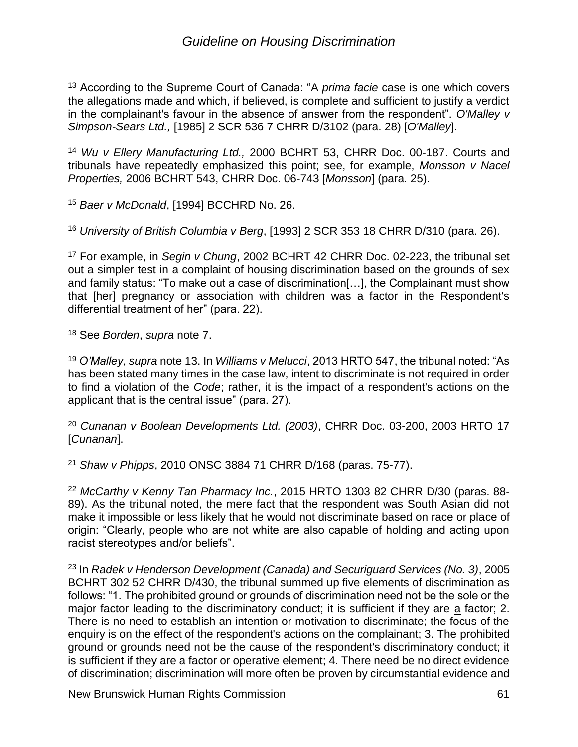$\overline{a}$ <sup>13</sup> According to the Supreme Court of Canada: "A *prima facie* case is one which covers the allegations made and which, if believed, is complete and sufficient to justify a verdict in the complainant's favour in the absence of answer from the respondent". *O'Malley v Simpson-Sears Ltd.,* [1985] 2 SCR 536 7 CHRR D/3102 (para. 28) [*O'Malley*].

<sup>14</sup> *Wu v Ellery Manufacturing Ltd.,* 2000 BCHRT 53, [CHRR Doc. 00-187.](https://cdn-hr-reporter.ca/chrronline/index.cfm?fuseaction=chrronline.retrieveFullText&docNo=00-187) Courts and tribunals have repeatedly emphasized this point; see, for example, *Monsson v Nacel Properties,* 2006 BCHRT 543, [CHRR Doc. 06-743](https://cdn-hr-reporter.ca/chrronline/index.cfm?fuseaction=chrronline.retrieveFullText&docNo=06-743) [*Monsson*] (para. 25).

<sup>15</sup> *Baer v McDonald*, [1994] BCCHRD No. 26.

<sup>16</sup> *University of British Columbia v Berg*, [1993] 2 SCR 353 [18 CHRR D/310](https://cdn-hr-reporter.ca/chrronline/index.cfm?fuseaction=chrronline.retrieveFullText&docNo=93-069) (para. 26).

<sup>17</sup> For example, in *Segin v Chung*, 2002 BCHRT 42 [CHRR Doc. 02-223,](https://cdn-hr-reporter.ca/chrronline/index.cfm?fuseaction=chrronline.retrieveFullText&docNo=02-223) the tribunal set out a simpler test in a complaint of housing discrimination based on the grounds of sex and family status: "To make out a case of discrimination[…], the Complainant must show that [her] pregnancy or association with children was a factor in the Respondent's differential treatment of her" (para. 22).

<sup>18</sup> See *Borden*, *supra* note 7.

<sup>19</sup> *O'Malley*, *supra* note 13. In *Williams v Melucci*, 2013 HRTO 547, the tribunal noted: "As has been stated many times in the case law, intent to discriminate is not required in order to find a violation of the *Code*; rather, it is the impact of a respondent's actions on the applicant that is the central issue" (para. 27).

<sup>20</sup> *Cunanan v Boolean Developments Ltd. (2003)*, CHRR Doc. 03-200, 2003 HRTO 17 [*Cunanan*].

<sup>21</sup> *Shaw v Phipps*, 2010 ONSC 3884 [71 CHRR D/168](https://cdn-hr-reporter.ca/chrronline/index.cfm?fuseaction=chrronline.retrieveFullText&docNo=10-3532) (paras. 75-77).

<sup>22</sup> *McCarthy v Kenny Tan Pharmacy Inc.*, 2015 HRTO 1303 [82 CHRR D/30](https://cdn-hr-reporter.ca/chrronline/index.cfm?fuseaction=chrronline.retrieveFullText&docNo=15-1803) (paras. 88- 89). As the tribunal noted, the mere fact that the respondent was South Asian did not make it impossible or less likely that he would not discriminate based on race or place of origin: "Clearly, people who are not white are also capable of holding and acting upon racist stereotypes and/or beliefs".

<sup>23</sup> In *Radek v Henderson Development (Canada) and Securiguard Services (No. 3)*, 2005 BCHRT 302 [52 CHRR D/430,](https://cdn-hr-reporter.ca/chrronline/index.cfm?fuseaction=chrronline.retrieveFullText&docNo=05-367) the tribunal summed up five elements of discrimination as follows: "1. The prohibited ground or grounds of discrimination need not be the sole or the major factor leading to the discriminatory conduct; it is sufficient if they are a factor; 2. There is no need to establish an intention or motivation to discriminate; the focus of the enquiry is on the effect of the respondent's actions on the complainant; 3. The prohibited ground or grounds need not be the cause of the respondent's discriminatory conduct; it is sufficient if they are a factor or operative element; 4. There need be no direct evidence of discrimination; discrimination will more often be proven by circumstantial evidence and

New Brunswick Human Rights Commission 61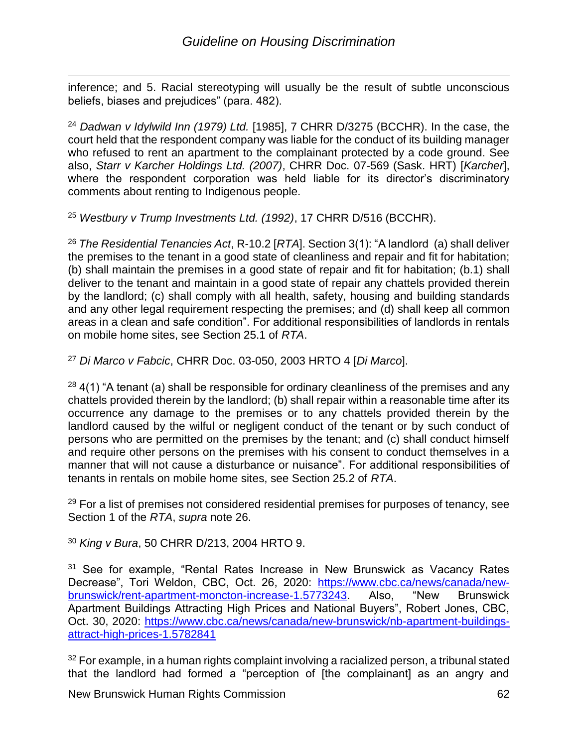$\overline{a}$ inference; and 5. Racial stereotyping will usually be the result of subtle unconscious beliefs, biases and prejudices" (para. 482).

<sup>24</sup> *Dadwan v Idylwild Inn (1979) Ltd.* [1985], 7 CHRR D/3275 (BCCHR). In the case, the court held that the respondent company was liable for the conduct of its building manager who refused to rent an apartment to the complainant protected by a code ground. See also, *Starr v Karcher Holdings Ltd. (2007)*, CHRR Doc. 07-569 (Sask. HRT) [*Karcher*], where the respondent corporation was held liable for its director's discriminatory comments about renting to Indigenous people.

<sup>25</sup> *Westbury v Trump Investments Ltd. (1992)*, 17 CHRR D/516 (BCCHR).

<sup>26</sup> *The Residential Tenancies Act*, R-10.2 [*RTA*]. Section 3(1): "A landlord (a) shall deliver the premises to the tenant in a good state of cleanliness and repair and fit for habitation; (b) shall maintain the premises in a good state of repair and fit for habitation; (b.1) shall deliver to the tenant and maintain in a good state of repair any chattels provided therein by the landlord; (c) shall comply with all health, safety, housing and building standards and any other legal requirement respecting the premises; and (d) shall keep all common areas in a clean and safe condition". For additional responsibilities of landlords in rentals on mobile home sites, see Section 25.1 of *RTA*.

<sup>27</sup> *Di Marco v Fabcic*, CHRR Doc. 03-050, 2003 HRTO 4 [*Di Marco*].

 $28$  4(1) "A tenant (a) shall be responsible for ordinary cleanliness of the premises and any chattels provided therein by the landlord; (b) shall repair within a reasonable time after its occurrence any damage to the premises or to any chattels provided therein by the landlord caused by the wilful or negligent conduct of the tenant or by such conduct of persons who are permitted on the premises by the tenant; and (c) shall conduct himself and require other persons on the premises with his consent to conduct themselves in a manner that will not cause a disturbance or nuisance". For additional responsibilities of tenants in rentals on mobile home sites, see Section 25.2 of *RTA*.

<sup>29</sup> For a list of premises not considered residential premises for purposes of tenancy, see Section 1 of the *RTA*, *supra* note 26.

<sup>30</sup> *King v Bura*, 50 CHRR D/213, 2004 HRTO 9.

 $31$  See for example, "Rental Rates Increase in New Brunswick as Vacancy Rates Decrease", Tori Weldon, CBC, Oct. 26, 2020: [https://www.cbc.ca/news/canada/new](https://www.cbc.ca/news/canada/new-brunswick/rent-apartment-moncton-increase-1.5773243)[brunswick/rent-apartment-moncton-increase-1.5773243.](https://www.cbc.ca/news/canada/new-brunswick/rent-apartment-moncton-increase-1.5773243) Also, "New Brunswick Apartment Buildings Attracting High Prices and National Buyers", Robert Jones, CBC, Oct. 30, 2020: [https://www.cbc.ca/news/canada/new-brunswick/nb-apartment-buildings](https://www.cbc.ca/news/canada/new-brunswick/nb-apartment-buildings-attract-high-prices-1.5782841)[attract-high-prices-1.5782841](https://www.cbc.ca/news/canada/new-brunswick/nb-apartment-buildings-attract-high-prices-1.5782841) 

 $32$  For example, in a human rights complaint involving a racialized person, a tribunal stated that the landlord had formed a "perception of [the complainant] as an angry and

New Brunswick Human Rights Commission 62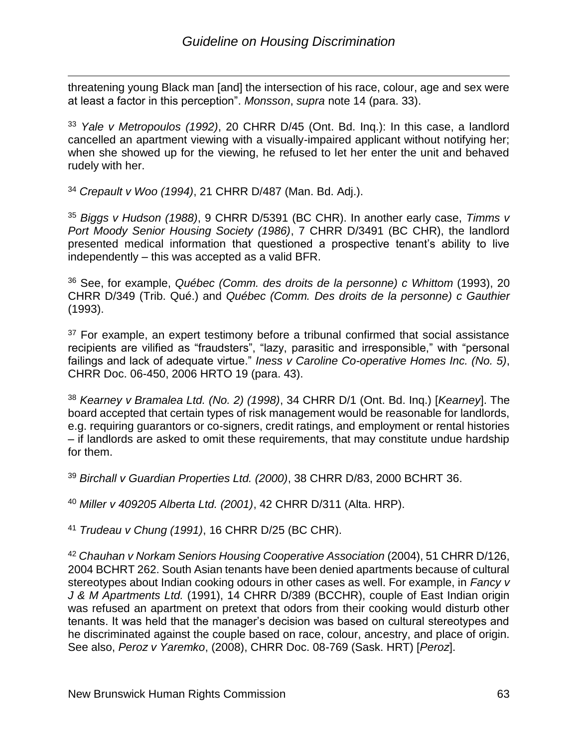$\overline{a}$ threatening young Black man [and] the intersection of his race, colour, age and sex were at least a factor in this perception". *Monsson*, *supra* note 14 (para. 33).

<sup>33</sup> *Yale v Metropoulos (1992)*, 20 CHRR D/45 (Ont. Bd. Inq.): In this case, a landlord cancelled an apartment viewing with a visually-impaired applicant without notifying her; when she showed up for the viewing, he refused to let her enter the unit and behaved rudely with her.

<sup>34</sup> *Crepault v Woo (1994)*, 21 CHRR D/487 (Man. Bd. Adj.).

<sup>35</sup> *Biggs v Hudson (1988)*, 9 CHRR D/5391 (BC CHR). In another early case, *Timms v Port Moody Senior Housing Society (1986)*, 7 CHRR D/3491 (BC CHR), the landlord presented medical information that questioned a prospective tenant's ability to live independently – this was accepted as a valid BFR.

<sup>36</sup> See, for example, *Québec (Comm. des droits de la personne) c Whittom* (1993), 20 CHRR D/349 (Trib. Qué.) and *Québec (Comm. Des droits de la personne) c Gauthier*  (1993).

 $37$  For example, an expert testimony before a tribunal confirmed that social assistance recipients are vilified as "fraudsters", "lazy, parasitic and irresponsible," with "personal failings and lack of adequate virtue." *Iness v Caroline Co-operative Homes Inc. (No. 5)*, CHRR Doc. 06-450, 2006 HRTO 19 (para. 43).

<sup>38</sup> *Kearney v Bramalea Ltd. (No. 2) (1998)*, 34 CHRR D/1 (Ont. Bd. Inq.) [*Kearney*]. The board accepted that certain types of risk management would be reasonable for landlords, e.g. requiring guarantors or co-signers, credit ratings, and employment or rental histories – if landlords are asked to omit these requirements, that may constitute undue hardship for them.

<sup>39</sup> *Birchall v Guardian Properties Ltd. (2000)*, 38 CHRR D/83, 2000 BCHRT 36.

<sup>40</sup> *Miller v 409205 Alberta Ltd. (2001)*, 42 CHRR D/311 (Alta. HRP).

<sup>41</sup> *Trudeau v Chung (1991)*, 16 CHRR D/25 (BC CHR).

<sup>42</sup> Chauhan v Norkam Seniors Housing Cooperative Association (2004), 51 CHRR D/126, 2004 BCHRT 262. South Asian tenants have been denied apartments because of cultural stereotypes about Indian cooking odours in other cases as well. For example, in *Fancy v J & M Apartments Ltd.* (1991), 14 CHRR D/389 (BCCHR), couple of East Indian origin was refused an apartment on pretext that odors from their cooking would disturb other tenants. It was held that the manager's decision was based on cultural stereotypes and he discriminated against the couple based on race, colour, ancestry, and place of origin. See also, *Peroz v Yaremko*, (2008), CHRR Doc. 08-769 (Sask. HRT) [*Peroz*].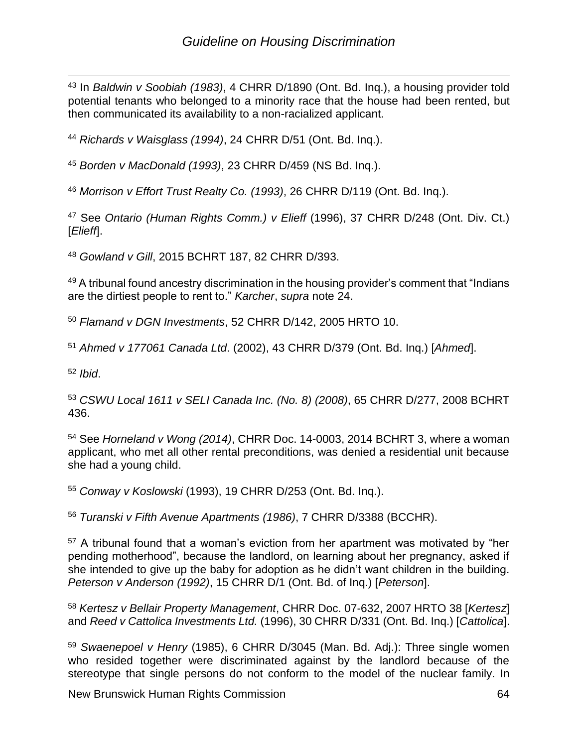$\overline{a}$ <sup>43</sup> In *Baldwin v Soobiah (1983)*, 4 CHRR D/1890 (Ont. Bd. Inq.), a housing provider told potential tenants who belonged to a minority race that the house had been rented, but then communicated its availability to a non-racialized applicant.

<sup>44</sup> *Richards v Waisglass (1994)*, 24 CHRR D/51 (Ont. Bd. Inq.).

<sup>45</sup> *Borden v MacDonald (1993)*, 23 CHRR D/459 (NS Bd. Inq.).

<sup>46</sup> *Morrison v Effort Trust Realty Co. (1993)*, 26 CHRR D/119 (Ont. Bd. Inq.).

<sup>47</sup> See *Ontario (Human Rights Comm.) v Elieff* (1996), 37 CHRR D/248 (Ont. Div. Ct.) [*Elieff*].

<sup>48</sup> *Gowland v Gill*, 2015 BCHRT 187, 82 CHRR D/393.

49 A tribunal found ancestry discrimination in the housing provider's comment that "Indians" are the dirtiest people to rent to." *Karcher*, *supra* note 24.

<sup>50</sup> *Flamand v DGN Investments*, 52 CHRR D/142, 2005 HRTO 10.

<sup>51</sup> *Ahmed v 177061 Canada Ltd*. (2002), 43 CHRR D/379 (Ont. Bd. Inq.) [*Ahmed*].

<sup>52</sup> *Ibid*.

<sup>53</sup> *CSWU Local 1611 v SELI Canada Inc. (No. 8) (2008)*, 65 CHRR D/277, 2008 BCHRT 436.

<sup>54</sup> See *Horneland v Wong (2014)*, CHRR Doc. 14-0003, 2014 BCHRT 3, where a woman applicant, who met all other rental preconditions, was denied a residential unit because she had a young child.

<sup>55</sup> *Conway v Koslowski* (1993), 19 CHRR D/253 (Ont. Bd. Inq.).

<sup>56</sup> *Turanski v Fifth Avenue Apartments (1986)*, 7 CHRR D/3388 (BCCHR).

<sup>57</sup> A tribunal found that a woman's eviction from her apartment was motivated by "her pending motherhood", because the landlord, on learning about her pregnancy, asked if she intended to give up the baby for adoption as he didn't want children in the building. *Peterson v Anderson (1992)*, 15 CHRR D/1 (Ont. Bd. of Inq.) [*Peterson*].

<sup>58</sup> *Kertesz v Bellair Property Management*, CHRR Doc. 07-632, 2007 HRTO 38 [*Kertesz*] and *Reed v Cattolica Investments Ltd.* (1996), 30 CHRR D/331 (Ont. Bd. Inq.) [*Cattolica*].

<sup>59</sup> *Swaenepoel v Henry* (1985), 6 CHRR D/3045 (Man. Bd. Adj.): Three single women who resided together were discriminated against by the landlord because of the stereotype that single persons do not conform to the model of the nuclear family. In

New Brunswick Human Rights Commission 64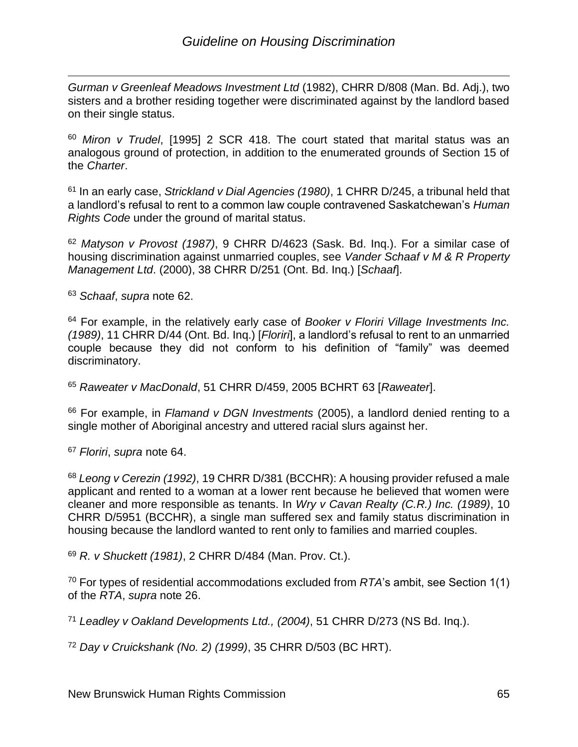$\overline{a}$ *Gurman v Greenleaf Meadows Investment Ltd* (1982), CHRR D/808 (Man. Bd. Adj.), two sisters and a brother residing together were discriminated against by the landlord based on their single status.

<sup>60</sup> *Miron v Trudel*, [1995] 2 SCR 418. The court stated that marital status was an analogous ground of protection, in addition to the enumerated grounds of Section 15 of the *Charter*.

<sup>61</sup> In an early case, *Strickland v Dial Agencies (1980)*, 1 CHRR D/245, a tribunal held that a landlord's refusal to rent to a common law couple contravened Saskatchewan's *Human Rights Code* under the ground of marital status.

<sup>62</sup> *Matyson v Provost (1987)*, 9 CHRR D/4623 (Sask. Bd. Inq.). For a similar case of housing discrimination against unmarried couples, see *Vander Schaaf v M & R Property Management Ltd*. (2000), 38 CHRR D/251 (Ont. Bd. Inq.) [*Schaaf*].

<sup>63</sup> *Schaaf*, *supra* note 62.

<sup>64</sup> For example, in the relatively early case of *Booker v Floriri Village Investments Inc. (1989)*, 11 CHRR D/44 (Ont. Bd. Inq.) [*Floriri*], a landlord's refusal to rent to an unmarried couple because they did not conform to his definition of "family" was deemed discriminatory.

<sup>65</sup> *Raweater v MacDonald*, 51 CHRR D/459, 2005 BCHRT 63 [*Raweater*].

<sup>66</sup> For example, in *Flamand v DGN Investments* (2005), a landlord denied renting to a single mother of Aboriginal ancestry and uttered racial slurs against her.

<sup>67</sup> *Floriri*, *supra* note 64.

<sup>68</sup> *Leong v Cerezin (1992)*, 19 CHRR D/381 (BCCHR): A housing provider refused a male applicant and rented to a woman at a lower rent because he believed that women were cleaner and more responsible as tenants. In *Wry v Cavan Realty (C.R.) Inc. (1989)*, 10 CHRR D/5951 (BCCHR), a single man suffered sex and family status discrimination in housing because the landlord wanted to rent only to families and married couples.

<sup>69</sup> *R. v Shuckett (1981)*, 2 CHRR D/484 (Man. Prov. Ct.).

<sup>70</sup> For types of residential accommodations excluded from *RTA*'s ambit, see Section 1(1) of the *RTA*, *supra* note 26.

<sup>71</sup> *Leadley v Oakland Developments Ltd., (2004)*, 51 CHRR D/273 (NS Bd. Inq.).

<sup>72</sup> *Day v Cruickshank (No. 2) (1999)*, 35 CHRR D/503 (BC HRT).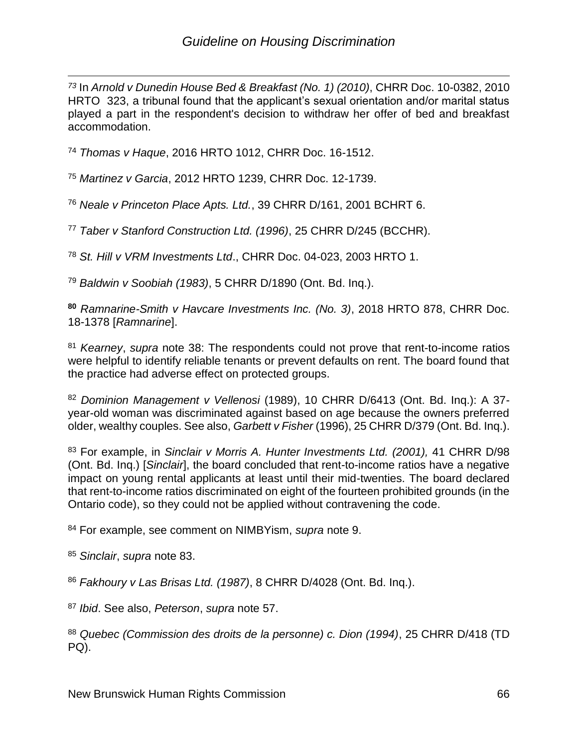$\overline{a}$ *<sup>73</sup>* In *Arnold v Dunedin House Bed & Breakfast (No. 1) (2010)*, CHRR Doc. 10-0382, 2010 HRTO 323, a tribunal found that the applicant's sexual orientation and/or marital status played a part in the respondent's decision to withdraw her offer of bed and breakfast accommodation.

<sup>74</sup> *Thomas v Haque*, 2016 HRTO 1012, CHRR Doc. 16-1512.

<sup>75</sup> *Martinez v Garcia*, 2012 HRTO 1239, CHRR Doc. 12-1739.

<sup>76</sup> *Neale v Princeton Place Apts. Ltd.*, 39 CHRR D/161, 2001 BCHRT 6.

<sup>77</sup> *Taber v Stanford Construction Ltd. (1996)*, 25 CHRR D/245 (BCCHR).

<sup>78</sup> *St. Hill v VRM Investments Ltd*., CHRR Doc. 04-023, 2003 HRTO 1.

<sup>79</sup> *Baldwin v Soobiah (1983)*, 5 CHRR D/1890 (Ont. Bd. Inq.).

**<sup>80</sup>** *Ramnarine-Smith v Havcare Investments Inc. (No. 3)*, 2018 HRTO 878, CHRR Doc. 18-1378 [*Ramnarine*].

<sup>81</sup> *Kearney*, *supra* note 38: The respondents could not prove that rent-to-income ratios were helpful to identify reliable tenants or prevent defaults on rent. The board found that the practice had adverse effect on protected groups.

<sup>82</sup> *Dominion Management v Vellenosi* (1989), 10 CHRR D/6413 (Ont. Bd. Inq.): A 37 year-old woman was discriminated against based on age because the owners preferred older, wealthy couples. See also, *Garbett v Fisher* (1996), 25 CHRR D/379 (Ont. Bd. Inq.).

<sup>83</sup> For example, in *Sinclair v Morris A. Hunter Investments Ltd. (2001),* 41 CHRR D/98 (Ont. Bd. Inq.) [*Sinclair*], the board concluded that rent-to-income ratios have a negative impact on young rental applicants at least until their mid-twenties. The board declared that rent-to-income ratios discriminated on eight of the fourteen prohibited grounds (in the Ontario code), so they could not be applied without contravening the code.

<sup>84</sup> For example, see comment on NIMBYism, *supra* note 9.

<sup>85</sup> *Sinclair*, *supra* note 83.

<sup>86</sup> *Fakhoury v Las Brisas Ltd. (1987)*, 8 CHRR D/4028 (Ont. Bd. Inq.).

<sup>87</sup> *Ibid*. See also, *Peterson*, *supra* note 57.

<sup>88</sup> *Quebec (Commission des droits de la personne) c. Dion (1994)*, 25 CHRR D/418 (TD PQ).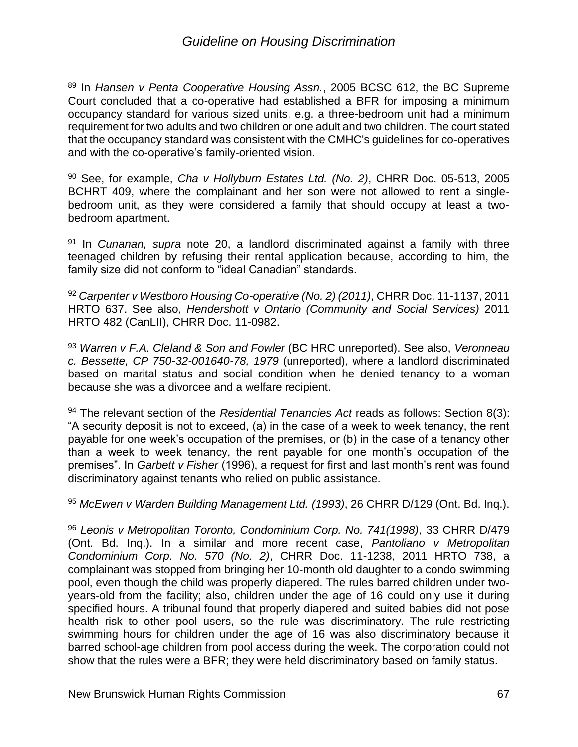$\overline{a}$ <sup>89</sup> In *Hansen v Penta Cooperative Housing Assn.*, 2005 BCSC 612, the BC Supreme Court concluded that a co-operative had established a BFR for imposing a minimum occupancy standard for various sized units, e.g. a three-bedroom unit had a minimum requirement for two adults and two children or one adult and two children. The court stated that the occupancy standard was consistent with the CMHC's guidelines for co-operatives and with the co-operative's family-oriented vision.

<sup>90</sup> See, for example, *Cha v Hollyburn Estates Ltd. (No. 2)*, CHRR Doc. 05-513, 2005 BCHRT 409, where the complainant and her son were not allowed to rent a singlebedroom unit, as they were considered a family that should occupy at least a twobedroom apartment.

<sup>91</sup> In *Cunanan, supra* note 20, a landlord discriminated against a family with three teenaged children by refusing their rental application because, according to him, the family size did not conform to "ideal Canadian" standards.

<sup>92</sup> *Carpenter v Westboro Housing Co-operative (No. 2) (2011)*, CHRR Doc. 11-1137, 2011 HRTO 637. See also, *Hendershott v Ontario (Community and Social Services)* 2011 HRTO 482 (CanLII), [CHRR Doc. 11-0982.](https://cdn-hr-reporter.ca/chrronline/index.cfm?fuseaction=chrronline.retrieveFullText&docNo=11-0982)

<sup>93</sup> *Warren v F.A. Cleland & Son and Fowler* (BC HRC unreported). See also, *Veronneau c. Bessette, CP 750-32-001640-78, 1979* (unreported), where a landlord discriminated based on marital status and social condition when he denied tenancy to a woman because she was a divorcee and a welfare recipient.

<sup>94</sup> The relevant section of the *Residential Tenancies Act* reads as follows: Section 8(3): "A security deposit is not to exceed, (a) in the case of a week to week tenancy, the rent payable for one week's occupation of the premises, or (b) in the case of a tenancy other than a week to week tenancy, the rent payable for one month's occupation of the premises". In *Garbett v Fisher* (1996), a request for first and last month's rent was found discriminatory against tenants who relied on public assistance.

<sup>95</sup> *McEwen v Warden Building Management Ltd. (1993)*, 26 CHRR D/129 (Ont. Bd. Inq.).

<sup>96</sup> *Leonis v Metropolitan Toronto, Condominium Corp. No. 741(1998)*, 33 CHRR D/479 (Ont. Bd. Inq.). In a similar and more recent case, *Pantoliano v Metropolitan Condominium Corp. No. 570 (No. 2)*, CHRR Doc. 11-1238, 2011 HRTO 738, a complainant was stopped from bringing her 10-month old daughter to a condo swimming pool, even though the child was properly diapered. The rules barred children under twoyears-old from the facility; also, children under the age of 16 could only use it during specified hours. A tribunal found that properly diapered and suited babies did not pose health risk to other pool users, so the rule was discriminatory. The rule restricting swimming hours for children under the age of 16 was also discriminatory because it barred school-age children from pool access during the week. The corporation could not show that the rules were a BFR; they were held discriminatory based on family status.

New Brunswick Human Rights Commission 67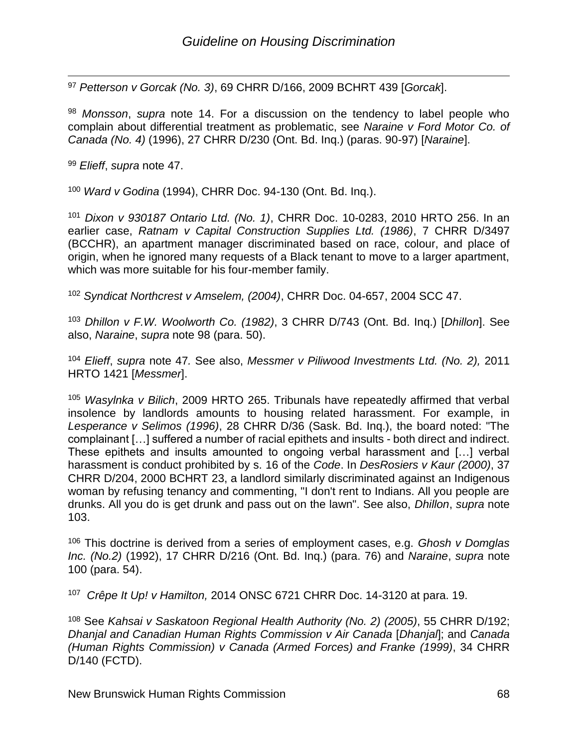$\overline{a}$ <sup>97</sup> *Petterson v Gorcak (No. 3)*, 69 CHRR D/166, 2009 BCHRT 439 [*Gorcak*].

<sup>98</sup> *Monsson*, *supra* note 14. For a discussion on the tendency to label people who complain about differential treatment as problematic, see *Naraine v Ford Motor Co. of Canada (No. 4)* (1996), [27 CHRR D/230](https://cdn-hr-reporter.ca/chrronline/index.cfm?fuseaction=chrronline.retrieveFullText&docNo=97-014) (Ont. Bd. Inq.) (paras. 90-97) [*Naraine*].

<sup>99</sup> *Elieff*, *supra* note 47.

<sup>100</sup> *Ward v Godina* (1994), CHRR Doc. 94-130 (Ont. Bd. Inq.).

<sup>101</sup> *Dixon v 930187 Ontario Ltd. (No. 1)*, CHRR Doc. 10-0283, 2010 HRTO 256. In an earlier case, *Ratnam v Capital Construction Supplies Ltd. (1986)*, 7 CHRR D/3497 (BCCHR), an apartment manager discriminated based on race, colour, and place of origin, when he ignored many requests of a Black tenant to move to a larger apartment, which was more suitable for his four-member family.

<sup>102</sup> *Syndicat Northcrest v Amselem, (2004)*, CHRR Doc. 04-657, 2004 SCC 47.

<sup>103</sup> *Dhillon v F.W. Woolworth Co. (1982)*, 3 CHRR D/743 (Ont. Bd. Inq.) [*Dhillon*]. See also, *Naraine*, *supra* note 98 (para. 50).

<sup>104</sup> *Elieff*, *supra* note 47*.* See also, *Messmer v Piliwood Investments Ltd. (No. 2),* 2011 HRTO 1421 [*Messmer*].

<sup>105</sup> *Wasylnka v Bilich*, 2009 HRTO 265. Tribunals have repeatedly affirmed that verbal insolence by landlords amounts to housing related harassment. For example, in *Lesperance v Selimos (1996)*, 28 CHRR D/36 (Sask. Bd. Inq.), the board noted: "The complainant […] suffered a number of racial epithets and insults - both direct and indirect. These epithets and insults amounted to ongoing verbal harassment and […] verbal harassment is conduct prohibited by s. 16 of the *Code*. In *DesRosiers v Kaur (2000)*, 37 CHRR D/204, 2000 BCHRT 23, a landlord similarly discriminated against an Indigenous woman by refusing tenancy and commenting, "I don't rent to Indians. All you people are drunks. All you do is get drunk and pass out on the lawn". See also, *Dhillon*, *supra* note 103.

<sup>106</sup> This doctrine is derived from a series of employment cases, e.g. *Ghosh v Domglas Inc. (No.2)* (1992), 17 CHRR D/216 (Ont. Bd. Inq.) (para. 76) and *Naraine*, *supra* note 100 (para. 54).

<sup>107</sup> *Crêpe It Up! v Hamilton,* 2014 ONSC 6721 CHRR Doc. 14-3120 at para. 19.

<sup>108</sup> See *Kahsai v Saskatoon Regional Health Authority (No. 2) (2005)*, 55 CHRR D/192; *Dhanjal and Canadian Human Rights Commission v Air Canada* [*Dhanjal*]; and *Canada (Human Rights Commission) v Canada (Armed Forces) and Franke (1999)*, 34 CHRR D/140 (FCTD).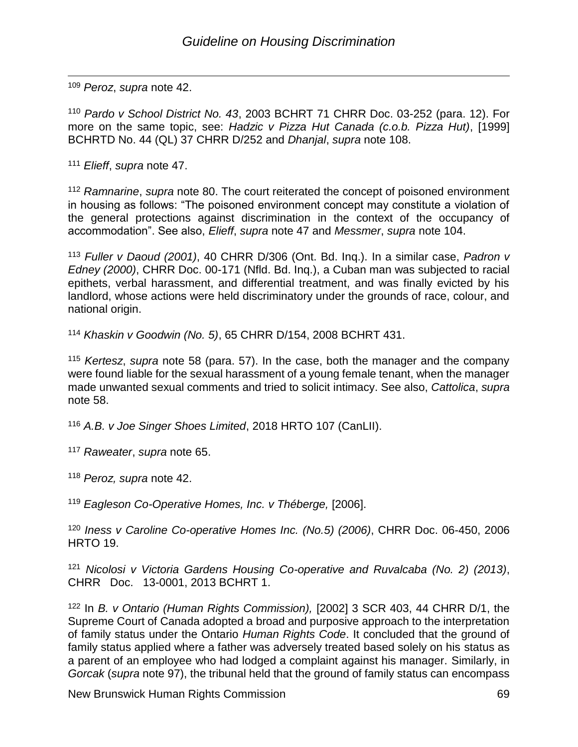$\overline{a}$ <sup>109</sup> *Peroz*, *supra* note 42.

<sup>110</sup> *Pardo v School District No. 43*, 2003 BCHRT 71 [CHRR Doc. 03-252](https://cdn-hr-reporter.ca/chrronline/index.cfm?fuseaction=chrronline.retrieveFullText&docNo=03-252) (para. 12). For more on the same topic, see: *Hadzic v Pizza Hut Canada (c.o.b. Pizza Hut)*, [1999] BCHRTD No. 44 (QL) [37 CHRR D/252](https://cdn-hr-reporter.ca/chrronline/index.cfm?fuseaction=chrronline.retrieveFullText&docNo=99-163) and *Dhanjal*, *supra* note 108.

<sup>111</sup> *Elieff*, *supra* note 47.

<sup>112</sup> *Ramnarine*, *supra* note 80. The court reiterated the concept of poisoned environment in housing as follows: "The poisoned environment concept may constitute a violation of the general protections against discrimination in the context of the occupancy of accommodation". See also, *Elieff*, *supra* note 47 and *Messmer*, *supra* note 104.

<sup>113</sup> *Fuller v Daoud (2001)*, 40 CHRR D/306 (Ont. Bd. Inq.). In a similar case, *Padron v Edney (2000)*, CHRR Doc. 00-171 (Nfld. Bd. Inq.), a Cuban man was subjected to racial epithets, verbal harassment, and differential treatment, and was finally evicted by his landlord, whose actions were held discriminatory under the grounds of race, colour, and national origin.

<sup>114</sup> *Khaskin v Goodwin (No. 5)*, 65 CHRR D/154, 2008 BCHRT 431.

<sup>115</sup> *Kertesz*, *supra* note 58 (para. 57). In the case, both the manager and the company were found liable for the sexual harassment of a young female tenant, when the manager made unwanted sexual comments and tried to solicit intimacy. See also, *Cattolica*, *supra* note 58.

<sup>116</sup> *A.B. v Joe Singer Shoes Limited*, 2018 HRTO 107 (CanLII).

<sup>117</sup> *Raweater*, *supra* note 65.

<sup>118</sup> *Peroz, supra* note 42.

<sup>119</sup> *Eagleson Co-Operative Homes, Inc. v Théberge,* [2006].

<sup>120</sup> *Iness v Caroline Co-operative Homes Inc. (No.5) (2006)*, CHRR Doc. 06-450, 2006 HRTO 19.

<sup>121</sup> *Nicolosi v Victoria Gardens Housing Co-operative and Ruvalcaba (No. 2) (2013)*, CHRR Doc. 13-0001, 2013 BCHRT 1.

<sup>122</sup> In *B. v Ontario (Human Rights Commission),* [2002] 3 SCR 403, [44 CHRR D/1,](https://cdn-hr-reporter.ca/chrronline/index.cfm?fuseaction=chrronline.retrieveFullText&docNo=02-203) the Supreme Court of Canada adopted a broad and purposive approach to the interpretation of family status under the Ontario *Human Rights Code*. It concluded that the ground of family status applied where a father was adversely treated based solely on his status as a parent of an employee who had lodged a complaint against his manager. Similarly, in *Gorcak* (*supra* note 97), the tribunal held that the ground of family status can encompass

New Brunswick Human Rights Commission 69